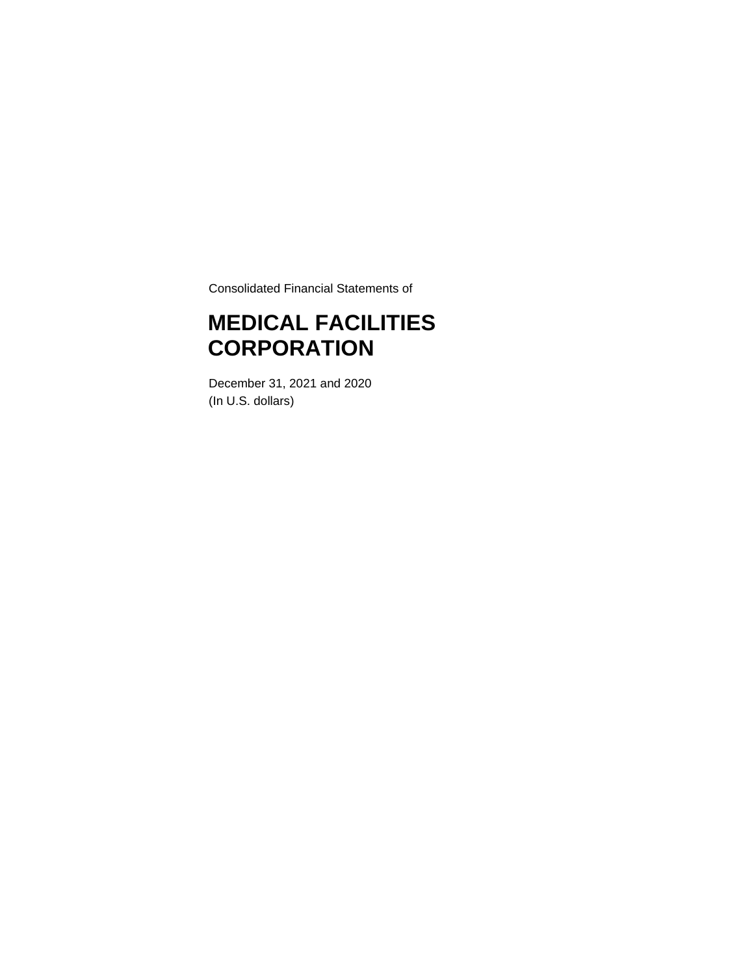Consolidated Financial Statements of

# **MEDICAL FACILITIES CORPORATION**

December 31, 2021 and 2020 (In U.S. dollars)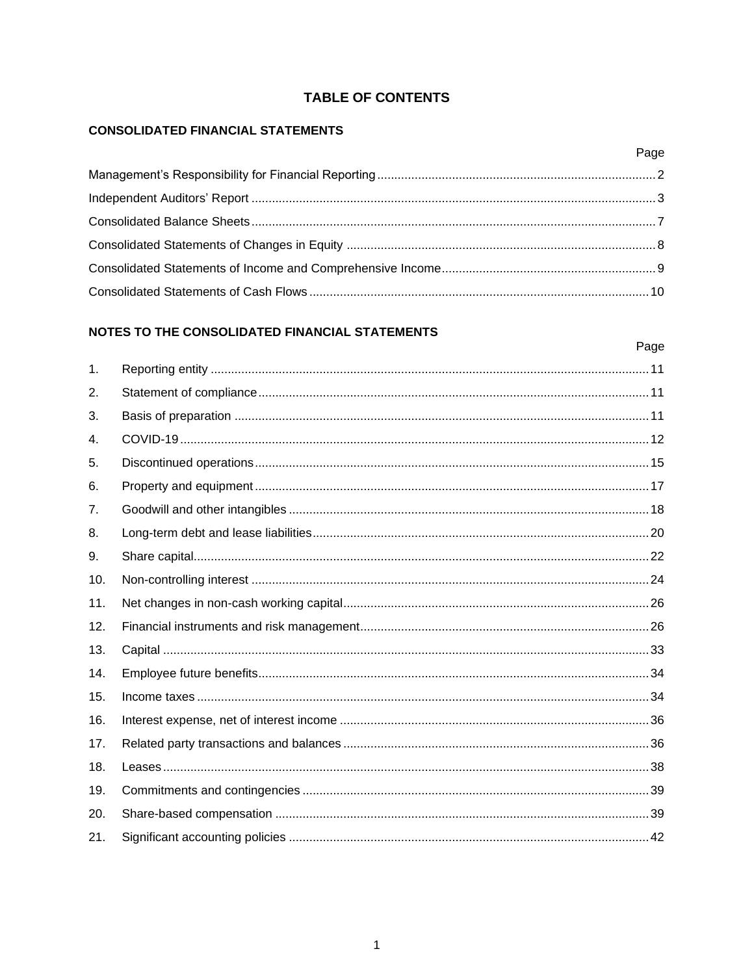### **TABLE OF CONTENTS**

Page

#### **CONSOLIDATED FINANCIAL STATEMENTS**

### NOTES TO THE CONSOLIDATED FINANCIAL STATEMENTS

#### Page  $\mathbf{1}$  $2.$ 3. 4. 5. 6. 7. 8. 9.  $10<sup>1</sup>$  $11.$  $12.$  $13.$  $14.$  $15.$  $16.$  $17.$  $18.$  $19<sup>°</sup>$ 20.  $21.$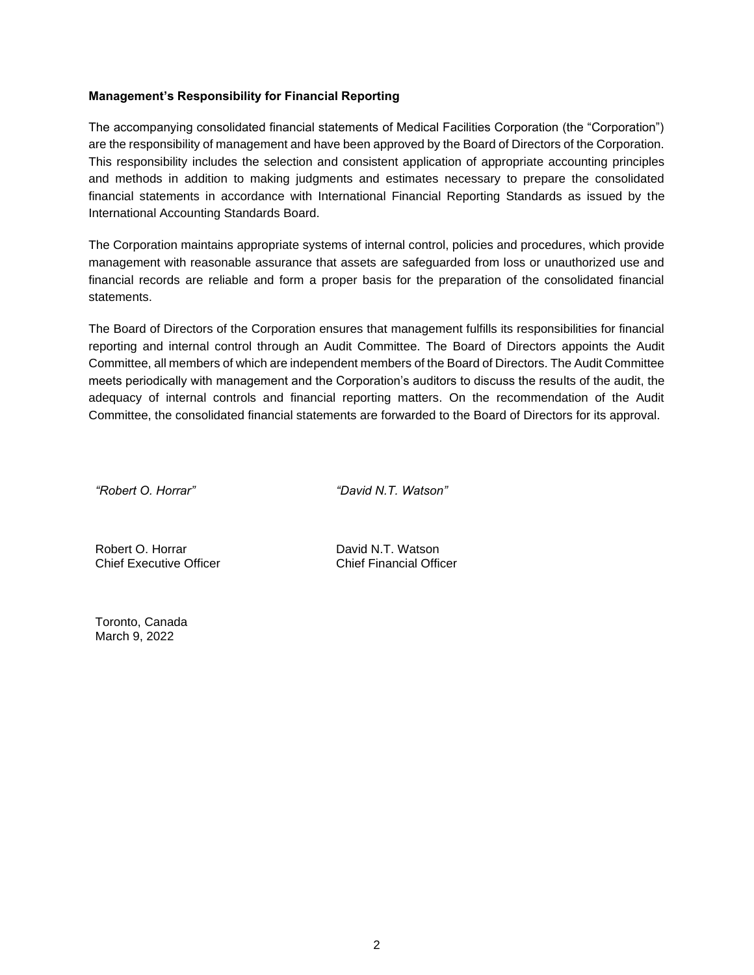#### <span id="page-2-0"></span>**Management's Responsibility for Financial Reporting**

The accompanying consolidated financial statements of Medical Facilities Corporation (the "Corporation") are the responsibility of management and have been approved by the Board of Directors of the Corporation. This responsibility includes the selection and consistent application of appropriate accounting principles and methods in addition to making judgments and estimates necessary to prepare the consolidated financial statements in accordance with International Financial Reporting Standards as issued by the International Accounting Standards Board.

The Corporation maintains appropriate systems of internal control, policies and procedures, which provide management with reasonable assurance that assets are safeguarded from loss or unauthorized use and financial records are reliable and form a proper basis for the preparation of the consolidated financial statements.

The Board of Directors of the Corporation ensures that management fulfills its responsibilities for financial reporting and internal control through an Audit Committee. The Board of Directors appoints the Audit Committee, all members of which are independent members of the Board of Directors. The Audit Committee meets periodically with management and the Corporation's auditors to discuss the results of the audit, the adequacy of internal controls and financial reporting matters. On the recommendation of the Audit Committee, the consolidated financial statements are forwarded to the Board of Directors for its approval.

*"Robert O. Horrar" "David N.T. Watson"*

Robert O. Horrar Chief Executive Officer

David N.T. Watson Chief Financial Officer

Toronto, Canada March 9, 2022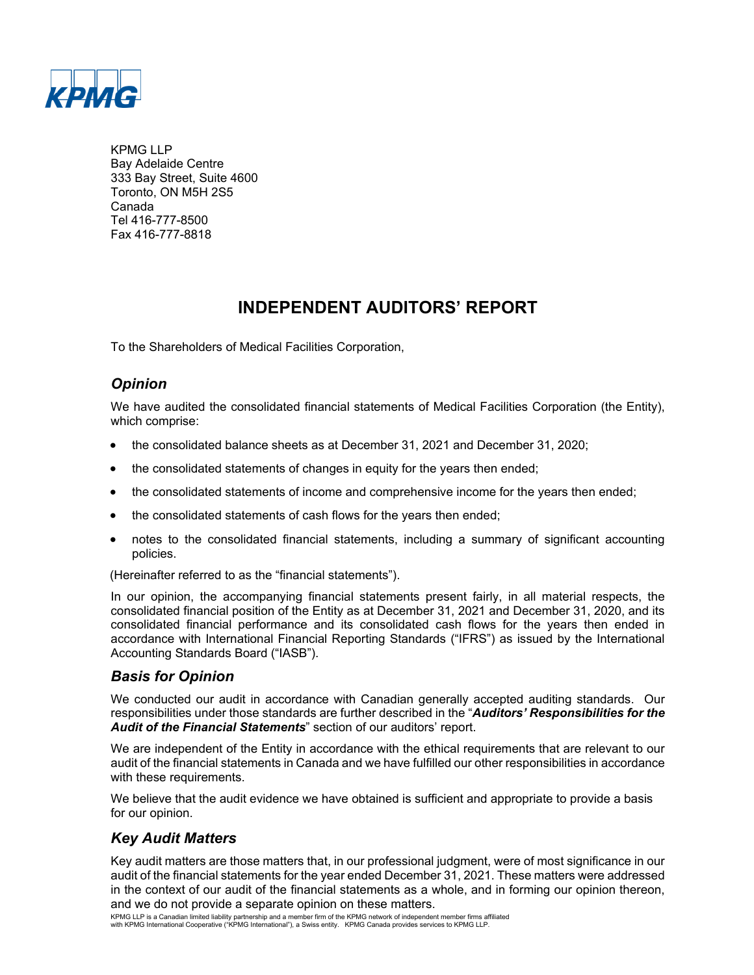

KPMG LLP Bay Adelaide Centre 333 Bay Street, Suite 4600 Toronto, ON M5H 2S5 Canada Tel 416-777-8500 Fax 416-777-8818

# **INDEPENDENT AUDITORS' REPORT**

To the Shareholders of Medical Facilities Corporation,

# *Opinion*

We have audited the consolidated financial statements of Medical Facilities Corporation (the Entity), which comprise:

- the consolidated balance sheets as at December 31, 2021 and December 31, 2020;
- the consolidated statements of changes in equity for the years then ended;
- the consolidated statements of income and comprehensive income for the years then ended;
- the consolidated statements of cash flows for the years then ended;
- notes to the consolidated financial statements, including a summary of significant accounting policies.

(Hereinafter referred to as the "financial statements").

In our opinion, the accompanying financial statements present fairly, in all material respects, the consolidated financial position of the Entity as at December 31, 2021 and December 31, 2020, and its consolidated financial performance and its consolidated cash flows for the years then ended in accordance with International Financial Reporting Standards ("IFRS") as issued by the International Accounting Standards Board ("IASB").

# *Basis for Opinion*

We conducted our audit in accordance with Canadian generally accepted auditing standards. Our responsibilities under those standards are further described in the "*Auditors' Responsibilities for the Audit of the Financial Statements*" section of our auditors' report.

We are independent of the Entity in accordance with the ethical requirements that are relevant to our audit of the financial statements in Canada and we have fulfilled our other responsibilities in accordance with these requirements.

We believe that the audit evidence we have obtained is sufficient and appropriate to provide a basis for our opinion.

# *Key Audit Matters*

Key audit matters are those matters that, in our professional judgment, were of most significance in our audit of the financial statements for the year ended December 31, 2021. These matters were addressed in the context of our audit of the financial statements as a whole, and in forming our opinion thereon, and we do not provide a separate opinion on these matters.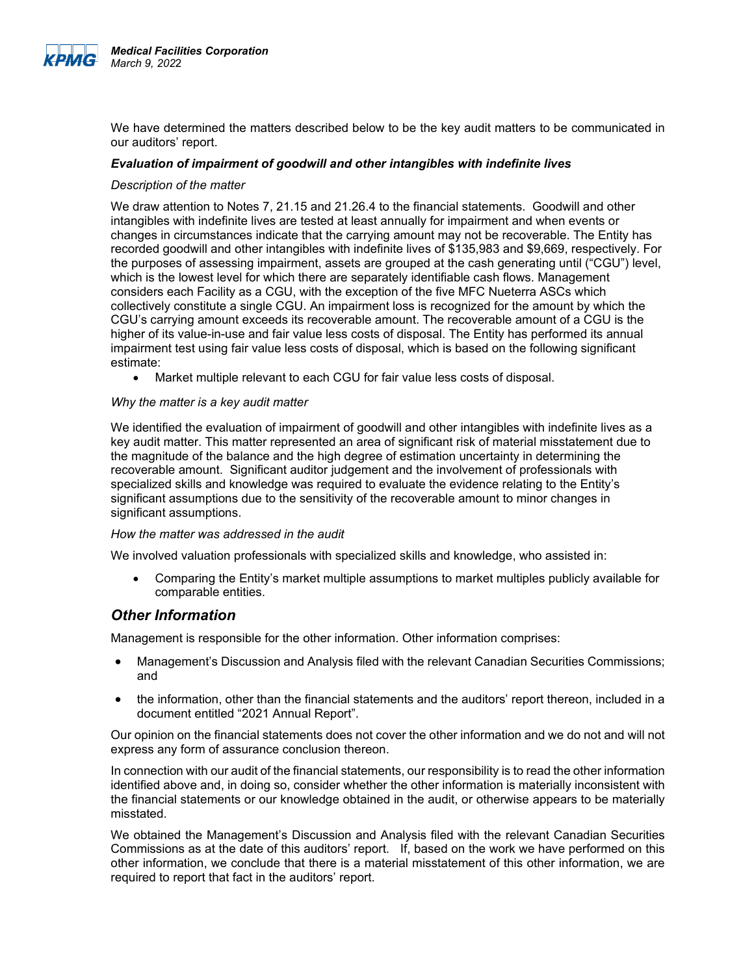

We have determined the matters described below to be the key audit matters to be communicated in our auditors' report.

#### *Evaluation of impairment of goodwill and other intangibles with indefinite lives*

#### *Description of the matter*

We draw attention to Notes 7, 21.15 and 21.26.4 to the financial statements. Goodwill and other intangibles with indefinite lives are tested at least annually for impairment and when events or changes in circumstances indicate that the carrying amount may not be recoverable. The Entity has recorded goodwill and other intangibles with indefinite lives of \$135,983 and \$9,669, respectively. For the purposes of assessing impairment, assets are grouped at the cash generating until ("CGU") level, which is the lowest level for which there are separately identifiable cash flows. Management considers each Facility as a CGU, with the exception of the five MFC Nueterra ASCs which collectively constitute a single CGU. An impairment loss is recognized for the amount by which the CGU's carrying amount exceeds its recoverable amount. The recoverable amount of a CGU is the higher of its value-in-use and fair value less costs of disposal. The Entity has performed its annual impairment test using fair value less costs of disposal, which is based on the following significant estimate:

• Market multiple relevant to each CGU for fair value less costs of disposal.

#### *Why the matter is a key audit matter*

We identified the evaluation of impairment of goodwill and other intangibles with indefinite lives as a key audit matter. This matter represented an area of significant risk of material misstatement due to the magnitude of the balance and the high degree of estimation uncertainty in determining the recoverable amount. Significant auditor judgement and the involvement of professionals with specialized skills and knowledge was required to evaluate the evidence relating to the Entity's significant assumptions due to the sensitivity of the recoverable amount to minor changes in significant assumptions.

#### *How the matter was addressed in the audit*

We involved valuation professionals with specialized skills and knowledge, who assisted in:

• Comparing the Entity's market multiple assumptions to market multiples publicly available for comparable entities.

#### *Other Information*

Management is responsible for the other information. Other information comprises:

- Management's Discussion and Analysis filed with the relevant Canadian Securities Commissions; and
- the information, other than the financial statements and the auditors' report thereon, included in a document entitled "2021 Annual Report".

Our opinion on the financial statements does not cover the other information and we do not and will not express any form of assurance conclusion thereon.

In connection with our audit of the financial statements, our responsibility is to read the other information identified above and, in doing so, consider whether the other information is materially inconsistent with the financial statements or our knowledge obtained in the audit, or otherwise appears to be materially misstated.

We obtained the Management's Discussion and Analysis filed with the relevant Canadian Securities Commissions as at the date of this auditors' report. If, based on the work we have performed on this other information, we conclude that there is a material misstatement of this other information, we are required to report that fact in the auditors' report.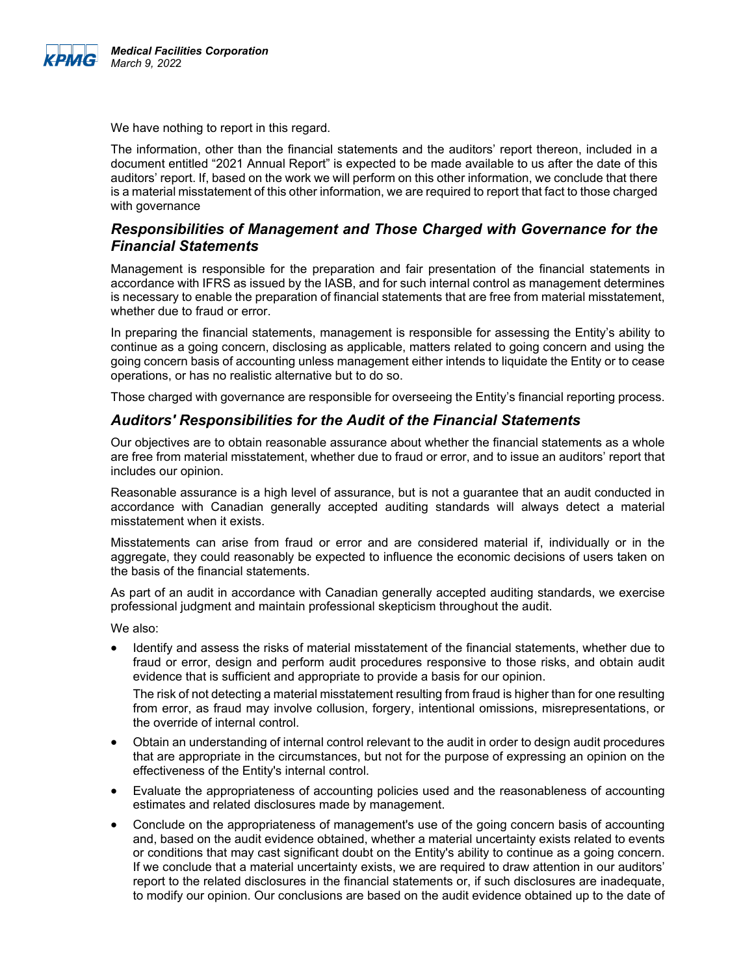

We have nothing to report in this regard.

The information, other than the financial statements and the auditors' report thereon, included in a document entitled "2021 Annual Report" is expected to be made available to us after the date of this auditors' report. If, based on the work we will perform on this other information, we conclude that there is a material misstatement of this other information, we are required to report that fact to those charged with governance

### *Responsibilities of Management and Those Charged with Governance for the Financial Statements*

Management is responsible for the preparation and fair presentation of the financial statements in accordance with IFRS as issued by the IASB, and for such internal control as management determines is necessary to enable the preparation of financial statements that are free from material misstatement, whether due to fraud or error.

In preparing the financial statements, management is responsible for assessing the Entity's ability to continue as a going concern, disclosing as applicable, matters related to going concern and using the going concern basis of accounting unless management either intends to liquidate the Entity or to cease operations, or has no realistic alternative but to do so.

Those charged with governance are responsible for overseeing the Entity's financial reporting process.

### *Auditors' Responsibilities for the Audit of the Financial Statements*

Our objectives are to obtain reasonable assurance about whether the financial statements as a whole are free from material misstatement, whether due to fraud or error, and to issue an auditors' report that includes our opinion.

Reasonable assurance is a high level of assurance, but is not a guarantee that an audit conducted in accordance with Canadian generally accepted auditing standards will always detect a material misstatement when it exists.

Misstatements can arise from fraud or error and are considered material if, individually or in the aggregate, they could reasonably be expected to influence the economic decisions of users taken on the basis of the financial statements.

As part of an audit in accordance with Canadian generally accepted auditing standards, we exercise professional judgment and maintain professional skepticism throughout the audit.

We also:

• Identify and assess the risks of material misstatement of the financial statements, whether due to fraud or error, design and perform audit procedures responsive to those risks, and obtain audit evidence that is sufficient and appropriate to provide a basis for our opinion.

The risk of not detecting a material misstatement resulting from fraud is higher than for one resulting from error, as fraud may involve collusion, forgery, intentional omissions, misrepresentations, or the override of internal control.

- Obtain an understanding of internal control relevant to the audit in order to design audit procedures that are appropriate in the circumstances, but not for the purpose of expressing an opinion on the effectiveness of the Entity's internal control.
- Evaluate the appropriateness of accounting policies used and the reasonableness of accounting estimates and related disclosures made by management.
- Conclude on the appropriateness of management's use of the going concern basis of accounting and, based on the audit evidence obtained, whether a material uncertainty exists related to events or conditions that may cast significant doubt on the Entity's ability to continue as a going concern. If we conclude that a material uncertainty exists, we are required to draw attention in our auditors' report to the related disclosures in the financial statements or, if such disclosures are inadequate, to modify our opinion. Our conclusions are based on the audit evidence obtained up to the date of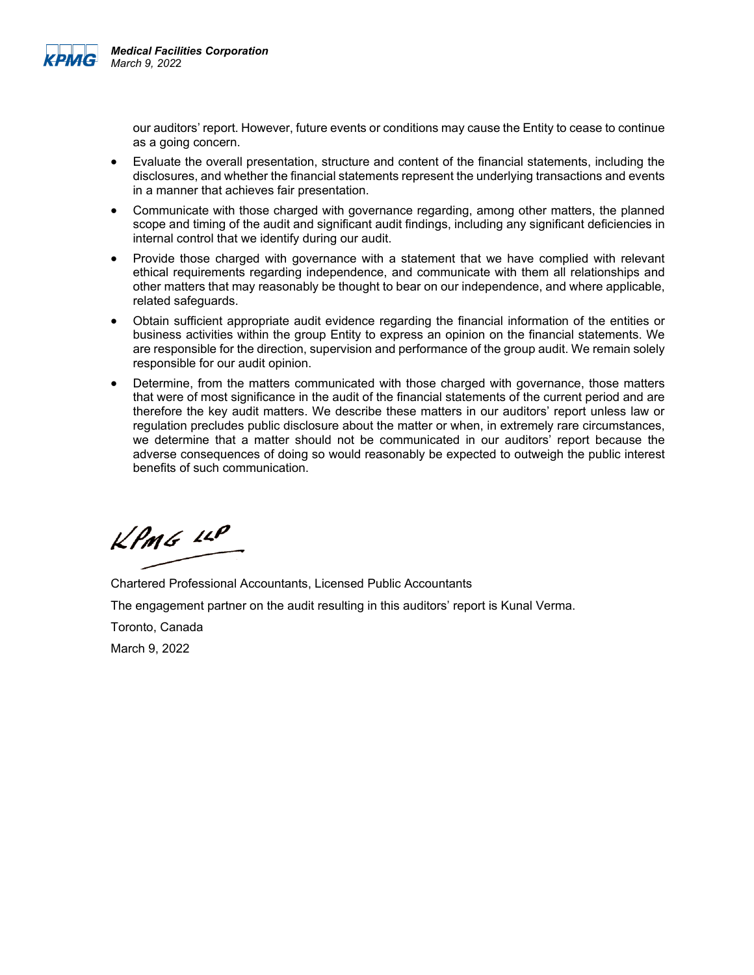

our auditors' report. However, future events or conditions may cause the Entity to cease to continue as a going concern.

- Evaluate the overall presentation, structure and content of the financial statements, including the disclosures, and whether the financial statements represent the underlying transactions and events in a manner that achieves fair presentation.
- Communicate with those charged with governance regarding, among other matters, the planned scope and timing of the audit and significant audit findings, including any significant deficiencies in internal control that we identify during our audit.
- Provide those charged with governance with a statement that we have complied with relevant ethical requirements regarding independence, and communicate with them all relationships and other matters that may reasonably be thought to bear on our independence, and where applicable, related safeguards.
- Obtain sufficient appropriate audit evidence regarding the financial information of the entities or business activities within the group Entity to express an opinion on the financial statements. We are responsible for the direction, supervision and performance of the group audit. We remain solely responsible for our audit opinion.
- Determine, from the matters communicated with those charged with governance, those matters that were of most significance in the audit of the financial statements of the current period and are therefore the key audit matters. We describe these matters in our auditors' report unless law or regulation precludes public disclosure about the matter or when, in extremely rare circumstances, we determine that a matter should not be communicated in our auditors' report because the adverse consequences of doing so would reasonably be expected to outweigh the public interest benefits of such communication.

 $k$ *PmG LLP* 

Chartered Professional Accountants, Licensed Public Accountants

The engagement partner on the audit resulting in this auditors' report is Kunal Verma.

Toronto, Canada

March 9, 2022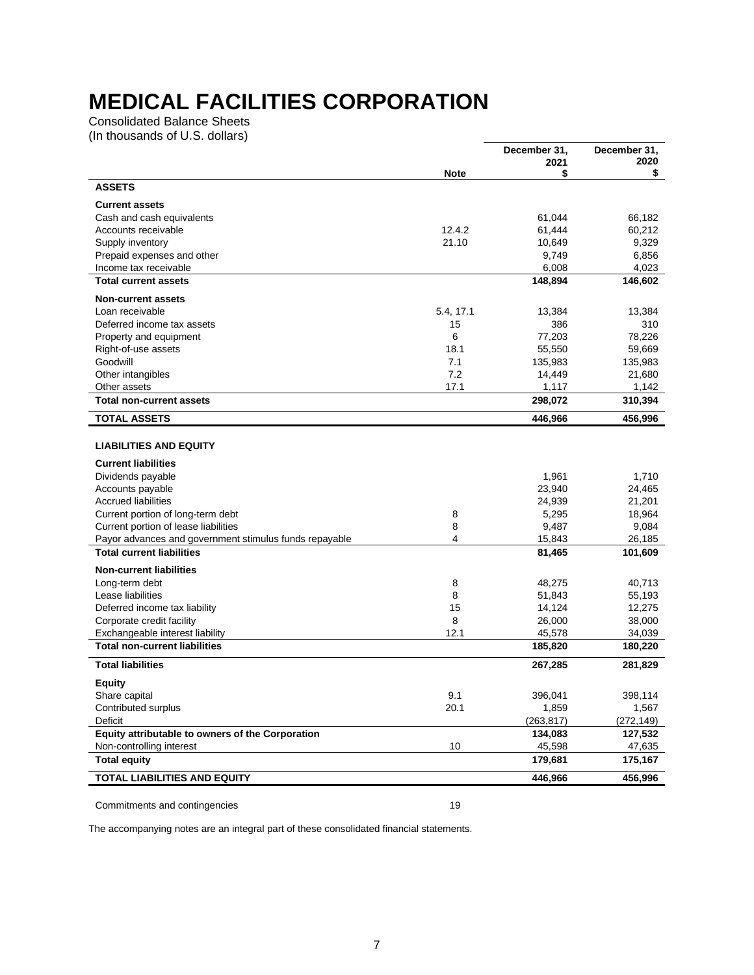Consolidated Balance Sheets (In thousands of U.S. dollars)

|                                                                         |             | December 31,      | December 31,<br>2020 |
|-------------------------------------------------------------------------|-------------|-------------------|----------------------|
|                                                                         | <b>Note</b> | 2021<br>\$        | \$                   |
| <b>ASSETS</b>                                                           |             |                   |                      |
| <b>Current assets</b>                                                   |             |                   |                      |
| Cash and cash equivalents                                               |             | 61,044            | 66,182               |
| Accounts receivable                                                     | 12.4.2      | 61,444            | 60,212               |
| Supply inventory                                                        | 21.10       | 10,649            | 9,329                |
| Prepaid expenses and other                                              |             | 9,749             | 6,856                |
| Income tax receivable                                                   |             | 6,008             | 4,023                |
| <b>Total current assets</b>                                             |             | 148,894           | 146,602              |
| <b>Non-current assets</b>                                               |             |                   |                      |
| Loan receivable                                                         | 5.4, 17.1   | 13,384            | 13,384               |
| Deferred income tax assets                                              | 15          | 386               | 310                  |
| Property and equipment                                                  | 6           | 77,203            | 78,226               |
| Right-of-use assets                                                     | 18.1        | 55,550            | 59,669               |
| Goodwill                                                                | 7.1<br>7.2  | 135,983           | 135,983              |
| Other intangibles                                                       | 17.1        | 14,449            | 21,680               |
| Other assets<br><b>Total non-current assets</b>                         |             | 1,117<br>298,072  | 1,142<br>310,394     |
| <b>TOTAL ASSETS</b>                                                     |             | 446,966           | 456,996              |
|                                                                         |             |                   |                      |
| <b>LIABILITIES AND EQUITY</b>                                           |             |                   |                      |
| <b>Current liabilities</b>                                              |             |                   |                      |
| Dividends payable                                                       |             | 1,961             | 1,710                |
| Accounts payable                                                        |             | 23,940            | 24,465               |
| <b>Accrued liabilities</b>                                              |             | 24,939            | 21,201               |
| Current portion of long-term debt                                       | 8           | 5,295             | 18,964               |
| Current portion of lease liabilities                                    | 8           | 9,487             | 9,084                |
| Payor advances and government stimulus funds repayable                  | 4           | 15,843            | 26,185               |
| <b>Total current liabilities</b>                                        |             | 81,465            | 101,609              |
| <b>Non-current liabilities</b>                                          |             |                   |                      |
| Long-term debt                                                          | 8           | 48,275            | 40,713               |
| Lease liabilities                                                       | 8           | 51,843            | 55,193               |
| Deferred income tax liability                                           | 15          | 14,124            | 12,275               |
| Corporate credit facility                                               | 8           | 26,000            | 38,000               |
| Exchangeable interest liability<br><b>Total non-current liabilities</b> | 12.1        | 45,578<br>185,820 | 34,039<br>180,220    |
| <b>Total liabilities</b>                                                |             | 267,285           | 281,829              |
| <b>Equity</b>                                                           |             |                   |                      |
| Share capital                                                           | 9.1         | 396,041           | 398,114              |
| Contributed surplus                                                     | 20.1        | 1,859             | 1,567                |
| Deficit                                                                 |             | (263, 817)        | (272, 149)           |
| Equity attributable to owners of the Corporation                        |             | 134,083           | 127,532              |
| Non-controlling interest                                                | 10          | 45,598            | 47,635               |
| <b>Total equity</b>                                                     |             | 179,681           | 175,167              |
| TOTAL LIABILITIES AND EQUITY                                            |             | 446,966           | 456,996              |
|                                                                         |             |                   |                      |

Commitments and contingencies 19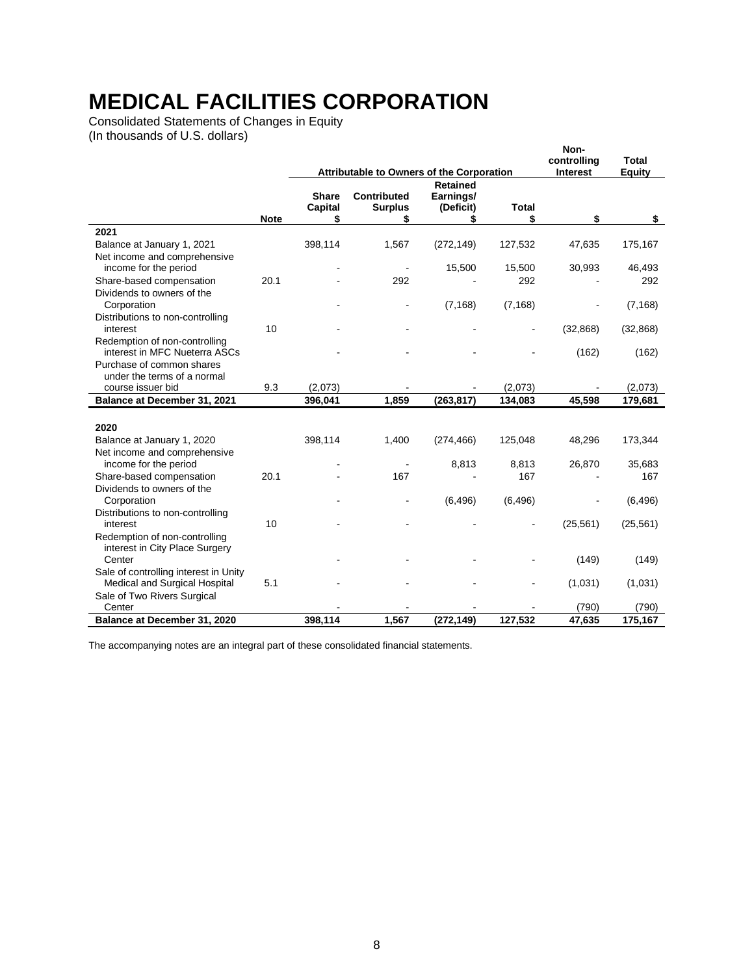Consolidated Statements of Changes in Equity (In thousands of U.S. dollars)

|                                                                |             |                         | Attributable to Owners of the Corporation |                                           |               | Non-<br>controlling<br>Interest | Total<br><b>Equity</b> |
|----------------------------------------------------------------|-------------|-------------------------|-------------------------------------------|-------------------------------------------|---------------|---------------------------------|------------------------|
|                                                                |             | <b>Share</b><br>Capital | <b>Contributed</b><br><b>Surplus</b>      | <b>Retained</b><br>Earnings/<br>(Deficit) | <b>Total</b>  |                                 |                        |
|                                                                | <b>Note</b> | \$                      | \$                                        | \$                                        | \$            | \$                              | \$                     |
| 2021                                                           |             |                         |                                           |                                           |               |                                 |                        |
| Balance at January 1, 2021                                     |             | 398,114                 | 1,567                                     | (272, 149)                                | 127,532       | 47,635                          | 175,167                |
| Net income and comprehensive                                   |             |                         |                                           |                                           |               |                                 |                        |
| income for the period<br>Share-based compensation              | 20.1        |                         | 292                                       | 15,500                                    | 15,500<br>292 | 30,993                          | 46,493<br>292          |
| Dividends to owners of the                                     |             |                         |                                           |                                           |               |                                 |                        |
| Corporation                                                    |             |                         |                                           | (7, 168)                                  | (7, 168)      |                                 | (7, 168)               |
| Distributions to non-controlling                               |             |                         |                                           |                                           |               |                                 |                        |
| interest                                                       | 10          |                         |                                           |                                           |               | (32, 868)                       | (32, 868)              |
| Redemption of non-controlling<br>interest in MFC Nueterra ASCs |             |                         |                                           |                                           |               | (162)                           | (162)                  |
| Purchase of common shares                                      |             |                         |                                           |                                           |               |                                 |                        |
| under the terms of a normal                                    |             |                         |                                           |                                           |               |                                 |                        |
| course issuer bid                                              | 9.3         | (2,073)                 |                                           |                                           | (2,073)       |                                 | (2,073)                |
| Balance at December 31, 2021                                   |             | 396,041                 | 1,859                                     | (263, 817)                                | 134,083       | 45,598                          | 179,681                |
| 2020                                                           |             |                         |                                           |                                           |               |                                 |                        |
| Balance at January 1, 2020                                     |             | 398,114                 | 1,400                                     | (274, 466)                                | 125,048       | 48,296                          | 173,344                |
| Net income and comprehensive                                   |             |                         |                                           |                                           |               |                                 |                        |
| income for the period                                          |             |                         |                                           | 8,813                                     | 8,813         | 26,870                          | 35,683                 |
| Share-based compensation                                       | 20.1        |                         | 167                                       |                                           | 167           |                                 | 167                    |
| Dividends to owners of the                                     |             |                         |                                           |                                           |               |                                 |                        |
| Corporation                                                    |             |                         |                                           | (6, 496)                                  | (6, 496)      |                                 | (6, 496)               |
| Distributions to non-controlling                               |             |                         |                                           |                                           |               |                                 |                        |
| interest<br>Redemption of non-controlling                      | 10          |                         |                                           |                                           |               | (25, 561)                       | (25, 561)              |
| interest in City Place Surgery                                 |             |                         |                                           |                                           |               |                                 |                        |
| Center                                                         |             |                         |                                           |                                           |               | (149)                           | (149)                  |
| Sale of controlling interest in Unity                          |             |                         |                                           |                                           |               |                                 |                        |
| Medical and Surgical Hospital                                  | 5.1         |                         |                                           |                                           |               | (1,031)                         | (1,031)                |
| Sale of Two Rivers Surgical                                    |             |                         |                                           |                                           |               |                                 |                        |
| Center                                                         |             |                         |                                           |                                           |               | (790)                           | (790)                  |
| Balance at December 31, 2020                                   |             | 398,114                 | 1,567                                     | (272, 149)                                | 127,532       | 47,635                          | 175,167                |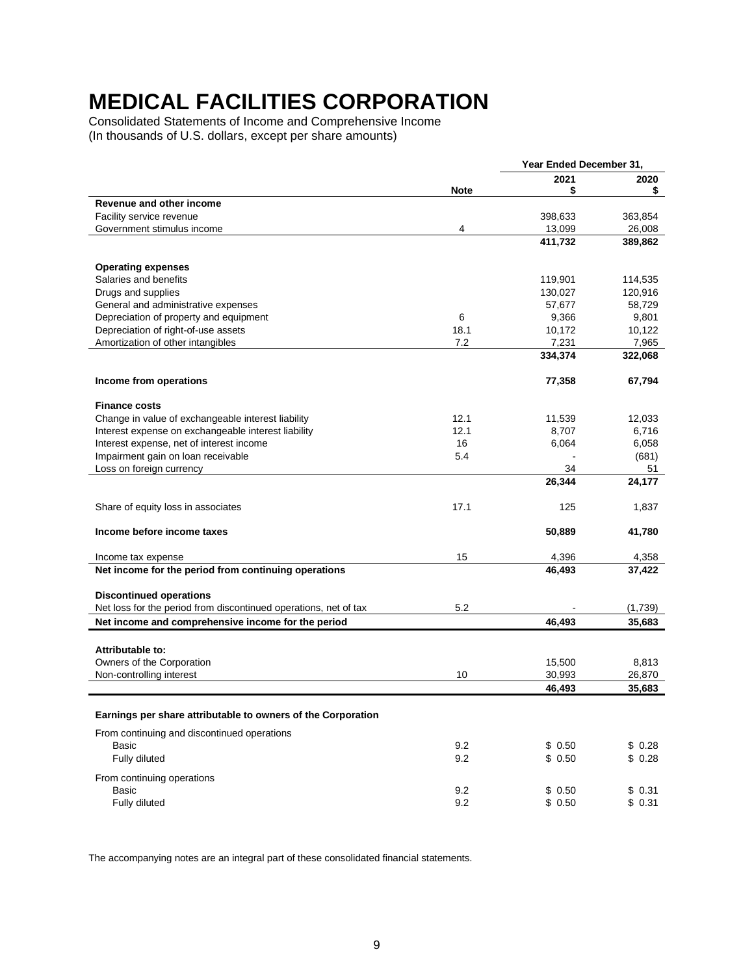Consolidated Statements of Income and Comprehensive Income (In thousands of U.S. dollars, except per share amounts)

|                                                                  |             | Year Ended December 31, |         |
|------------------------------------------------------------------|-------------|-------------------------|---------|
|                                                                  |             | 2021                    | 2020    |
| Revenue and other income                                         | <b>Note</b> | \$                      | \$      |
| Facility service revenue                                         |             | 398,633                 | 363,854 |
| Government stimulus income                                       | 4           | 13,099                  | 26,008  |
|                                                                  |             | 411,732                 | 389,862 |
|                                                                  |             |                         |         |
| <b>Operating expenses</b>                                        |             |                         |         |
| Salaries and benefits                                            |             | 119,901                 | 114,535 |
| Drugs and supplies                                               |             | 130,027                 | 120,916 |
| General and administrative expenses                              |             | 57,677                  | 58,729  |
| Depreciation of property and equipment                           | 6           | 9,366                   | 9,801   |
| Depreciation of right-of-use assets                              | 18.1        | 10,172                  | 10,122  |
| Amortization of other intangibles                                | 7.2         | 7,231                   | 7,965   |
|                                                                  |             | 334,374                 | 322,068 |
| Income from operations                                           |             | 77,358                  | 67,794  |
| <b>Finance costs</b>                                             |             |                         |         |
|                                                                  | 12.1        |                         | 12,033  |
| Change in value of exchangeable interest liability               | 12.1        | 11,539<br>8,707         | 6,716   |
| Interest expense on exchangeable interest liability              | 16          |                         | 6,058   |
| Interest expense, net of interest income                         |             | 6,064                   |         |
| Impairment gain on loan receivable                               | 5.4         | 34                      | (681)   |
| Loss on foreign currency                                         |             |                         | 51      |
|                                                                  |             | 26,344                  | 24,177  |
| Share of equity loss in associates                               | 17.1        | 125                     | 1,837   |
| Income before income taxes                                       |             | 50,889                  | 41,780  |
| Income tax expense                                               | 15          | 4,396                   | 4,358   |
| Net income for the period from continuing operations             |             | 46,493                  | 37,422  |
| <b>Discontinued operations</b>                                   |             |                         |         |
| Net loss for the period from discontinued operations, net of tax | 5.2         |                         | (1,739) |
| Net income and comprehensive income for the period               |             | 46,493                  | 35,683  |
|                                                                  |             |                         |         |
| Attributable to:                                                 |             |                         |         |
| Owners of the Corporation                                        |             | 15,500                  | 8,813   |
| Non-controlling interest                                         | 10          | 30,993                  | 26,870  |
|                                                                  |             | 46,493                  | 35,683  |
| Earnings per share attributable to owners of the Corporation     |             |                         |         |
| From continuing and discontinued operations                      |             |                         |         |
| Basic                                                            | 9.2         | \$0.50                  | \$0.28  |
| Fully diluted                                                    | 9.2         | \$0.50                  | \$0.28  |
|                                                                  |             |                         |         |
| From continuing operations                                       |             |                         |         |
| Basic                                                            | 9.2         | \$0.50                  | \$0.31  |
| Fully diluted                                                    | 9.2         | \$0.50                  | \$0.31  |
|                                                                  |             |                         |         |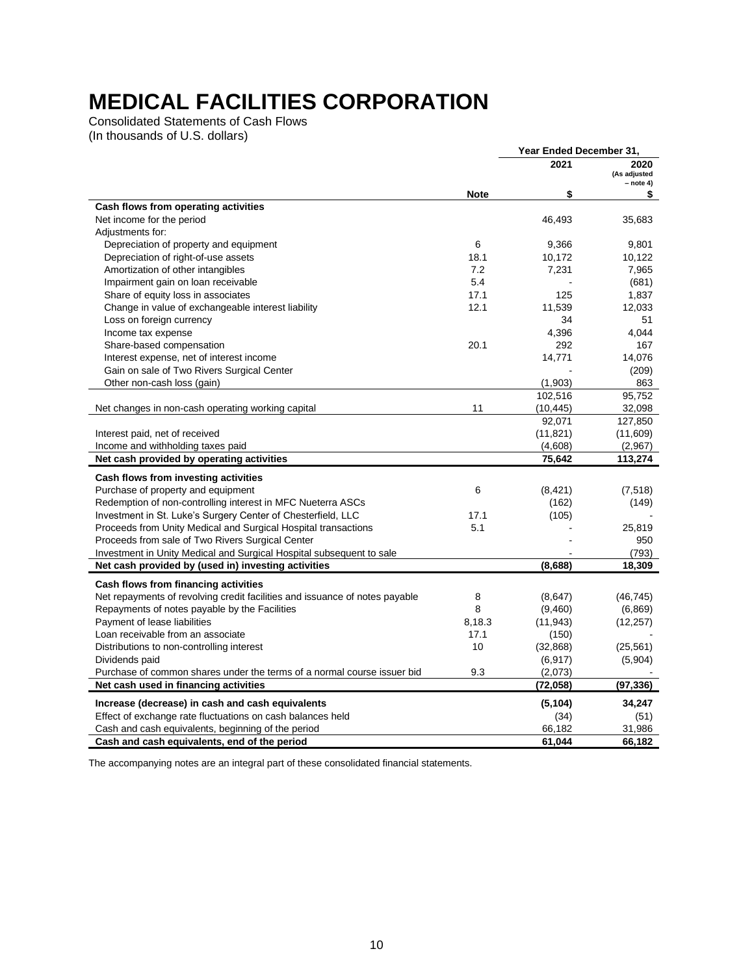Consolidated Statements of Cash Flows (In thousands of U.S. dollars)

|                                                                             |             | Year Ended December 31, |                                     |
|-----------------------------------------------------------------------------|-------------|-------------------------|-------------------------------------|
|                                                                             |             | 2021                    | 2020<br>(As adjusted<br>$-$ note 4) |
|                                                                             | <b>Note</b> | \$                      | \$                                  |
| Cash flows from operating activities                                        |             |                         |                                     |
| Net income for the period                                                   |             | 46,493                  | 35,683                              |
| Adjustments for:                                                            |             |                         |                                     |
| Depreciation of property and equipment                                      | 6           | 9,366                   | 9,801                               |
| Depreciation of right-of-use assets                                         | 18.1        | 10,172                  | 10,122                              |
| Amortization of other intangibles                                           | 7.2         | 7,231                   | 7,965                               |
| Impairment gain on loan receivable                                          | 5.4         |                         | (681)                               |
| Share of equity loss in associates                                          | 17.1        | 125                     | 1,837                               |
| Change in value of exchangeable interest liability                          | 12.1        | 11,539                  | 12,033                              |
| Loss on foreign currency                                                    |             | 34                      | 51                                  |
| Income tax expense                                                          |             | 4,396                   | 4,044                               |
| Share-based compensation                                                    | 20.1        | 292                     | 167                                 |
| Interest expense, net of interest income                                    |             | 14,771                  | 14,076                              |
| Gain on sale of Two Rivers Surgical Center                                  |             |                         | (209)                               |
| Other non-cash loss (gain)                                                  |             | (1,903)                 | 863                                 |
|                                                                             |             | 102,516                 | 95,752                              |
| Net changes in non-cash operating working capital                           | 11          | (10, 445)               | 32,098                              |
|                                                                             |             | 92,071                  | 127,850                             |
| Interest paid, net of received                                              |             | (11, 821)               | (11,609)                            |
| Income and withholding taxes paid                                           |             | (4,608)                 | (2,967)                             |
| Net cash provided by operating activities                                   |             | 75,642                  | 113,274                             |
| Cash flows from investing activities                                        |             |                         |                                     |
| Purchase of property and equipment                                          | 6           | (8, 421)                | (7, 518)                            |
| Redemption of non-controlling interest in MFC Nueterra ASCs                 |             | (162)                   | (149)                               |
| Investment in St. Luke's Surgery Center of Chesterfield, LLC                | 17.1        | (105)                   |                                     |
| Proceeds from Unity Medical and Surgical Hospital transactions              | 5.1         |                         | 25,819                              |
| Proceeds from sale of Two Rivers Surgical Center                            |             |                         | 950                                 |
| Investment in Unity Medical and Surgical Hospital subsequent to sale        |             |                         | (793)                               |
| Net cash provided by (used in) investing activities                         |             | (8,688)                 | 18,309                              |
|                                                                             |             |                         |                                     |
| Cash flows from financing activities                                        |             |                         |                                     |
| Net repayments of revolving credit facilities and issuance of notes payable | 8           | (8,647)                 | (46, 745)                           |
| Repayments of notes payable by the Facilities                               | 8           | (9,460)                 | (6,869)                             |
| Payment of lease liabilities                                                | 8,18.3      | (11, 943)               | (12, 257)                           |
| Loan receivable from an associate                                           | 17.1        | (150)                   |                                     |
| Distributions to non-controlling interest                                   | 10          | (32, 868)               | (25, 561)                           |
| Dividends paid                                                              |             | (6, 917)                | (5,904)                             |
| Purchase of common shares under the terms of a normal course issuer bid     | 9.3         | (2,073)                 |                                     |
| Net cash used in financing activities                                       |             | (72, 058)               | (97, 336)                           |
| Increase (decrease) in cash and cash equivalents                            |             | (5, 104)                | 34,247                              |
| Effect of exchange rate fluctuations on cash balances held                  |             | (34)                    | (51)                                |
| Cash and cash equivalents, beginning of the period                          |             | 66,182                  | 31,986                              |
| Cash and cash equivalents, end of the period                                |             | 61,044                  | 66,182                              |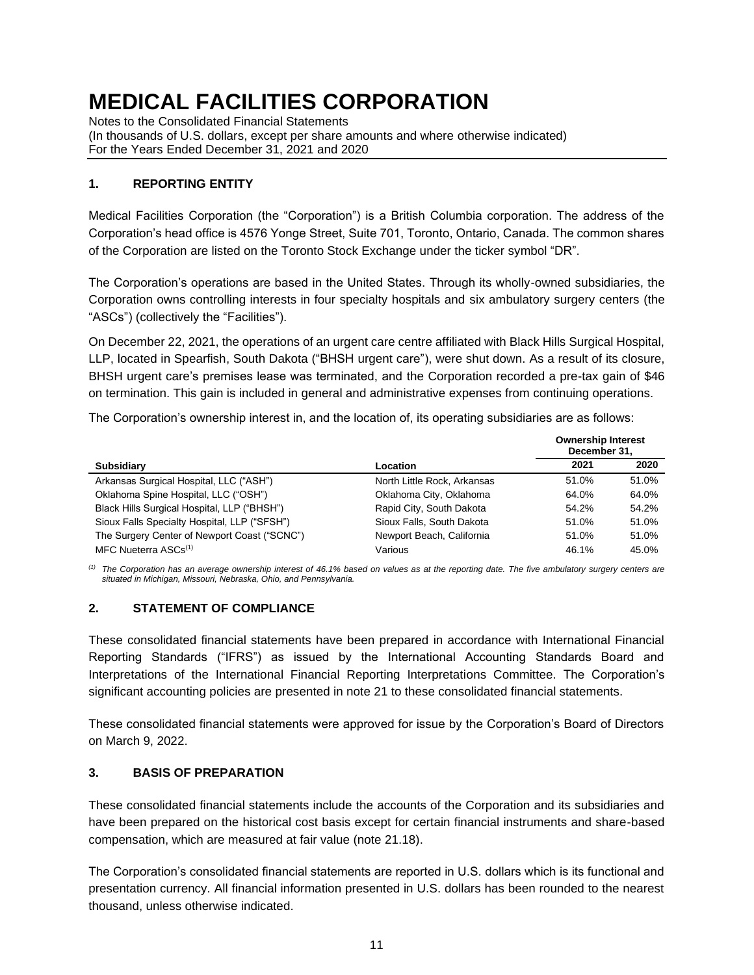Notes to the Consolidated Financial Statements (In thousands of U.S. dollars, except per share amounts and where otherwise indicated) For the Years Ended December 31, 2021 and 2020

### **1. REPORTING ENTITY**

Medical Facilities Corporation (the "Corporation") is a British Columbia corporation. The address of the Corporation's head office is 4576 Yonge Street, Suite 701, Toronto, Ontario, Canada. The common shares of the Corporation are listed on the Toronto Stock Exchange under the ticker symbol "DR".

The Corporation's operations are based in the United States. Through its wholly-owned subsidiaries, the Corporation owns controlling interests in four specialty hospitals and six ambulatory surgery centers (the "ASCs") (collectively the "Facilities").

On December 22, 2021, the operations of an urgent care centre affiliated with Black Hills Surgical Hospital, LLP, located in Spearfish, South Dakota ("BHSH urgent care"), were shut down. As a result of its closure, BHSH urgent care's premises lease was terminated, and the Corporation recorded a pre-tax gain of \$46 on termination. This gain is included in general and administrative expenses from continuing operations.

The Corporation's ownership interest in, and the location of, its operating subsidiaries are as follows:

|                                              |                             | <b>Ownership Interest</b><br>December 31, |       |
|----------------------------------------------|-----------------------------|-------------------------------------------|-------|
| <b>Subsidiary</b>                            | Location                    | 2021                                      | 2020  |
| Arkansas Surgical Hospital, LLC ("ASH")      | North Little Rock, Arkansas | 51.0%                                     | 51.0% |
| Oklahoma Spine Hospital, LLC ("OSH")         | Oklahoma City, Oklahoma     | 64.0%                                     | 64.0% |
| Black Hills Surgical Hospital, LLP ("BHSH")  | Rapid City, South Dakota    | 54.2%                                     | 54.2% |
| Sioux Falls Specialty Hospital, LLP ("SFSH") | Sioux Falls, South Dakota   | 51.0%                                     | 51.0% |
| The Surgery Center of Newport Coast ("SCNC") | Newport Beach, California   | 51.0%                                     | 51.0% |
| MFC Nueterra ASCs <sup>(1)</sup>             | Various                     | 46.1%                                     | 45.0% |

*(1) The Corporation has an average ownership interest of 46.1% based on values as at the reporting date. The five ambulatory surgery centers are situated in Michigan, Missouri, Nebraska, Ohio, and Pennsylvania.*

# **2. STATEMENT OF COMPLIANCE**

These consolidated financial statements have been prepared in accordance with International Financial Reporting Standards ("IFRS") as issued by the International Accounting Standards Board and Interpretations of the International Financial Reporting Interpretations Committee. The Corporation's significant accounting policies are presented in note 21 to these consolidated financial statements.

These consolidated financial statements were approved for issue by the Corporation's Board of Directors on March 9, 2022.

### **3. BASIS OF PREPARATION**

These consolidated financial statements include the accounts of the Corporation and its subsidiaries and have been prepared on the historical cost basis except for certain financial instruments and share-based compensation, which are measured at fair value (note 21.18).

The Corporation's consolidated financial statements are reported in U.S. dollars which is its functional and presentation currency. All financial information presented in U.S. dollars has been rounded to the nearest thousand, unless otherwise indicated.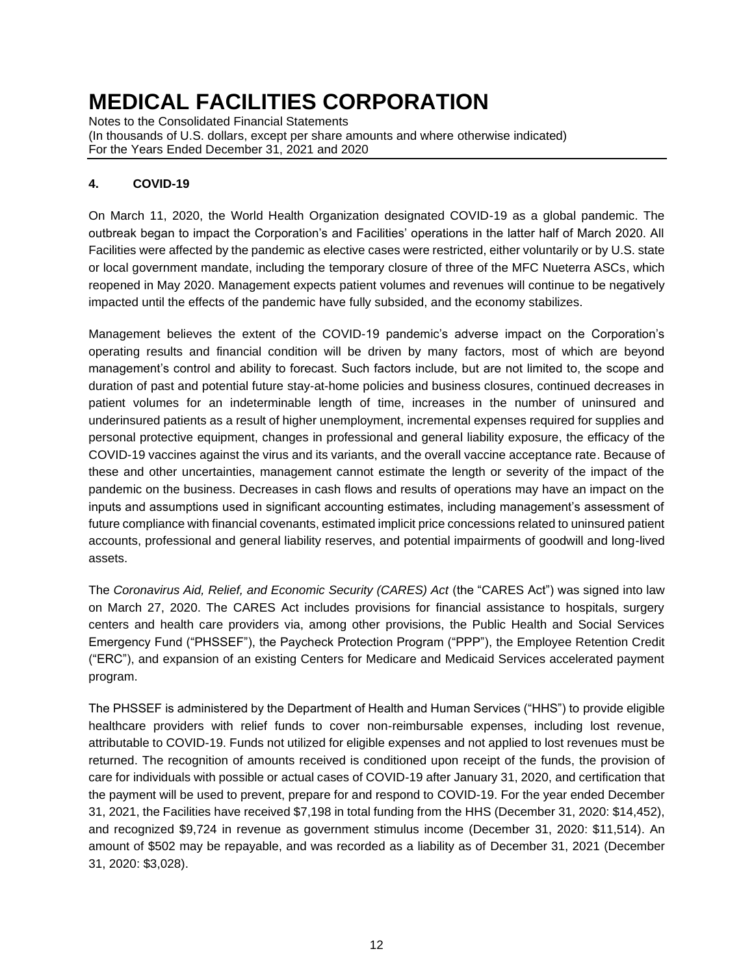Notes to the Consolidated Financial Statements (In thousands of U.S. dollars, except per share amounts and where otherwise indicated) For the Years Ended December 31, 2021 and 2020

# **4. COVID-19**

On March 11, 2020, the World Health Organization designated COVID-19 as a global pandemic. The outbreak began to impact the Corporation's and Facilities' operations in the latter half of March 2020. All Facilities were affected by the pandemic as elective cases were restricted, either voluntarily or by U.S. state or local government mandate, including the temporary closure of three of the MFC Nueterra ASCs, which reopened in May 2020. Management expects patient volumes and revenues will continue to be negatively impacted until the effects of the pandemic have fully subsided, and the economy stabilizes.

Management believes the extent of the COVID-19 pandemic's adverse impact on the Corporation's operating results and financial condition will be driven by many factors, most of which are beyond management's control and ability to forecast. Such factors include, but are not limited to, the scope and duration of past and potential future stay-at-home policies and business closures, continued decreases in patient volumes for an indeterminable length of time, increases in the number of uninsured and underinsured patients as a result of higher unemployment, incremental expenses required for supplies and personal protective equipment, changes in professional and general liability exposure, the efficacy of the COVID-19 vaccines against the virus and its variants, and the overall vaccine acceptance rate. Because of these and other uncertainties, management cannot estimate the length or severity of the impact of the pandemic on the business. Decreases in cash flows and results of operations may have an impact on the inputs and assumptions used in significant accounting estimates, including management's assessment of future compliance with financial covenants, estimated implicit price concessions related to uninsured patient accounts, professional and general liability reserves, and potential impairments of goodwill and long-lived assets.

The *Coronavirus Aid, Relief, and Economic Security (CARES) Act* (the "CARES Act") was signed into law on March 27, 2020. The CARES Act includes provisions for financial assistance to hospitals, surgery centers and health care providers via, among other provisions, the Public Health and Social Services Emergency Fund ("PHSSEF"), the Paycheck Protection Program ("PPP"), the Employee Retention Credit ("ERC"), and expansion of an existing Centers for Medicare and Medicaid Services accelerated payment program.

The PHSSEF is administered by the Department of Health and Human Services ("HHS") to provide eligible healthcare providers with relief funds to cover non-reimbursable expenses, including lost revenue, attributable to COVID-19. Funds not utilized for eligible expenses and not applied to lost revenues must be returned. The recognition of amounts received is conditioned upon receipt of the funds, the provision of care for individuals with possible or actual cases of COVID-19 after January 31, 2020, and certification that the payment will be used to prevent, prepare for and respond to COVID-19. For the year ended December 31, 2021, the Facilities have received \$7,198 in total funding from the HHS (December 31, 2020: \$14,452), and recognized \$9,724 in revenue as government stimulus income (December 31, 2020: \$11,514). An amount of \$502 may be repayable, and was recorded as a liability as of December 31, 2021 (December 31, 2020: \$3,028).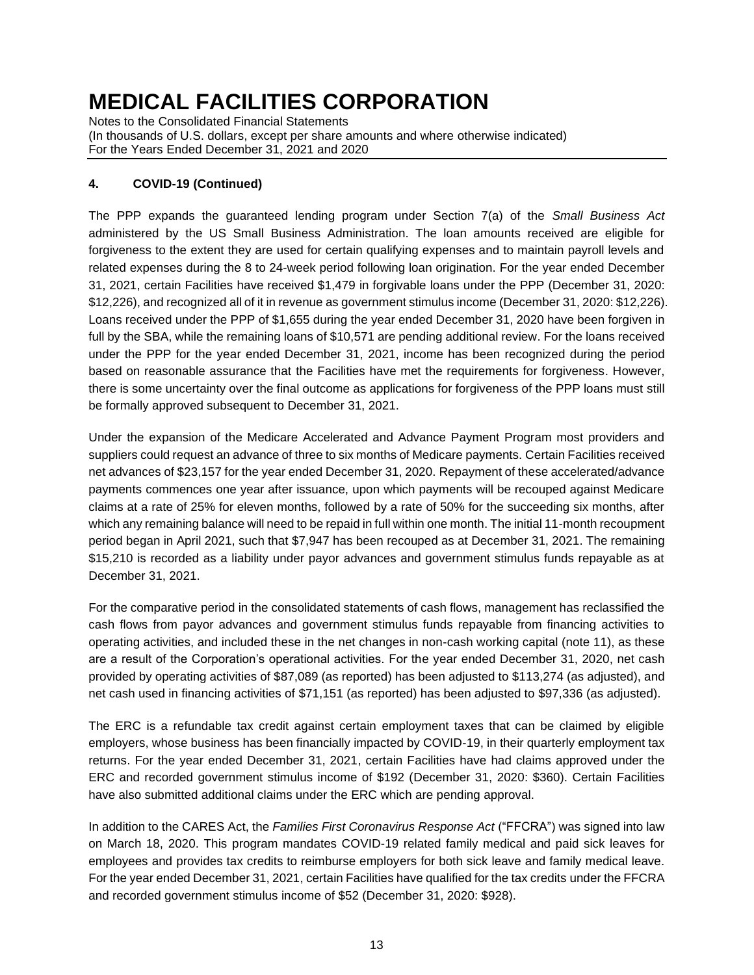Notes to the Consolidated Financial Statements (In thousands of U.S. dollars, except per share amounts and where otherwise indicated) For the Years Ended December 31, 2021 and 2020

# **4. COVID-19 (Continued)**

The PPP expands the guaranteed lending program under Section 7(a) of the *Small Business Act*  administered by the US Small Business Administration. The loan amounts received are eligible for forgiveness to the extent they are used for certain qualifying expenses and to maintain payroll levels and related expenses during the 8 to 24-week period following loan origination. For the year ended December 31, 2021, certain Facilities have received \$1,479 in forgivable loans under the PPP (December 31, 2020: \$12,226), and recognized all of it in revenue as government stimulus income (December 31, 2020: \$12,226). Loans received under the PPP of \$1,655 during the year ended December 31, 2020 have been forgiven in full by the SBA, while the remaining loans of \$10,571 are pending additional review. For the loans received under the PPP for the year ended December 31, 2021, income has been recognized during the period based on reasonable assurance that the Facilities have met the requirements for forgiveness. However, there is some uncertainty over the final outcome as applications for forgiveness of the PPP loans must still be formally approved subsequent to December 31, 2021.

Under the expansion of the Medicare Accelerated and Advance Payment Program most providers and suppliers could request an advance of three to six months of Medicare payments. Certain Facilities received net advances of \$23,157 for the year ended December 31, 2020. Repayment of these accelerated/advance payments commences one year after issuance, upon which payments will be recouped against Medicare claims at a rate of 25% for eleven months, followed by a rate of 50% for the succeeding six months, after which any remaining balance will need to be repaid in full within one month. The initial 11-month recoupment period began in April 2021, such that \$7,947 has been recouped as at December 31, 2021. The remaining \$15,210 is recorded as a liability under payor advances and government stimulus funds repayable as at December 31, 2021.

For the comparative period in the consolidated statements of cash flows, management has reclassified the cash flows from payor advances and government stimulus funds repayable from financing activities to operating activities, and included these in the net changes in non-cash working capital (note 11), as these are a result of the Corporation's operational activities. For the year ended December 31, 2020, net cash provided by operating activities of \$87,089 (as reported) has been adjusted to \$113,274 (as adjusted), and net cash used in financing activities of \$71,151 (as reported) has been adjusted to \$97,336 (as adjusted).

The ERC is a refundable tax credit against certain employment taxes that can be claimed by eligible employers, whose business has been financially impacted by COVID-19, in their quarterly employment tax returns. For the year ended December 31, 2021, certain Facilities have had claims approved under the ERC and recorded government stimulus income of \$192 (December 31, 2020: \$360). Certain Facilities have also submitted additional claims under the ERC which are pending approval.

In addition to the CARES Act, the *Families First Coronavirus Response Act* ("FFCRA") was signed into law on March 18, 2020. This program mandates COVID-19 related family medical and paid sick leaves for employees and provides tax credits to reimburse employers for both sick leave and family medical leave. For the year ended December 31, 2021, certain Facilities have qualified for the tax credits under the FFCRA and recorded government stimulus income of \$52 (December 31, 2020: \$928).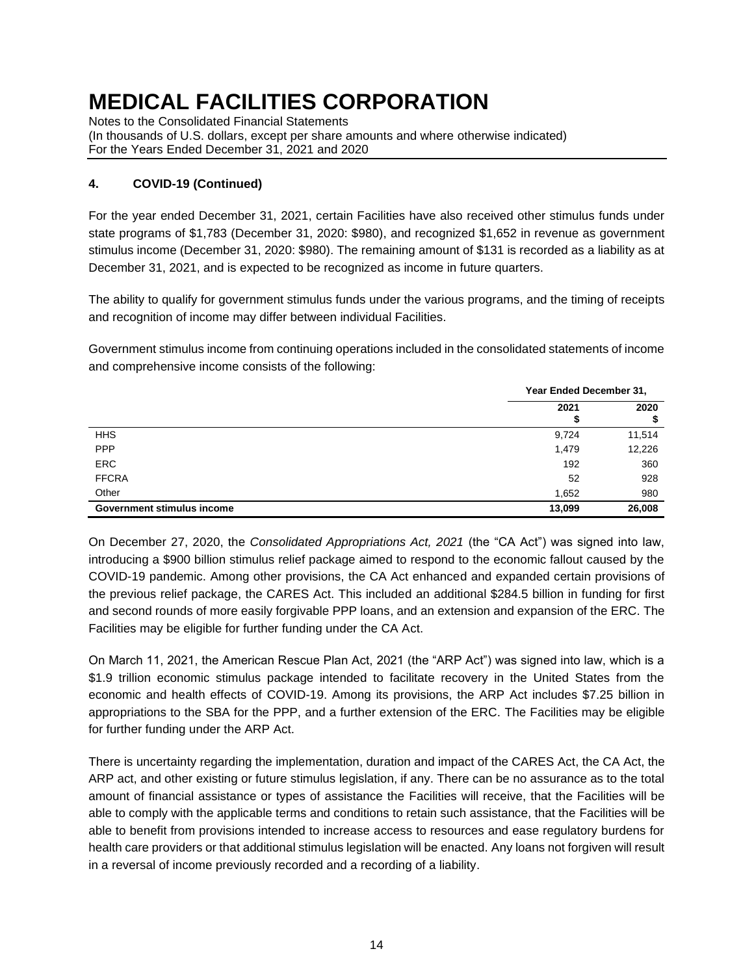Notes to the Consolidated Financial Statements (In thousands of U.S. dollars, except per share amounts and where otherwise indicated) For the Years Ended December 31, 2021 and 2020

# **4. COVID-19 (Continued)**

For the year ended December 31, 2021, certain Facilities have also received other stimulus funds under state programs of \$1,783 (December 31, 2020: \$980), and recognized \$1,652 in revenue as government stimulus income (December 31, 2020: \$980). The remaining amount of \$131 is recorded as a liability as at December 31, 2021, and is expected to be recognized as income in future quarters.

The ability to qualify for government stimulus funds under the various programs, and the timing of receipts and recognition of income may differ between individual Facilities.

Government stimulus income from continuing operations included in the consolidated statements of income and comprehensive income consists of the following:

|                            | Year Ended December 31, |        |
|----------------------------|-------------------------|--------|
|                            | 2021                    | 2020   |
| <b>HHS</b>                 | 9,724                   | 11,514 |
| <b>PPP</b>                 | 1,479                   | 12,226 |
| <b>ERC</b>                 | 192                     | 360    |
| <b>FFCRA</b>               | 52                      | 928    |
| Other                      | 1,652                   | 980    |
| Government stimulus income | 13,099                  | 26,008 |

On December 27, 2020, the *Consolidated Appropriations Act, 2021* (the "CA Act") was signed into law, introducing a \$900 billion stimulus relief package aimed to respond to the economic fallout caused by the COVID-19 pandemic. Among other provisions, the CA Act enhanced and expanded certain provisions of the previous relief package, the CARES Act. This included an additional \$284.5 billion in funding for first and second rounds of more easily forgivable PPP loans, and an extension and expansion of the ERC. The Facilities may be eligible for further funding under the CA Act.

On March 11, 2021, the American Rescue Plan Act, 2021 (the "ARP Act") was signed into law, which is a \$1.9 trillion economic stimulus package intended to facilitate recovery in the United States from the economic and health effects of COVID-19. Among its provisions, the ARP Act includes \$7.25 billion in appropriations to the SBA for the PPP, and a further extension of the ERC. The Facilities may be eligible for further funding under the ARP Act.

There is uncertainty regarding the implementation, duration and impact of the CARES Act, the CA Act, the ARP act, and other existing or future stimulus legislation, if any. There can be no assurance as to the total amount of financial assistance or types of assistance the Facilities will receive, that the Facilities will be able to comply with the applicable terms and conditions to retain such assistance, that the Facilities will be able to benefit from provisions intended to increase access to resources and ease regulatory burdens for health care providers or that additional stimulus legislation will be enacted. Any loans not forgiven will result in a reversal of income previously recorded and a recording of a liability.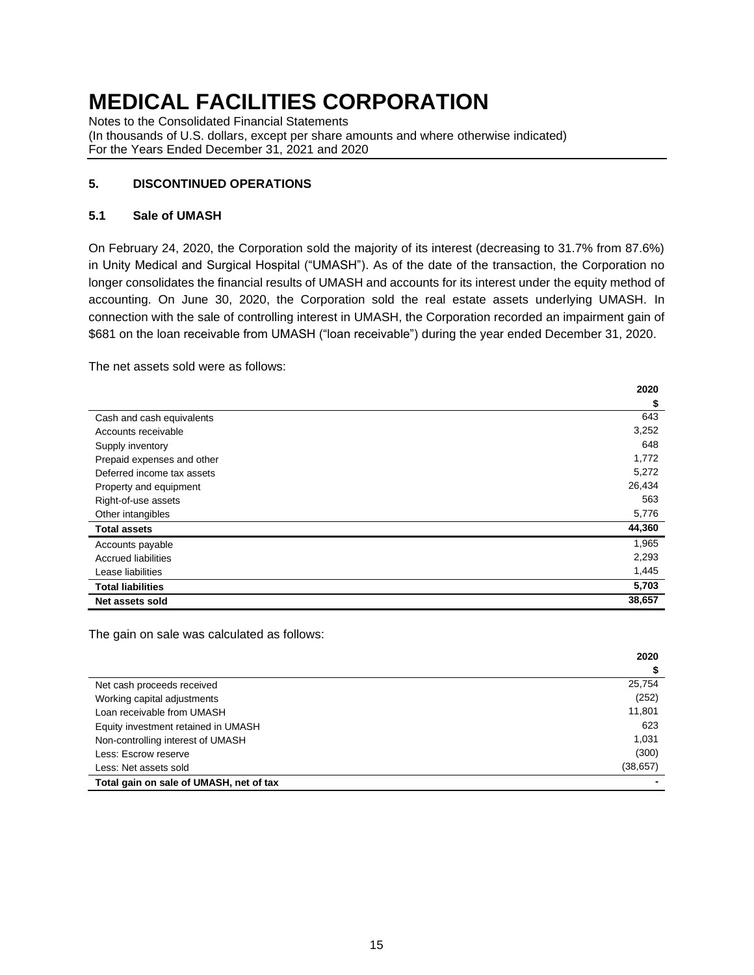Notes to the Consolidated Financial Statements (In thousands of U.S. dollars, except per share amounts and where otherwise indicated) For the Years Ended December 31, 2021 and 2020

### **5. DISCONTINUED OPERATIONS**

#### **5.1 Sale of UMASH**

On February 24, 2020, the Corporation sold the majority of its interest (decreasing to 31.7% from 87.6%) in Unity Medical and Surgical Hospital ("UMASH"). As of the date of the transaction, the Corporation no longer consolidates the financial results of UMASH and accounts for its interest under the equity method of accounting. On June 30, 2020, the Corporation sold the real estate assets underlying UMASH. In connection with the sale of controlling interest in UMASH, the Corporation recorded an impairment gain of \$681 on the loan receivable from UMASH ("loan receivable") during the year ended December 31, 2020.

The net assets sold were as follows:

|                            | 2020   |
|----------------------------|--------|
|                            | \$     |
| Cash and cash equivalents  | 643    |
| Accounts receivable        | 3,252  |
| Supply inventory           | 648    |
| Prepaid expenses and other | 1,772  |
| Deferred income tax assets | 5,272  |
| Property and equipment     | 26,434 |
| Right-of-use assets        | 563    |
| Other intangibles          | 5,776  |
| <b>Total assets</b>        | 44,360 |
| Accounts payable           | 1,965  |
| <b>Accrued liabilities</b> | 2,293  |
| Lease liabilities          | 1,445  |
| <b>Total liabilities</b>   | 5,703  |
| Net assets sold            | 38,657 |

The gain on sale was calculated as follows:

|                                         | 2020      |
|-----------------------------------------|-----------|
|                                         |           |
| Net cash proceeds received              | 25,754    |
| Working capital adjustments             | (252)     |
| Loan receivable from UMASH              | 11,801    |
| Equity investment retained in UMASH     | 623       |
| Non-controlling interest of UMASH       | 1.031     |
| Less: Escrow reserve                    | (300)     |
| Less: Net assets sold                   | (38, 657) |
| Total gain on sale of UMASH, net of tax |           |

**2020**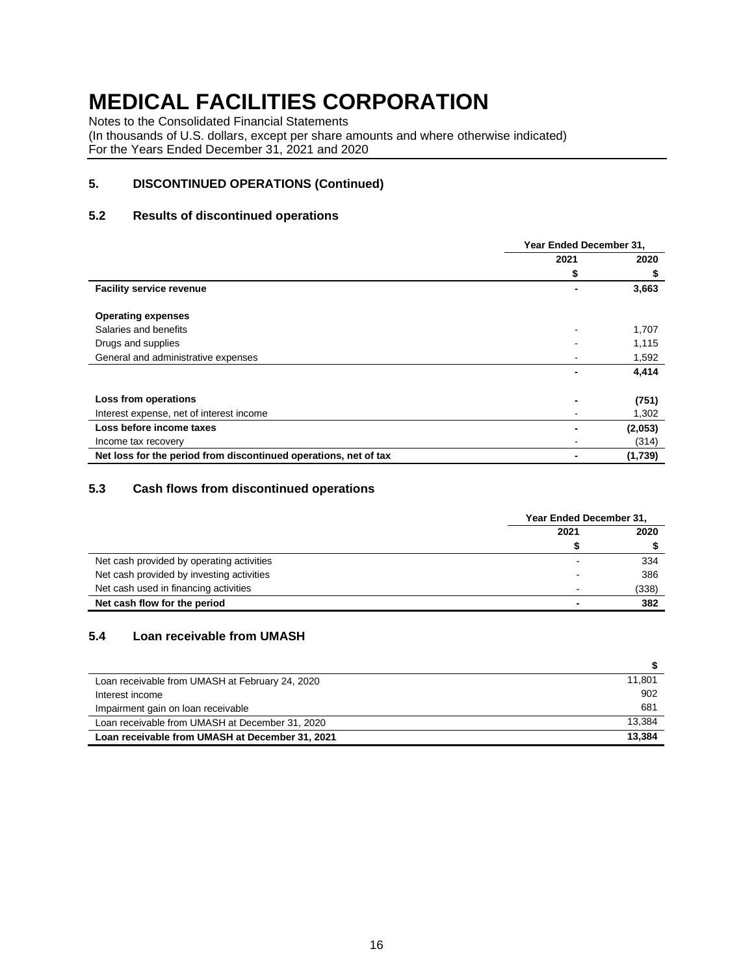Notes to the Consolidated Financial Statements

(In thousands of U.S. dollars, except per share amounts and where otherwise indicated) For the Years Ended December 31, 2021 and 2020

### **5. DISCONTINUED OPERATIONS (Continued)**

#### **5.2 Results of discontinued operations**

|                                                                  |      | Year Ended December 31, |  |
|------------------------------------------------------------------|------|-------------------------|--|
|                                                                  | 2021 | 2020                    |  |
|                                                                  | \$   | \$                      |  |
| <b>Facility service revenue</b>                                  |      | 3,663                   |  |
| <b>Operating expenses</b>                                        |      |                         |  |
| Salaries and benefits                                            |      | 1,707                   |  |
| Drugs and supplies                                               |      | 1,115                   |  |
| General and administrative expenses                              |      | 1,592                   |  |
|                                                                  |      | 4,414                   |  |
| Loss from operations                                             |      | (751)                   |  |
| Interest expense, net of interest income                         |      | 1,302                   |  |
| Loss before income taxes                                         |      | (2,053)                 |  |
| Income tax recovery                                              |      | (314)                   |  |
| Net loss for the period from discontinued operations, net of tax |      | (1,739)                 |  |

### **5.3 Cash flows from discontinued operations**

|                                           | Year Ended December 31,  |       |
|-------------------------------------------|--------------------------|-------|
|                                           | 2021                     | 2020  |
|                                           |                          |       |
| Net cash provided by operating activities |                          | 334   |
| Net cash provided by investing activities | -                        | 386   |
| Net cash used in financing activities     | $\overline{\phantom{0}}$ | (338) |
| Net cash flow for the period              |                          | 382   |

#### **5.4 Loan receivable from UMASH**

| Loan receivable from UMASH at February 24, 2020 | 11.801 |
|-------------------------------------------------|--------|
| Interest income                                 | 902    |
| Impairment gain on loan receivable              | 681    |
| Loan receivable from UMASH at December 31, 2020 | 13.384 |
| Loan receivable from UMASH at December 31, 2021 | 13.384 |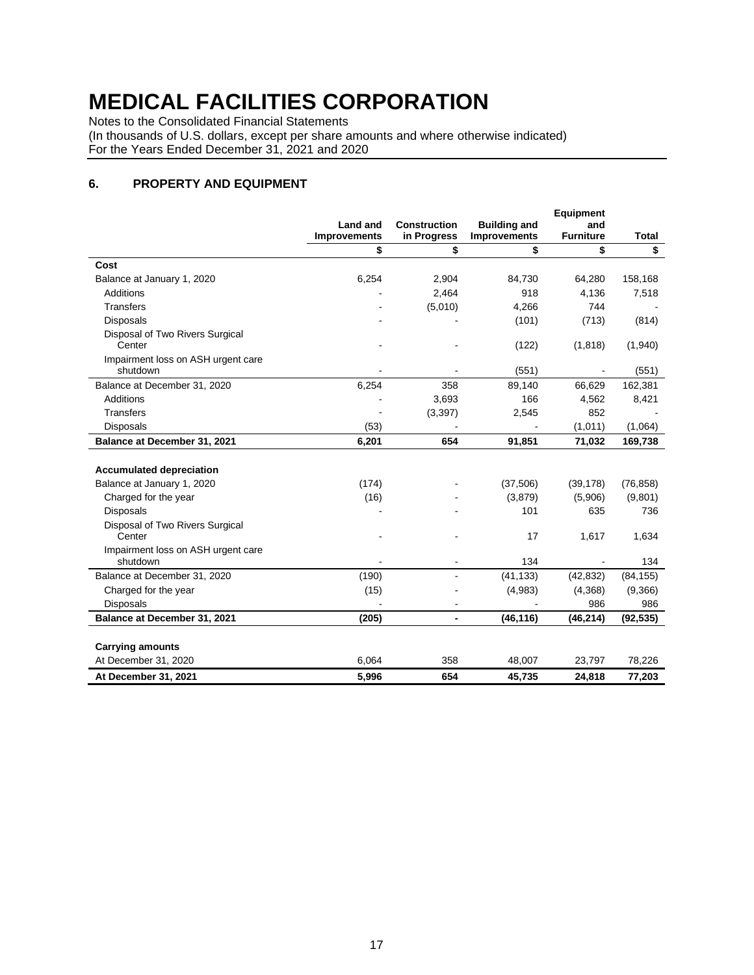Notes to the Consolidated Financial Statements

(In thousands of U.S. dollars, except per share amounts and where otherwise indicated) For the Years Ended December 31, 2021 and 2020

### **6. PROPERTY AND EQUIPMENT**

|                                                |                                        |                                    |                                            | <b>Equipment</b>        |              |
|------------------------------------------------|----------------------------------------|------------------------------------|--------------------------------------------|-------------------------|--------------|
|                                                | <b>Land and</b><br><b>Improvements</b> | <b>Construction</b><br>in Progress | <b>Building and</b><br><b>Improvements</b> | and<br><b>Furniture</b> | <b>Total</b> |
|                                                | \$                                     | \$                                 | \$                                         | \$                      | \$           |
| Cost                                           |                                        |                                    |                                            |                         |              |
| Balance at January 1, 2020                     | 6,254                                  | 2,904                              | 84,730                                     | 64,280                  | 158,168      |
| <b>Additions</b>                               |                                        | 2,464                              | 918                                        | 4,136                   | 7,518        |
| Transfers                                      |                                        | (5,010)                            | 4,266                                      | 744                     |              |
| <b>Disposals</b>                               |                                        |                                    | (101)                                      | (713)                   | (814)        |
| Disposal of Two Rivers Surgical<br>Center      |                                        |                                    | (122)                                      | (1, 818)                | (1,940)      |
| Impairment loss on ASH urgent care<br>shutdown |                                        |                                    | (551)                                      | $\blacksquare$          | (551)        |
| Balance at December 31, 2020                   | 6,254                                  | 358                                | 89,140                                     | 66,629                  | 162,381      |
| <b>Additions</b>                               |                                        | 3,693                              | 166                                        | 4,562                   | 8,421        |
| <b>Transfers</b>                               |                                        | (3, 397)                           | 2,545                                      | 852                     |              |
| <b>Disposals</b>                               | (53)                                   |                                    |                                            | (1,011)                 | (1,064)      |
| Balance at December 31, 2021                   | 6,201                                  | 654                                | 91.851                                     | 71,032                  | 169,738      |
| <b>Accumulated depreciation</b>                |                                        |                                    |                                            |                         |              |
| Balance at January 1, 2020                     | (174)                                  |                                    | (37, 506)                                  | (39, 178)               | (76, 858)    |
| Charged for the year                           | (16)                                   |                                    | (3,879)                                    | (5,906)                 | (9,801)      |
| <b>Disposals</b>                               |                                        |                                    | 101                                        | 635                     | 736          |
| Disposal of Two Rivers Surgical<br>Center      |                                        |                                    | 17                                         | 1,617                   | 1,634        |
| Impairment loss on ASH urgent care<br>shutdown |                                        |                                    | 134                                        |                         | 134          |
| Balance at December 31, 2020                   | (190)                                  |                                    | (41, 133)                                  | (42, 832)               | (84, 155)    |
| Charged for the year                           | (15)                                   |                                    | (4,983)                                    | (4,368)                 | (9,366)      |
| <b>Disposals</b>                               |                                        |                                    |                                            | 986                     | 986          |
| Balance at December 31, 2021                   | (205)                                  | $\blacksquare$                     | (46, 116)                                  | (46, 214)               | (92, 535)    |
| <b>Carrying amounts</b>                        |                                        |                                    |                                            |                         |              |
| At December 31, 2020                           | 6,064                                  | 358                                | 48,007                                     | 23,797                  | 78,226       |
| At December 31, 2021                           | 5,996                                  | 654                                | 45,735                                     | 24,818                  | 77,203       |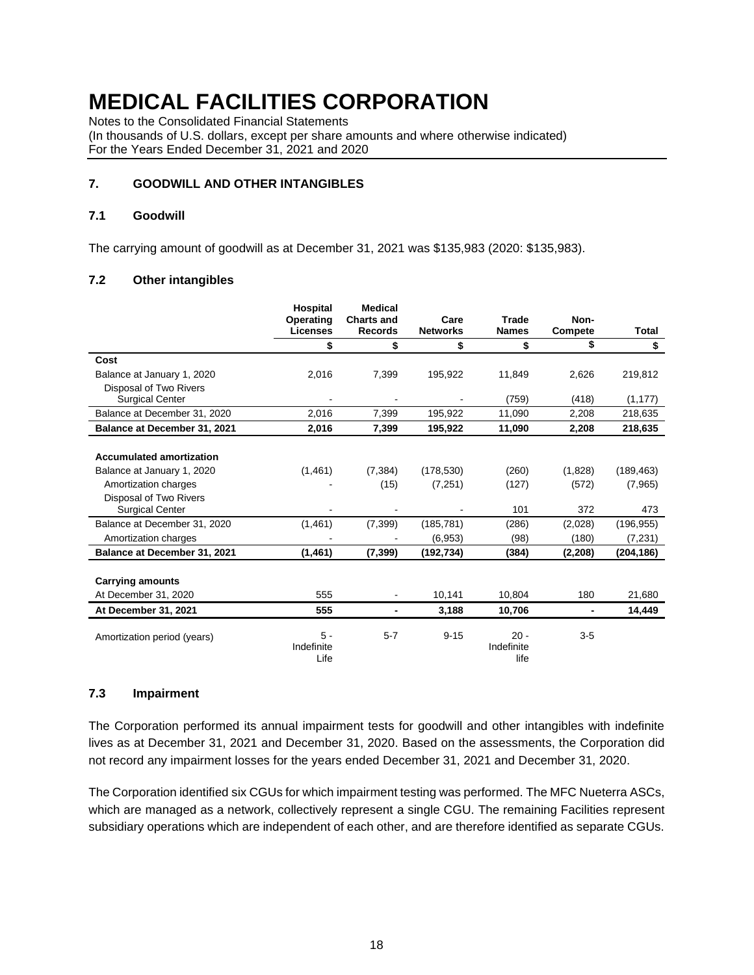Notes to the Consolidated Financial Statements

(In thousands of U.S. dollars, except per share amounts and where otherwise indicated) For the Years Ended December 31, 2021 and 2020

#### **7. GOODWILL AND OTHER INTANGIBLES**

#### **7.1 Goodwill**

The carrying amount of goodwill as at December 31, 2021 was \$135,983 (2020: \$135,983).

#### **7.2 Other intangibles**

|                                 | <b>Hospital</b>             | <b>Medical</b>    |                 |                              |                |            |
|---------------------------------|-----------------------------|-------------------|-----------------|------------------------------|----------------|------------|
|                                 | Operating                   | <b>Charts and</b> | Care            | <b>Trade</b>                 | Non-           |            |
|                                 | <b>Licenses</b>             | <b>Records</b>    | <b>Networks</b> | <b>Names</b>                 | Compete        | Total      |
|                                 | \$                          | \$                | \$              | \$                           | \$             | \$         |
| Cost                            |                             |                   |                 |                              |                |            |
| Balance at January 1, 2020      | 2,016                       | 7,399             | 195,922         | 11,849                       | 2,626          | 219,812    |
| Disposal of Two Rivers          |                             |                   |                 |                              |                |            |
| <b>Surgical Center</b>          |                             |                   |                 | (759)                        | (418)          | (1, 177)   |
| Balance at December 31, 2020    | 2.016                       | 7,399             | 195,922         | 11,090                       | 2,208          | 218,635    |
| Balance at December 31, 2021    | 2,016                       | 7,399             | 195,922         | 11,090                       | 2,208          | 218,635    |
|                                 |                             |                   |                 |                              |                |            |
| <b>Accumulated amortization</b> |                             |                   |                 |                              |                |            |
| Balance at January 1, 2020      | (1,461)                     | (7, 384)          | (178, 530)      | (260)                        | (1,828)        | (189, 463) |
| Amortization charges            |                             | (15)              | (7,251)         | (127)                        | (572)          | (7,965)    |
| Disposal of Two Rivers          |                             |                   |                 |                              |                |            |
| <b>Surgical Center</b>          |                             |                   |                 | 101                          | 372            | 473        |
| Balance at December 31, 2020    | (1,461)                     | (7, 399)          | (185, 781)      | (286)                        | (2,028)        | (196, 955) |
| Amortization charges            |                             |                   | (6,953)         | (98)                         | (180)          | (7,231)    |
| Balance at December 31, 2021    | (1, 461)                    | (7, 399)          | (192, 734)      | (384)                        | (2, 208)       | (204, 186) |
|                                 |                             |                   |                 |                              |                |            |
| <b>Carrying amounts</b>         |                             |                   |                 |                              |                |            |
| At December 31, 2020            | 555                         |                   | 10,141          | 10,804                       | 180            | 21,680     |
| At December 31, 2021            | 555                         |                   | 3,188           | 10,706                       | $\blacksquare$ | 14,449     |
| Amortization period (years)     | $5 -$<br>Indefinite<br>Life | $5 - 7$           | $9 - 15$        | $20 -$<br>Indefinite<br>life | $3-5$          |            |

#### **7.3 Impairment**

The Corporation performed its annual impairment tests for goodwill and other intangibles with indefinite lives as at December 31, 2021 and December 31, 2020. Based on the assessments, the Corporation did not record any impairment losses for the years ended December 31, 2021 and December 31, 2020.

The Corporation identified six CGUs for which impairment testing was performed. The MFC Nueterra ASCs, which are managed as a network, collectively represent a single CGU. The remaining Facilities represent subsidiary operations which are independent of each other, and are therefore identified as separate CGUs.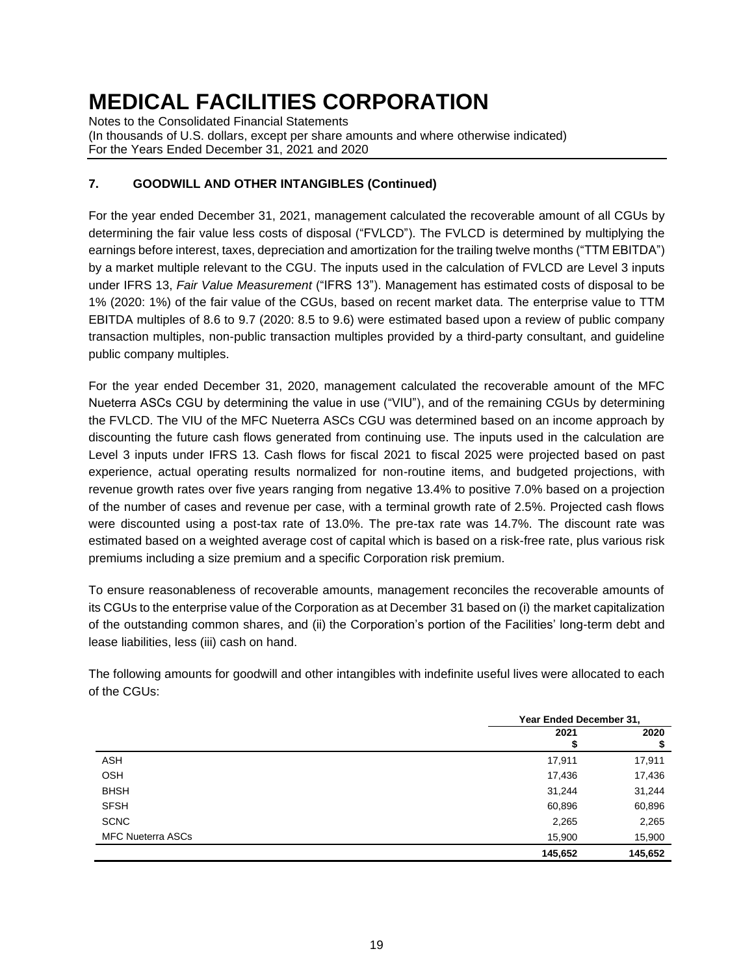Notes to the Consolidated Financial Statements (In thousands of U.S. dollars, except per share amounts and where otherwise indicated) For the Years Ended December 31, 2021 and 2020

# **7. GOODWILL AND OTHER INTANGIBLES (Continued)**

For the year ended December 31, 2021, management calculated the recoverable amount of all CGUs by determining the fair value less costs of disposal ("FVLCD"). The FVLCD is determined by multiplying the earnings before interest, taxes, depreciation and amortization for the trailing twelve months ("TTM EBITDA") by a market multiple relevant to the CGU. The inputs used in the calculation of FVLCD are Level 3 inputs under IFRS 13, *Fair Value Measurement* ("IFRS 13"). Management has estimated costs of disposal to be 1% (2020: 1%) of the fair value of the CGUs, based on recent market data. The enterprise value to TTM EBITDA multiples of 8.6 to 9.7 (2020: 8.5 to 9.6) were estimated based upon a review of public company transaction multiples, non-public transaction multiples provided by a third-party consultant, and guideline public company multiples.

For the year ended December 31, 2020, management calculated the recoverable amount of the MFC Nueterra ASCs CGU by determining the value in use ("VIU"), and of the remaining CGUs by determining the FVLCD. The VIU of the MFC Nueterra ASCs CGU was determined based on an income approach by discounting the future cash flows generated from continuing use. The inputs used in the calculation are Level 3 inputs under IFRS 13. Cash flows for fiscal 2021 to fiscal 2025 were projected based on past experience, actual operating results normalized for non-routine items, and budgeted projections, with revenue growth rates over five years ranging from negative 13.4% to positive 7.0% based on a projection of the number of cases and revenue per case, with a terminal growth rate of 2.5%. Projected cash flows were discounted using a post-tax rate of 13.0%. The pre-tax rate was 14.7%. The discount rate was estimated based on a weighted average cost of capital which is based on a risk-free rate, plus various risk premiums including a size premium and a specific Corporation risk premium.

To ensure reasonableness of recoverable amounts, management reconciles the recoverable amounts of its CGUs to the enterprise value of the Corporation as at December 31 based on (i) the market capitalization of the outstanding common shares, and (ii) the Corporation's portion of the Facilities' long-term debt and lease liabilities, less (iii) cash on hand.

The following amounts for goodwill and other intangibles with indefinite useful lives were allocated to each of the CGUs:

|                          | Year Ended December 31, |            |  |  |
|--------------------------|-------------------------|------------|--|--|
|                          | 2021                    | 2020<br>\$ |  |  |
| <b>ASH</b>               | 17,911                  | 17,911     |  |  |
| <b>OSH</b>               | 17,436                  | 17,436     |  |  |
| <b>BHSH</b>              | 31,244                  | 31,244     |  |  |
| <b>SFSH</b>              | 60,896                  | 60,896     |  |  |
| <b>SCNC</b>              | 2,265                   | 2,265      |  |  |
| <b>MFC Nueterra ASCs</b> | 15,900                  | 15,900     |  |  |
|                          | 145,652                 | 145,652    |  |  |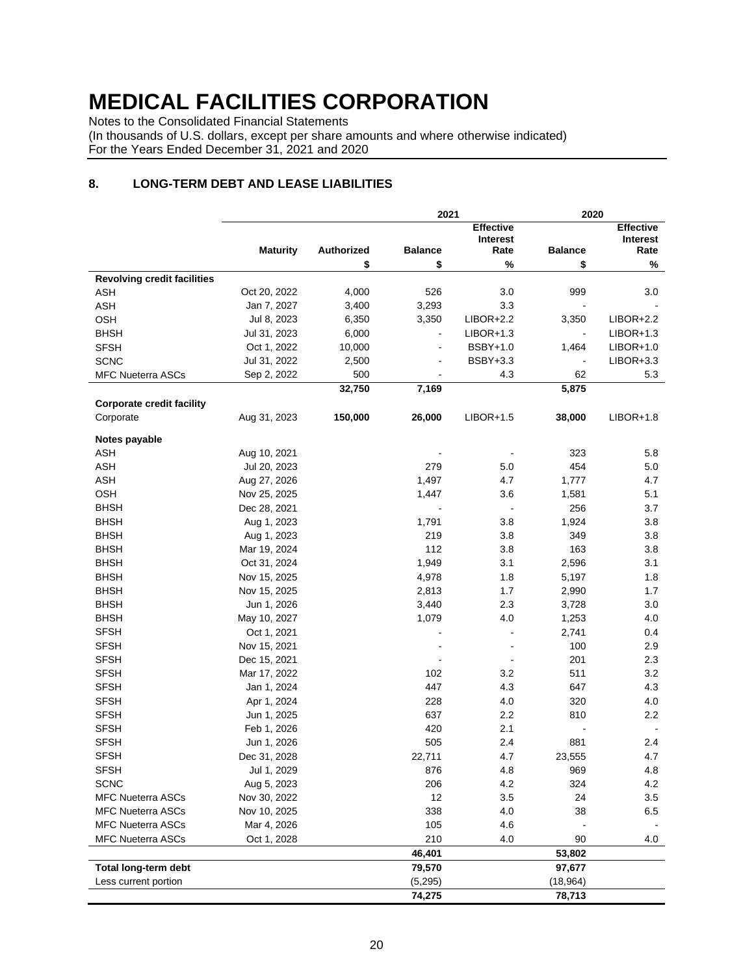Notes to the Consolidated Financial Statements

(In thousands of U.S. dollars, except per share amounts and where otherwise indicated) For the Years Ended December 31, 2021 and 2020

### **8. LONG-TERM DEBT AND LEASE LIABILITIES**

|                                    |                 |            | 2021           | 2020             |                |                  |
|------------------------------------|-----------------|------------|----------------|------------------|----------------|------------------|
|                                    |                 |            |                | <b>Effective</b> |                | <b>Effective</b> |
|                                    |                 |            |                | <b>Interest</b>  |                | Interest         |
|                                    | <b>Maturity</b> | Authorized | <b>Balance</b> | Rate             | <b>Balance</b> | Rate             |
|                                    |                 | \$         | \$             | %                | \$             | %                |
| <b>Revolving credit facilities</b> |                 |            |                |                  |                |                  |
| ASH                                | Oct 20, 2022    | 4,000      | 526            | 3.0              | 999            | 3.0              |
| <b>ASH</b>                         | Jan 7, 2027     | 3,400      | 3,293          | 3.3              |                |                  |
| OSH                                | Jul 8, 2023     | 6,350      | 3,350          | $LIBOR+2.2$      | 3,350          | $LIBOR+2.2$      |
| <b>BHSH</b>                        | Jul 31, 2023    | 6,000      |                | $LIBOR+1.3$      |                | $LIBOR+1.3$      |
| <b>SFSH</b>                        | Oct 1, 2022     | 10,000     |                | <b>BSBY+1.0</b>  | 1,464          | $LIBOR+1.0$      |
| <b>SCNC</b>                        | Jul 31, 2022    | 2,500      |                | <b>BSBY+3.3</b>  |                | $LIBOR+3.3$      |
| <b>MFC Nueterra ASCs</b>           | Sep 2, 2022     | 500        | $\blacksquare$ | 4.3              | 62             | 5.3              |
|                                    |                 | 32,750     | 7,169          |                  | 5,875          |                  |
| <b>Corporate credit facility</b>   |                 |            |                |                  |                |                  |
| Corporate                          | Aug 31, 2023    | 150,000    | 26,000         | $LIBOR+1.5$      | 38,000         | $LIBOR+1.8$      |
|                                    |                 |            |                |                  |                |                  |
| Notes payable                      |                 |            |                |                  |                |                  |
| <b>ASH</b>                         | Aug 10, 2021    |            |                |                  | 323            | 5.8              |
| <b>ASH</b>                         | Jul 20, 2023    |            | 279            | 5.0              | 454            | 5.0              |
| <b>ASH</b>                         | Aug 27, 2026    |            | 1,497          | 4.7              | 1,777          | 4.7              |
| OSH                                | Nov 25, 2025    |            | 1,447          | 3.6              | 1,581          | 5.1              |
| <b>BHSH</b>                        | Dec 28, 2021    |            |                |                  | 256            | 3.7              |
| <b>BHSH</b>                        | Aug 1, 2023     |            | 1,791          | 3.8              | 1,924          | 3.8              |
| <b>BHSH</b>                        | Aug 1, 2023     |            | 219            | 3.8              | 349            | 3.8              |
| <b>BHSH</b>                        | Mar 19, 2024    |            | 112            | 3.8              | 163            | 3.8              |
| <b>BHSH</b>                        | Oct 31, 2024    |            | 1,949          | 3.1              | 2,596          | 3.1              |
| <b>BHSH</b>                        | Nov 15, 2025    |            | 4,978          | 1.8              | 5,197          | 1.8              |
| <b>BHSH</b>                        | Nov 15, 2025    |            | 2,813          | 1.7              | 2,990          | 1.7              |
| <b>BHSH</b>                        | Jun 1, 2026     |            | 3,440          | 2.3              | 3,728          | 3.0              |
| <b>BHSH</b>                        | May 10, 2027    |            | 1,079          | 4.0              | 1,253          | 4.0              |
| <b>SFSH</b>                        | Oct 1, 2021     |            |                |                  | 2,741          | 0.4              |
| <b>SFSH</b>                        | Nov 15, 2021    |            |                |                  | 100            | 2.9              |
| <b>SFSH</b>                        | Dec 15, 2021    |            |                |                  | 201            | 2.3              |
| <b>SFSH</b>                        | Mar 17, 2022    |            | 102            | 3.2              | 511            | 3.2              |
| <b>SFSH</b>                        | Jan 1, 2024     |            | 447            | 4.3              | 647            | 4.3              |
| <b>SFSH</b>                        | Apr 1, 2024     |            | 228            | 4.0              | 320            | 4.0              |
| <b>SFSH</b>                        | Jun 1, 2025     |            | 637            | 2.2              | 810            | 2.2              |
| <b>SFSH</b>                        | Feb 1, 2026     |            | 420            | 2.1              |                |                  |
| <b>SFSH</b>                        | Jun 1, 2026     |            | 505            | 2.4              | 881            | 2.4              |
| <b>SFSH</b>                        | Dec 31, 2028    |            | 22,711         | 4.7              | 23,555         | 4.7              |
| <b>SFSH</b>                        | Jul 1, 2029     |            | 876            | 4.8              | 969            | 4.8              |
| <b>SCNC</b>                        | Aug 5, 2023     |            | 206            | 4.2              | 324            | 4.2              |
| <b>MFC Nueterra ASCs</b>           | Nov 30, 2022    |            | 12             | 3.5              | 24             | 3.5              |
| <b>MFC Nueterra ASCs</b>           | Nov 10, 2025    |            | 338            | 4.0              | 38             | 6.5              |
| <b>MFC Nueterra ASCs</b>           | Mar 4, 2026     |            | 105            | 4.6              |                |                  |
| <b>MFC Nueterra ASCs</b>           | Oct 1, 2028     |            | 210            | 4.0              | 90             | 4.0              |
|                                    |                 |            |                |                  | 53,802         |                  |
|                                    |                 |            | 46,401         |                  |                |                  |
| Total long-term debt               |                 |            | 79,570         |                  | 97,677         |                  |
| Less current portion               |                 |            | (5,295)        |                  | (18, 964)      |                  |
|                                    |                 |            | 74,275         |                  | 78,713         |                  |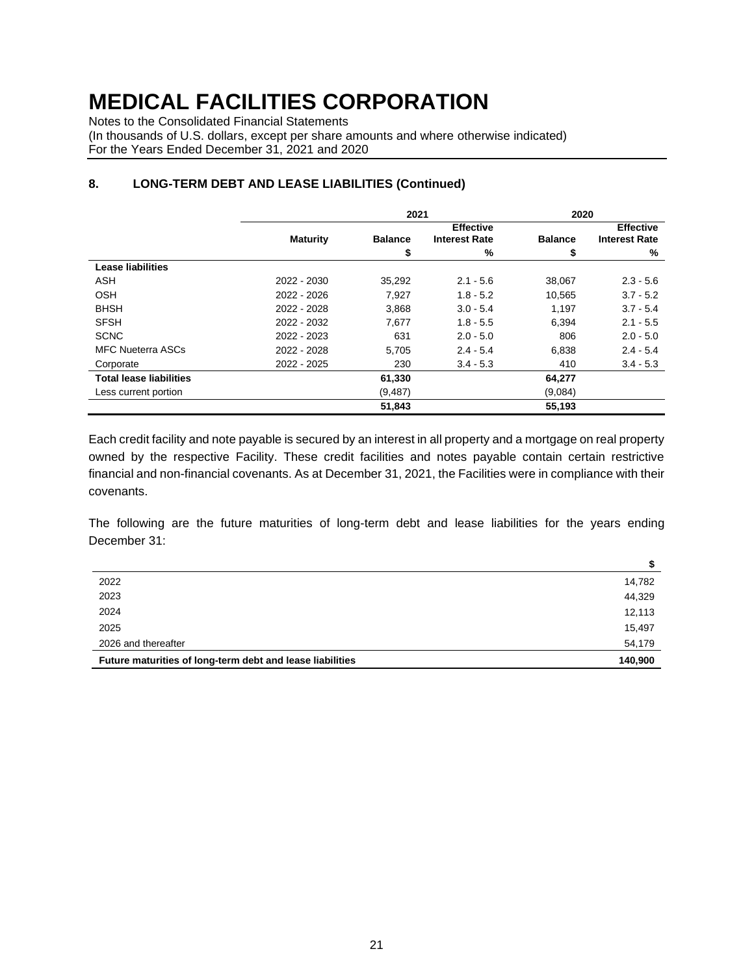Notes to the Consolidated Financial Statements

(In thousands of U.S. dollars, except per share amounts and where otherwise indicated) For the Years Ended December 31, 2021 and 2020

|                                |                 | 2021           |                      | 2020           |                      |  |  |
|--------------------------------|-----------------|----------------|----------------------|----------------|----------------------|--|--|
|                                |                 |                | <b>Effective</b>     |                | <b>Effective</b>     |  |  |
|                                | <b>Maturity</b> | <b>Balance</b> | <b>Interest Rate</b> | <b>Balance</b> | <b>Interest Rate</b> |  |  |
|                                |                 | \$             | %                    | \$             | %                    |  |  |
| Lease liabilities              |                 |                |                      |                |                      |  |  |
| <b>ASH</b>                     | 2022 - 2030     | 35,292         | $2.1 - 5.6$          | 38,067         | $2.3 - 5.6$          |  |  |
| <b>OSH</b>                     | 2022 - 2026     | 7,927          | $1.8 - 5.2$          | 10,565         | $3.7 - 5.2$          |  |  |
| <b>BHSH</b>                    | 2022 - 2028     | 3.868          | $3.0 - 5.4$          | 1.197          | $3.7 - 5.4$          |  |  |
| <b>SFSH</b>                    | 2022 - 2032     | 7,677          | $1.8 - 5.5$          | 6,394          | $2.1 - 5.5$          |  |  |
| <b>SCNC</b>                    | 2022 - 2023     | 631            | $2.0 - 5.0$          | 806            | $2.0 - 5.0$          |  |  |
| <b>MFC Nueterra ASCs</b>       | 2022 - 2028     | 5,705          | $2.4 - 5.4$          | 6,838          | $2.4 - 5.4$          |  |  |
| Corporate                      | 2022 - 2025     | 230            | $3.4 - 5.3$          | 410            | $3.4 - 5.3$          |  |  |
| <b>Total lease liabilities</b> |                 | 61,330         |                      | 64,277         |                      |  |  |
| Less current portion           |                 | (9, 487)       |                      | (9,084)        |                      |  |  |
|                                |                 | 51,843         |                      | 55,193         |                      |  |  |

### **8. LONG-TERM DEBT AND LEASE LIABILITIES (Continued)**

Each credit facility and note payable is secured by an interest in all property and a mortgage on real property owned by the respective Facility. These credit facilities and notes payable contain certain restrictive financial and non-financial covenants. As at December 31, 2021, the Facilities were in compliance with their covenants.

The following are the future maturities of long-term debt and lease liabilities for the years ending December 31:

**\$**

|                                                           | P       |
|-----------------------------------------------------------|---------|
| 2022                                                      | 14,782  |
| 2023                                                      | 44,329  |
| 2024                                                      | 12,113  |
| 2025                                                      | 15,497  |
| 2026 and thereafter                                       | 54,179  |
| Future maturities of long-term debt and lease liabilities | 140,900 |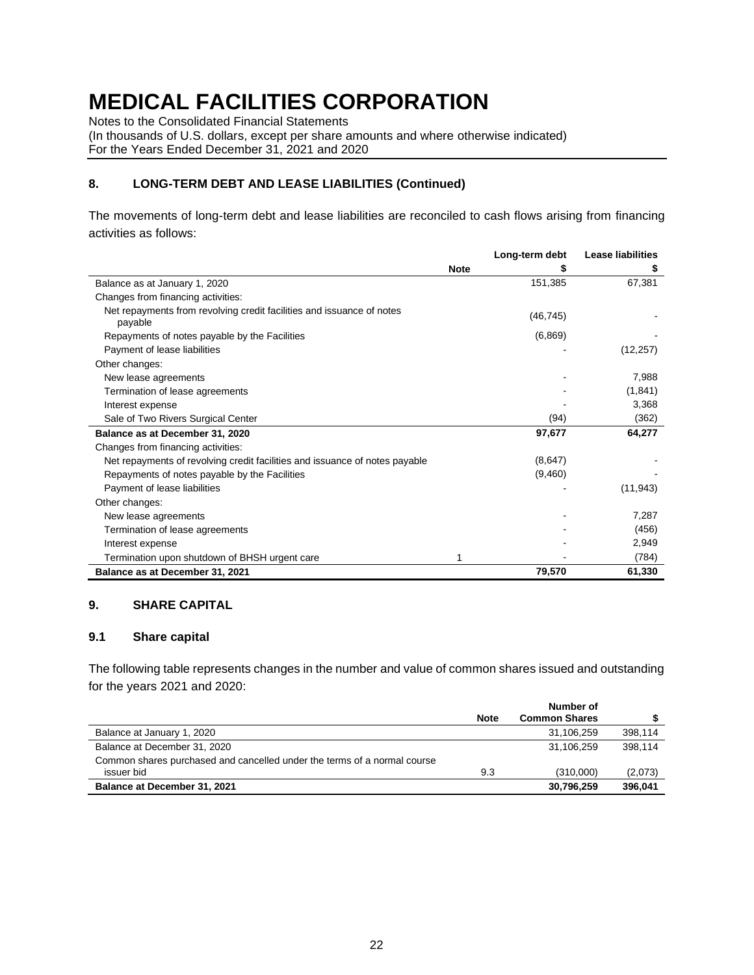Notes to the Consolidated Financial Statements

(In thousands of U.S. dollars, except per share amounts and where otherwise indicated) For the Years Ended December 31, 2021 and 2020

# **8. LONG-TERM DEBT AND LEASE LIABILITIES (Continued)**

The movements of long-term debt and lease liabilities are reconciled to cash flows arising from financing activities as follows:

|                                                                                  |             | Long-term debt | <b>Lease liabilities</b> |
|----------------------------------------------------------------------------------|-------------|----------------|--------------------------|
|                                                                                  | <b>Note</b> | S              |                          |
| Balance as at January 1, 2020                                                    |             | 151,385        | 67,381                   |
| Changes from financing activities:                                               |             |                |                          |
| Net repayments from revolving credit facilities and issuance of notes<br>payable |             | (46, 745)      |                          |
| Repayments of notes payable by the Facilities                                    |             | (6,869)        |                          |
| Payment of lease liabilities                                                     |             |                | (12, 257)                |
| Other changes:                                                                   |             |                |                          |
| New lease agreements                                                             |             |                | 7,988                    |
| Termination of lease agreements                                                  |             |                | (1, 841)                 |
| Interest expense                                                                 |             |                | 3,368                    |
| Sale of Two Rivers Surgical Center                                               |             | (94)           | (362)                    |
| Balance as at December 31, 2020                                                  |             | 97,677         | 64,277                   |
| Changes from financing activities:                                               |             |                |                          |
| Net repayments of revolving credit facilities and issuance of notes payable      |             | (8,647)        |                          |
| Repayments of notes payable by the Facilities                                    |             | (9,460)        |                          |
| Payment of lease liabilities                                                     |             |                | (11, 943)                |
| Other changes:                                                                   |             |                |                          |
| New lease agreements                                                             |             |                | 7,287                    |
| Termination of lease agreements                                                  |             |                | (456)                    |
| Interest expense                                                                 |             |                | 2,949                    |
| Termination upon shutdown of BHSH urgent care                                    | 1           |                | (784)                    |
| Balance as at December 31, 2021                                                  |             | 79,570         | 61,330                   |

#### **9. SHARE CAPITAL**

#### **9.1 Share capital**

The following table represents changes in the number and value of common shares issued and outstanding for the years 2021 and 2020:

|                                                                          | <b>Note</b> | <b>Common Shares</b> |         |
|--------------------------------------------------------------------------|-------------|----------------------|---------|
| Balance at January 1, 2020                                               |             | 31.106.259           | 398.114 |
| Balance at December 31, 2020                                             |             | 31,106,259           | 398.114 |
| Common shares purchased and cancelled under the terms of a normal course |             |                      |         |
| issuer bid                                                               | 9.3         | (310.000)            | (2,073) |
| Balance at December 31, 2021                                             |             | 30,796,259           | 396.041 |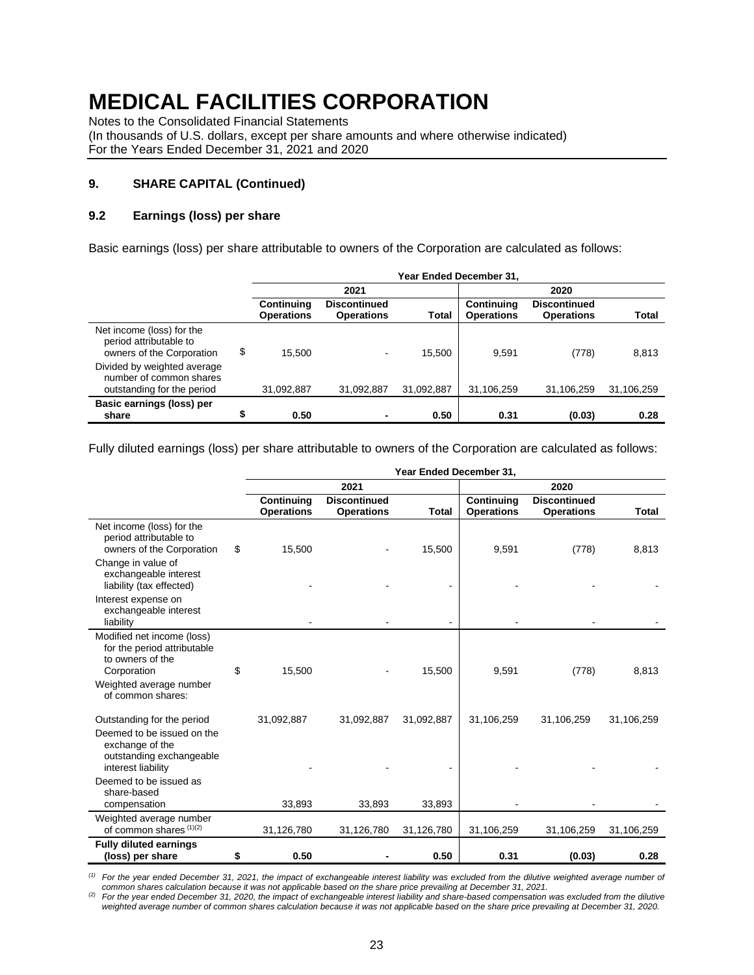Notes to the Consolidated Financial Statements

(In thousands of U.S. dollars, except per share amounts and where otherwise indicated) For the Years Ended December 31, 2021 and 2020

#### **9. SHARE CAPITAL (Continued)**

#### **9.2 Earnings (loss) per share**

Basic earnings (loss) per share attributable to owners of the Corporation are calculated as follows:

|                                                                                      | Year Ended December 31,         |                                          |            |                                 |                                          |              |  |
|--------------------------------------------------------------------------------------|---------------------------------|------------------------------------------|------------|---------------------------------|------------------------------------------|--------------|--|
|                                                                                      |                                 | 2021                                     |            |                                 | 2020                                     |              |  |
|                                                                                      | Continuing<br><b>Operations</b> | <b>Discontinued</b><br><b>Operations</b> | Total      | Continuing<br><b>Operations</b> | <b>Discontinued</b><br><b>Operations</b> | <b>Total</b> |  |
| Net income (loss) for the<br>period attributable to<br>owners of the Corporation     | \$<br>15.500                    | $\blacksquare$                           | 15.500     | 9.591                           | (778)                                    | 8,813        |  |
| Divided by weighted average<br>number of common shares<br>outstanding for the period | 31,092,887                      | 31,092,887                               | 31,092,887 | 31,106,259                      | 31,106,259                               | 31,106,259   |  |
| Basic earnings (loss) per<br>share                                                   | \$<br>0.50                      | ٠                                        | 0.50       | 0.31                            | (0.03)                                   | 0.28         |  |

Fully diluted earnings (loss) per share attributable to owners of the Corporation are calculated as follows:

|                                                                                                                               | Year Ended December 31,         |                                          |              |                                 |                                          |              |  |
|-------------------------------------------------------------------------------------------------------------------------------|---------------------------------|------------------------------------------|--------------|---------------------------------|------------------------------------------|--------------|--|
|                                                                                                                               |                                 | 2021                                     |              |                                 | 2020                                     |              |  |
|                                                                                                                               | Continuing<br><b>Operations</b> | <b>Discontinued</b><br><b>Operations</b> | <b>Total</b> | Continuing<br><b>Operations</b> | <b>Discontinued</b><br><b>Operations</b> | <b>Total</b> |  |
| Net income (loss) for the<br>period attributable to<br>owners of the Corporation                                              | \$<br>15,500                    |                                          | 15,500       | 9,591                           | (778)                                    | 8,813        |  |
| Change in value of<br>exchangeable interest<br>liability (tax effected)                                                       |                                 |                                          |              |                                 |                                          |              |  |
| Interest expense on<br>exchangeable interest<br>liability                                                                     |                                 |                                          |              |                                 |                                          |              |  |
| Modified net income (loss)<br>for the period attributable<br>to owners of the<br>Corporation                                  | \$<br>15,500                    |                                          | 15,500       | 9,591                           | (778)                                    | 8,813        |  |
| Weighted average number<br>of common shares:                                                                                  |                                 |                                          |              |                                 |                                          |              |  |
| Outstanding for the period<br>Deemed to be issued on the<br>exchange of the<br>outstanding exchangeable<br>interest liability | 31,092,887                      | 31,092,887                               | 31,092,887   | 31,106,259                      | 31,106,259                               | 31,106,259   |  |
| Deemed to be issued as<br>share-based<br>compensation                                                                         | 33,893                          | 33,893                                   | 33,893       |                                 |                                          |              |  |
| Weighted average number<br>of common shares $(1)(2)$                                                                          | 31,126,780                      | 31,126,780                               | 31,126,780   | 31,106,259                      | 31,106,259                               | 31,106,259   |  |
| <b>Fully diluted earnings</b><br>(loss) per share                                                                             | \$<br>0.50                      |                                          | 0.50         | 0.31                            | (0.03)                                   | 0.28         |  |

*(1) For the year ended December 31, 2021, the impact of exchangeable interest liability was excluded from the dilutive weighted average number of common shares calculation because it was not applicable based on the share price prevailing at December 31, 2021.*

*(2) For the year ended December 31, 2020, the impact of exchangeable interest liability and share-based compensation was excluded from the dilutive weighted average number of common shares calculation because it was not applicable based on the share price prevailing at December 31, 2020.*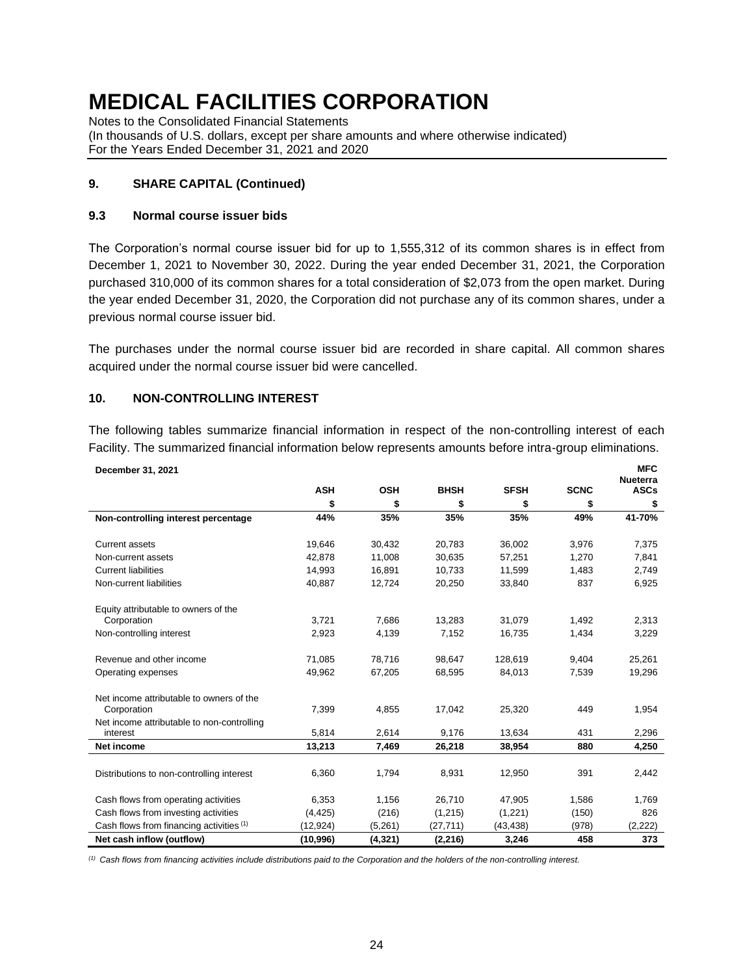Notes to the Consolidated Financial Statements (In thousands of U.S. dollars, except per share amounts and where otherwise indicated) For the Years Ended December 31, 2021 and 2020

### **9. SHARE CAPITAL (Continued)**

#### **9.3 Normal course issuer bids**

The Corporation's normal course issuer bid for up to 1,555,312 of its common shares is in effect from December 1, 2021 to November 30, 2022. During the year ended December 31, 2021, the Corporation purchased 310,000 of its common shares for a total consideration of \$2,073 from the open market. During the year ended December 31, 2020, the Corporation did not purchase any of its common shares, under a previous normal course issuer bid.

The purchases under the normal course issuer bid are recorded in share capital. All common shares acquired under the normal course issuer bid were cancelled.

#### **10. NON-CONTROLLING INTEREST**

The following tables summarize financial information in respect of the non-controlling interest of each Facility. The summarized financial information below represents amounts before intra-group eliminations.

| December 31, 2021                                       |            |            |             |             |             | <b>MFC</b><br><b>Nueterra</b> |
|---------------------------------------------------------|------------|------------|-------------|-------------|-------------|-------------------------------|
|                                                         | <b>ASH</b> | <b>OSH</b> | <b>BHSH</b> | <b>SFSH</b> | <b>SCNC</b> | <b>ASCs</b>                   |
|                                                         | \$         | \$         | \$          | \$          | \$          | \$                            |
| Non-controlling interest percentage                     | 44%        | 35%        | 35%         | 35%         | 49%         | 41-70%                        |
| <b>Current assets</b>                                   | 19,646     | 30,432     | 20,783      | 36,002      | 3,976       | 7,375                         |
| Non-current assets                                      | 42.878     | 11,008     | 30,635      | 57,251      | 1,270       | 7,841                         |
| <b>Current liabilities</b>                              | 14,993     | 16,891     | 10,733      | 11,599      | 1,483       | 2,749                         |
| Non-current liabilities                                 | 40,887     | 12,724     | 20,250      | 33,840      | 837         | 6,925                         |
| Equity attributable to owners of the                    |            |            |             |             |             |                               |
| Corporation                                             | 3,721      | 7,686      | 13,283      | 31,079      | 1,492       | 2,313                         |
| Non-controlling interest                                | 2,923      | 4,139      | 7,152       | 16,735      | 1,434       | 3,229                         |
| Revenue and other income                                | 71,085     | 78.716     | 98,647      | 128,619     | 9,404       | 25,261                        |
| Operating expenses                                      | 49,962     | 67,205     | 68,595      | 84,013      | 7,539       | 19,296                        |
| Net income attributable to owners of the<br>Corporation | 7,399      | 4,855      | 17,042      | 25,320      | 449         | 1,954                         |
| Net income attributable to non-controlling<br>interest  | 5,814      | 2,614      | 9,176       | 13,634      | 431         | 2,296                         |
| <b>Net income</b>                                       | 13,213     | 7,469      | 26,218      | 38,954      | 880         | 4,250                         |
| Distributions to non-controlling interest               | 6,360      | 1,794      | 8,931       | 12,950      | 391         | 2,442                         |
| Cash flows from operating activities                    | 6,353      | 1,156      | 26.710      | 47,905      | 1,586       | 1,769                         |
| Cash flows from investing activities                    | (4, 425)   | (216)      | (1,215)     | (1,221)     | (150)       | 826                           |
| Cash flows from financing activities (1)                | (12, 924)  | (5,261)    | (27, 711)   | (43, 438)   | (978)       | (2,222)                       |
| Net cash inflow (outflow)                               | (10, 996)  | (4, 321)   | (2, 216)    | 3,246       | 458         | 373                           |

*(1) Cash flows from financing activities include distributions paid to the Corporation and the holders of the non-controlling interest.*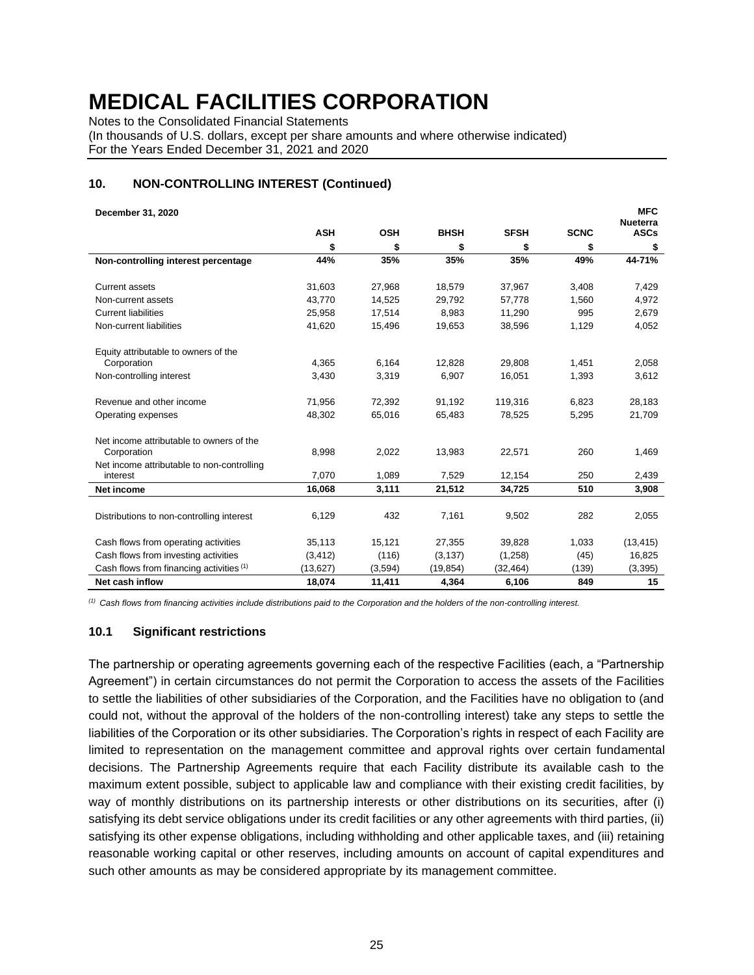Notes to the Consolidated Financial Statements

(In thousands of U.S. dollars, except per share amounts and where otherwise indicated) For the Years Ended December 31, 2021 and 2020

#### **10. NON-CONTROLLING INTEREST (Continued)**

| December 31, 2020                                       |            |            |             |             |             | <b>MFC</b>                     |
|---------------------------------------------------------|------------|------------|-------------|-------------|-------------|--------------------------------|
|                                                         | <b>ASH</b> | <b>OSH</b> | <b>BHSH</b> | <b>SFSH</b> | <b>SCNC</b> | <b>Nueterra</b><br><b>ASCs</b> |
|                                                         | \$         | \$         | \$          | \$          | \$          | \$                             |
| Non-controlling interest percentage                     | 44%        | 35%        | 35%         | 35%         | 49%         | 44-71%                         |
| <b>Current assets</b>                                   | 31,603     | 27,968     | 18,579      | 37,967      | 3,408       | 7,429                          |
| Non-current assets                                      | 43.770     | 14.525     | 29,792      | 57,778      | 1.560       | 4,972                          |
| <b>Current liabilities</b>                              | 25,958     | 17,514     | 8,983       | 11,290      | 995         | 2,679                          |
| Non-current liabilities                                 | 41,620     | 15,496     | 19,653      | 38,596      | 1,129       | 4,052                          |
| Equity attributable to owners of the                    |            |            |             |             |             |                                |
| Corporation                                             | 4,365      | 6,164      | 12,828      | 29,808      | 1,451       | 2,058                          |
| Non-controlling interest                                | 3,430      | 3,319      | 6,907       | 16,051      | 1,393       | 3,612                          |
| Revenue and other income                                | 71,956     | 72,392     | 91,192      | 119,316     | 6,823       | 28,183                         |
| Operating expenses                                      | 48,302     | 65,016     | 65,483      | 78,525      | 5,295       | 21,709                         |
| Net income attributable to owners of the<br>Corporation | 8,998      | 2,022      | 13,983      | 22,571      | 260         | 1,469                          |
| Net income attributable to non-controlling<br>interest  | 7,070      | 1,089      | 7,529       | 12,154      | 250         | 2,439                          |
| Net income                                              | 16,068     | 3,111      | 21,512      | 34,725      | 510         | 3,908                          |
| Distributions to non-controlling interest               | 6,129      | 432        | 7,161       | 9,502       | 282         | 2,055                          |
| Cash flows from operating activities                    | 35,113     | 15,121     | 27,355      | 39,828      | 1,033       | (13, 415)                      |
| Cash flows from investing activities                    | (3, 412)   | (116)      | (3, 137)    | (1,258)     | (45)        | 16,825                         |
| Cash flows from financing activities (1)                | (13, 627)  | (3,594)    | (19, 854)   | (32, 464)   | (139)       | (3, 395)                       |
| Net cash inflow                                         | 18,074     | 11,411     | 4,364       | 6,106       | 849         | 15                             |

*(1) Cash flows from financing activities include distributions paid to the Corporation and the holders of the non-controlling interest.*

#### **10.1 Significant restrictions**

The partnership or operating agreements governing each of the respective Facilities (each, a "Partnership Agreement") in certain circumstances do not permit the Corporation to access the assets of the Facilities to settle the liabilities of other subsidiaries of the Corporation, and the Facilities have no obligation to (and could not, without the approval of the holders of the non-controlling interest) take any steps to settle the liabilities of the Corporation or its other subsidiaries. The Corporation's rights in respect of each Facility are limited to representation on the management committee and approval rights over certain fundamental decisions. The Partnership Agreements require that each Facility distribute its available cash to the maximum extent possible, subject to applicable law and compliance with their existing credit facilities, by way of monthly distributions on its partnership interests or other distributions on its securities, after (i) satisfying its debt service obligations under its credit facilities or any other agreements with third parties, (ii) satisfying its other expense obligations, including withholding and other applicable taxes, and (iii) retaining reasonable working capital or other reserves, including amounts on account of capital expenditures and such other amounts as may be considered appropriate by its management committee.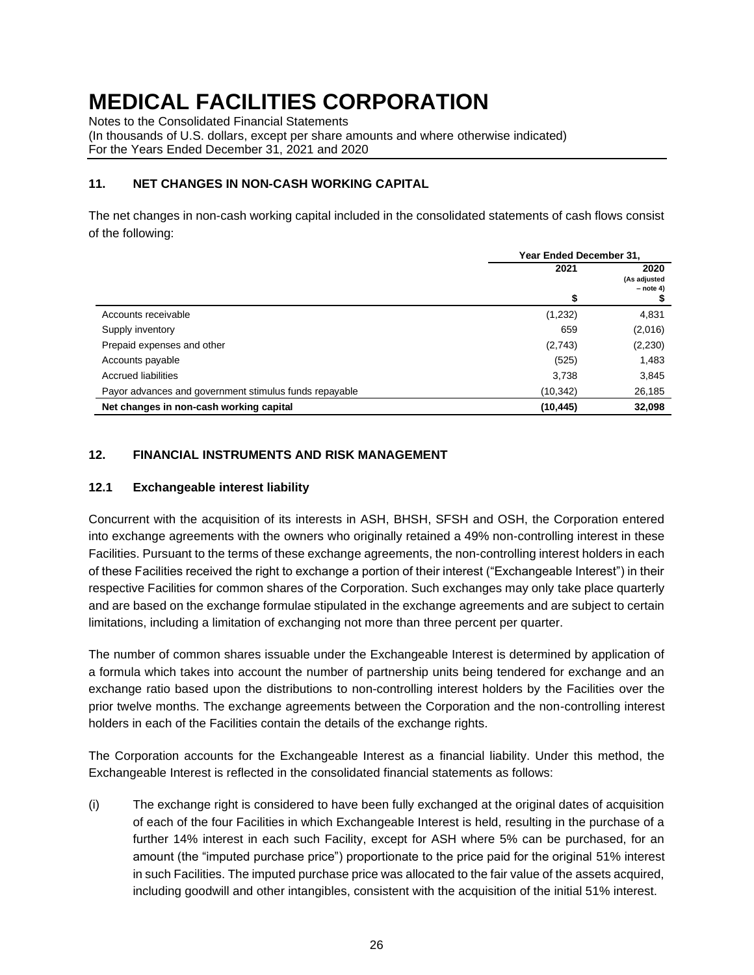Notes to the Consolidated Financial Statements

(In thousands of U.S. dollars, except per share amounts and where otherwise indicated) For the Years Ended December 31, 2021 and 2020

### **11. NET CHANGES IN NON-CASH WORKING CAPITAL**

The net changes in non-cash working capital included in the consolidated statements of cash flows consist of the following:

|                                                        | Year Ended December 31, |                                     |  |
|--------------------------------------------------------|-------------------------|-------------------------------------|--|
|                                                        | 2021                    | 2020<br>(As adjusted<br>$-$ note 4) |  |
|                                                        | \$                      |                                     |  |
| Accounts receivable                                    | (1,232)                 | 4,831                               |  |
| Supply inventory                                       | 659                     | (2,016)                             |  |
| Prepaid expenses and other                             | (2,743)                 | (2,230)                             |  |
| Accounts payable                                       | (525)                   | 1,483                               |  |
| <b>Accrued liabilities</b>                             | 3,738                   | 3,845                               |  |
| Payor advances and government stimulus funds repayable | (10, 342)               | 26,185                              |  |
| Net changes in non-cash working capital                | (10, 445)               | 32,098                              |  |

### **12. FINANCIAL INSTRUMENTS AND RISK MANAGEMENT**

#### **12.1 Exchangeable interest liability**

Concurrent with the acquisition of its interests in ASH, BHSH, SFSH and OSH, the Corporation entered into exchange agreements with the owners who originally retained a 49% non-controlling interest in these Facilities. Pursuant to the terms of these exchange agreements, the non-controlling interest holders in each of these Facilities received the right to exchange a portion of their interest ("Exchangeable Interest") in their respective Facilities for common shares of the Corporation. Such exchanges may only take place quarterly and are based on the exchange formulae stipulated in the exchange agreements and are subject to certain limitations, including a limitation of exchanging not more than three percent per quarter.

The number of common shares issuable under the Exchangeable Interest is determined by application of a formula which takes into account the number of partnership units being tendered for exchange and an exchange ratio based upon the distributions to non-controlling interest holders by the Facilities over the prior twelve months. The exchange agreements between the Corporation and the non-controlling interest holders in each of the Facilities contain the details of the exchange rights.

The Corporation accounts for the Exchangeable Interest as a financial liability. Under this method, the Exchangeable Interest is reflected in the consolidated financial statements as follows:

(i) The exchange right is considered to have been fully exchanged at the original dates of acquisition of each of the four Facilities in which Exchangeable Interest is held, resulting in the purchase of a further 14% interest in each such Facility, except for ASH where 5% can be purchased, for an amount (the "imputed purchase price") proportionate to the price paid for the original 51% interest in such Facilities. The imputed purchase price was allocated to the fair value of the assets acquired, including goodwill and other intangibles, consistent with the acquisition of the initial 51% interest.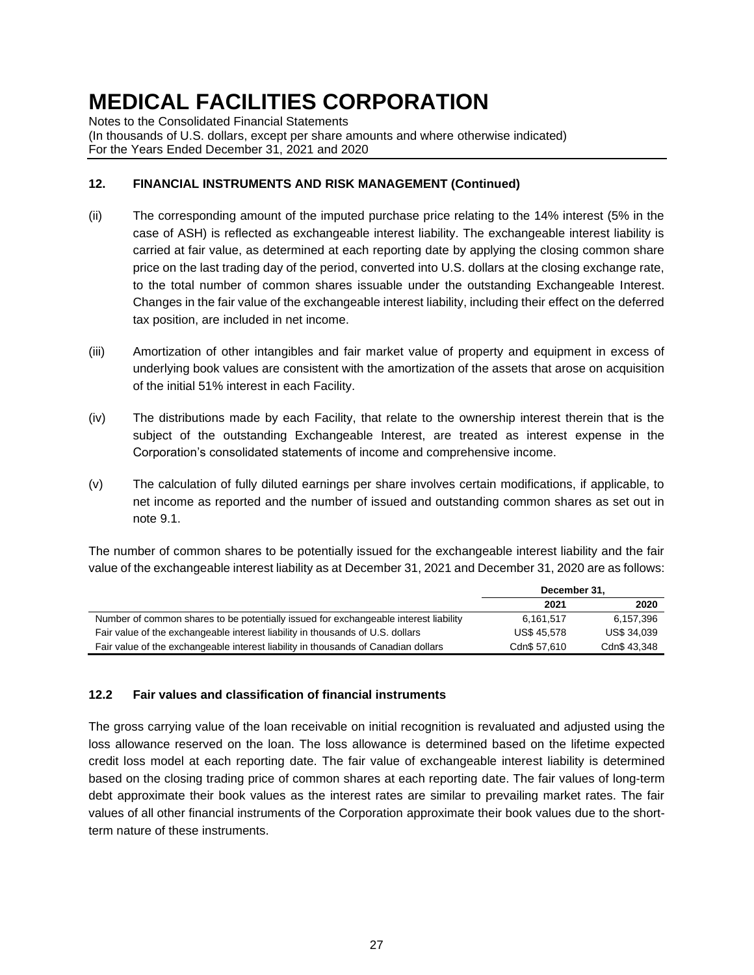Notes to the Consolidated Financial Statements

(In thousands of U.S. dollars, except per share amounts and where otherwise indicated) For the Years Ended December 31, 2021 and 2020

### **12. FINANCIAL INSTRUMENTS AND RISK MANAGEMENT (Continued)**

- (ii) The corresponding amount of the imputed purchase price relating to the 14% interest (5% in the case of ASH) is reflected as exchangeable interest liability. The exchangeable interest liability is carried at fair value, as determined at each reporting date by applying the closing common share price on the last trading day of the period, converted into U.S. dollars at the closing exchange rate, to the total number of common shares issuable under the outstanding Exchangeable Interest. Changes in the fair value of the exchangeable interest liability, including their effect on the deferred tax position, are included in net income.
- (iii) Amortization of other intangibles and fair market value of property and equipment in excess of underlying book values are consistent with the amortization of the assets that arose on acquisition of the initial 51% interest in each Facility.
- (iv) The distributions made by each Facility, that relate to the ownership interest therein that is the subject of the outstanding Exchangeable Interest, are treated as interest expense in the Corporation's consolidated statements of income and comprehensive income.
- (v) The calculation of fully diluted earnings per share involves certain modifications, if applicable, to net income as reported and the number of issued and outstanding common shares as set out in note 9.1.

The number of common shares to be potentially issued for the exchangeable interest liability and the fair value of the exchangeable interest liability as at December 31, 2021 and December 31, 2020 are as follows:

|                                                                                      | December 31.       |                    |  |
|--------------------------------------------------------------------------------------|--------------------|--------------------|--|
|                                                                                      | 2021               | 2020               |  |
| Number of common shares to be potentially issued for exchangeable interest liability | 6.161.517          | 6.157.396          |  |
| Fair value of the exchangeable interest liability in thousands of U.S. dollars       | <b>US\$ 45.578</b> | <b>US\$ 34,039</b> |  |
| Fair value of the exchangeable interest liability in thousands of Canadian dollars   | Cdn\$ 57.610       | Cdn\$ 43.348       |  |

### **12.2 Fair values and classification of financial instruments**

The gross carrying value of the loan receivable on initial recognition is revaluated and adjusted using the loss allowance reserved on the loan. The loss allowance is determined based on the lifetime expected credit loss model at each reporting date. The fair value of exchangeable interest liability is determined based on the closing trading price of common shares at each reporting date. The fair values of long-term debt approximate their book values as the interest rates are similar to prevailing market rates. The fair values of all other financial instruments of the Corporation approximate their book values due to the shortterm nature of these instruments.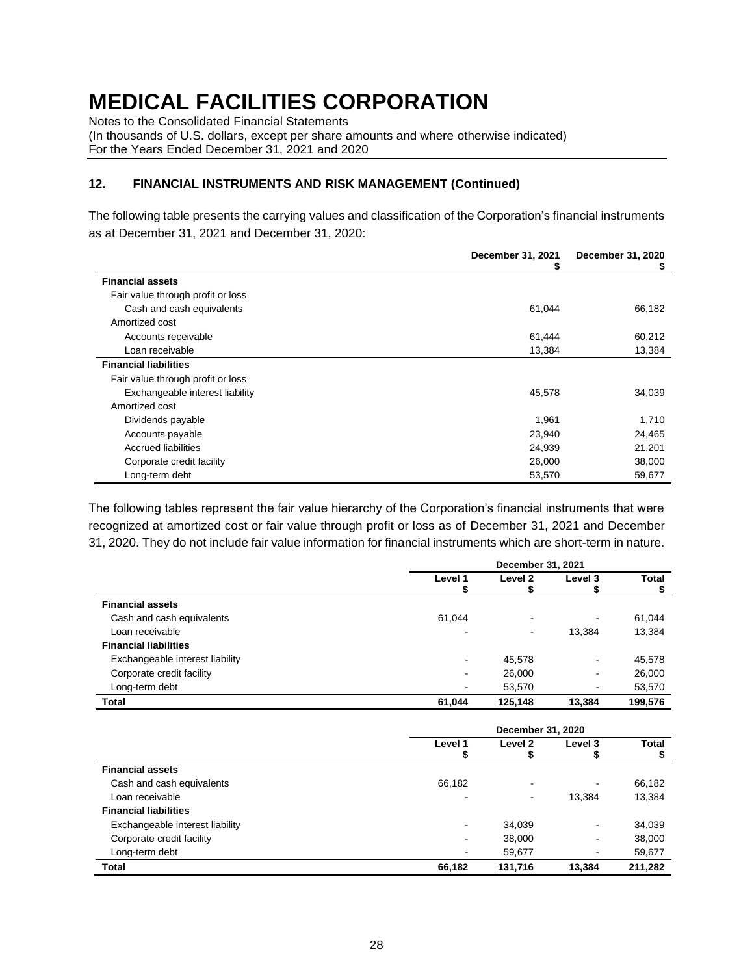Notes to the Consolidated Financial Statements

(In thousands of U.S. dollars, except per share amounts and where otherwise indicated) For the Years Ended December 31, 2021 and 2020

#### **12. FINANCIAL INSTRUMENTS AND RISK MANAGEMENT (Continued)**

The following table presents the carrying values and classification of the Corporation's financial instruments as at December 31, 2021 and December 31, 2020:

|                                   | December 31, 2021<br>\$ | December 31, 2020<br>P |
|-----------------------------------|-------------------------|------------------------|
| <b>Financial assets</b>           |                         |                        |
| Fair value through profit or loss |                         |                        |
| Cash and cash equivalents         | 61,044                  | 66,182                 |
| Amortized cost                    |                         |                        |
| Accounts receivable               | 61,444                  | 60,212                 |
| Loan receivable                   | 13,384                  | 13,384                 |
| <b>Financial liabilities</b>      |                         |                        |
| Fair value through profit or loss |                         |                        |
| Exchangeable interest liability   | 45,578                  | 34,039                 |
| Amortized cost                    |                         |                        |
| Dividends payable                 | 1,961                   | 1,710                  |
| Accounts payable                  | 23,940                  | 24,465                 |
| <b>Accrued liabilities</b>        | 24,939                  | 21,201                 |
| Corporate credit facility         | 26,000                  | 38,000                 |
| Long-term debt                    | 53,570                  | 59,677                 |

The following tables represent the fair value hierarchy of the Corporation's financial instruments that were recognized at amortized cost or fair value through profit or loss as of December 31, 2021 and December 31, 2020. They do not include fair value information for financial instruments which are short-term in nature.

|                                 | December 31, 2021 |                |         |         |  |
|---------------------------------|-------------------|----------------|---------|---------|--|
|                                 | Level 1           | Level 2        | Level 3 | Total   |  |
|                                 | Ф                 | Φ              |         | \$      |  |
| <b>Financial assets</b>         |                   |                |         |         |  |
| Cash and cash equivalents       | 61,044            | -              | -       | 61,044  |  |
| Loan receivable                 | $\blacksquare$    | $\blacksquare$ | 13,384  | 13,384  |  |
| <b>Financial liabilities</b>    |                   |                |         |         |  |
| Exchangeable interest liability |                   | 45,578         | ۰       | 45,578  |  |
| Corporate credit facility       |                   | 26,000         | ٠       | 26,000  |  |
| Long-term debt                  | ٠                 | 53,570         | ۰       | 53,570  |  |
| Total                           | 61.044            | 125.148        | 13.384  | 199,576 |  |

|                                 | December 31, 2020 |                          |                          |              |  |
|---------------------------------|-------------------|--------------------------|--------------------------|--------------|--|
|                                 | Level 1           | Level <sub>2</sub>       | Level 3                  | <b>Total</b> |  |
|                                 | Ф                 | Φ                        |                          | \$           |  |
| <b>Financial assets</b>         |                   |                          |                          |              |  |
| Cash and cash equivalents       | 66,182            | $\overline{\phantom{0}}$ |                          | 66,182       |  |
| Loan receivable                 |                   | $\overline{\phantom{a}}$ | 13,384                   | 13,384       |  |
| <b>Financial liabilities</b>    |                   |                          |                          |              |  |
| Exchangeable interest liability | $\blacksquare$    | 34,039                   | ۰                        | 34,039       |  |
| Corporate credit facility       | $\blacksquare$    | 38,000                   | ۰                        | 38,000       |  |
| Long-term debt                  | -                 | 59.677                   | $\overline{\phantom{0}}$ | 59,677       |  |
| <b>Total</b>                    | 66,182            | 131,716                  | 13.384                   | 211,282      |  |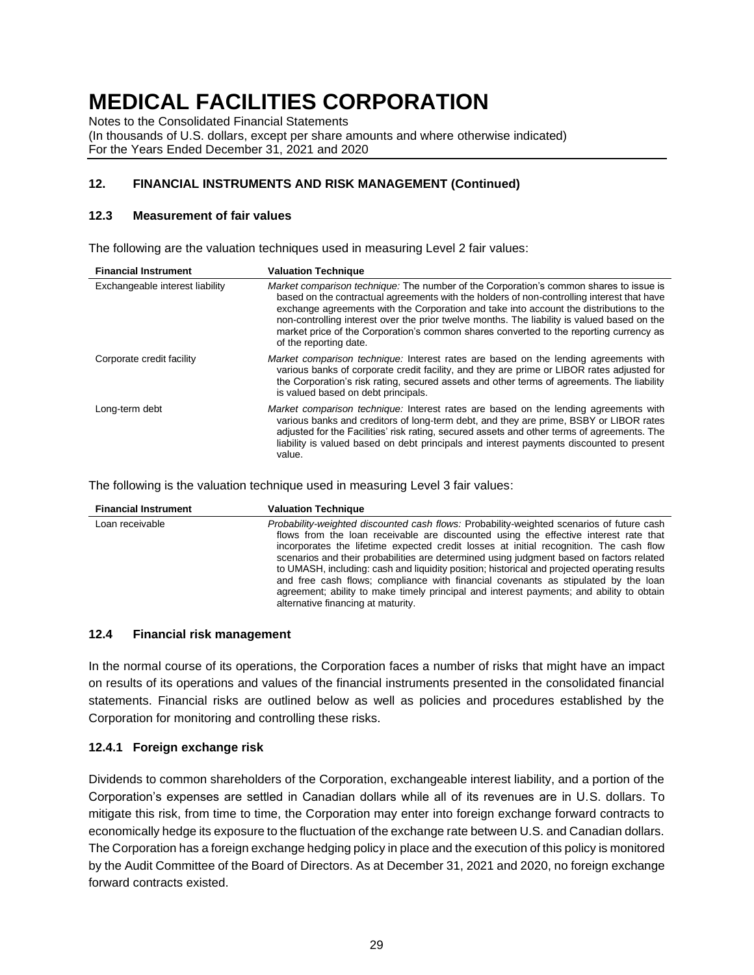Notes to the Consolidated Financial Statements

(In thousands of U.S. dollars, except per share amounts and where otherwise indicated) For the Years Ended December 31, 2021 and 2020

### **12. FINANCIAL INSTRUMENTS AND RISK MANAGEMENT (Continued)**

#### **12.3 Measurement of fair values**

The following are the valuation techniques used in measuring Level 2 fair values:

| <b>Financial Instrument</b>     | <b>Valuation Technique</b>                                                                                                                                                                                                                                                                                                                                                                                                                                                                         |
|---------------------------------|----------------------------------------------------------------------------------------------------------------------------------------------------------------------------------------------------------------------------------------------------------------------------------------------------------------------------------------------------------------------------------------------------------------------------------------------------------------------------------------------------|
| Exchangeable interest liability | Market comparison technique: The number of the Corporation's common shares to issue is<br>based on the contractual agreements with the holders of non-controlling interest that have<br>exchange agreements with the Corporation and take into account the distributions to the<br>non-controlling interest over the prior twelve months. The liability is valued based on the<br>market price of the Corporation's common shares converted to the reporting currency as<br>of the reporting date. |
| Corporate credit facility       | Market comparison technique: Interest rates are based on the lending agreements with<br>various banks of corporate credit facility, and they are prime or LIBOR rates adjusted for<br>the Corporation's risk rating, secured assets and other terms of agreements. The liability<br>is valued based on debt principals.                                                                                                                                                                            |
| Long-term debt                  | Market comparison technique: Interest rates are based on the lending agreements with<br>various banks and creditors of long-term debt, and they are prime, BSBY or LIBOR rates<br>adjusted for the Facilities' risk rating, secured assets and other terms of agreements. The<br>liability is valued based on debt principals and interest payments discounted to present<br>value.                                                                                                                |

The following is the valuation technique used in measuring Level 3 fair values:

| <b>Financial Instrument</b> | <b>Valuation Technique</b>                                                                                                                                                                                                                                                                                                                                                                                                                                                                                                                                                                                                                                                                      |
|-----------------------------|-------------------------------------------------------------------------------------------------------------------------------------------------------------------------------------------------------------------------------------------------------------------------------------------------------------------------------------------------------------------------------------------------------------------------------------------------------------------------------------------------------------------------------------------------------------------------------------------------------------------------------------------------------------------------------------------------|
| Loan receivable             | Probability-weighted discounted cash flows: Probability-weighted scenarios of future cash<br>flows from the loan receivable are discounted using the effective interest rate that<br>incorporates the lifetime expected credit losses at initial recognition. The cash flow<br>scenarios and their probabilities are determined using judgment based on factors related<br>to UMASH, including: cash and liquidity position; historical and projected operating results<br>and free cash flows; compliance with financial covenants as stipulated by the loan<br>agreement; ability to make timely principal and interest payments; and ability to obtain<br>alternative financing at maturity. |

#### **12.4 Financial risk management**

In the normal course of its operations, the Corporation faces a number of risks that might have an impact on results of its operations and values of the financial instruments presented in the consolidated financial statements. Financial risks are outlined below as well as policies and procedures established by the Corporation for monitoring and controlling these risks.

#### **12.4.1 Foreign exchange risk**

Dividends to common shareholders of the Corporation, exchangeable interest liability, and a portion of the Corporation's expenses are settled in Canadian dollars while all of its revenues are in U.S. dollars. To mitigate this risk, from time to time, the Corporation may enter into foreign exchange forward contracts to economically hedge its exposure to the fluctuation of the exchange rate between U.S. and Canadian dollars. The Corporation has a foreign exchange hedging policy in place and the execution of this policy is monitored by the Audit Committee of the Board of Directors. As at December 31, 2021 and 2020, no foreign exchange forward contracts existed.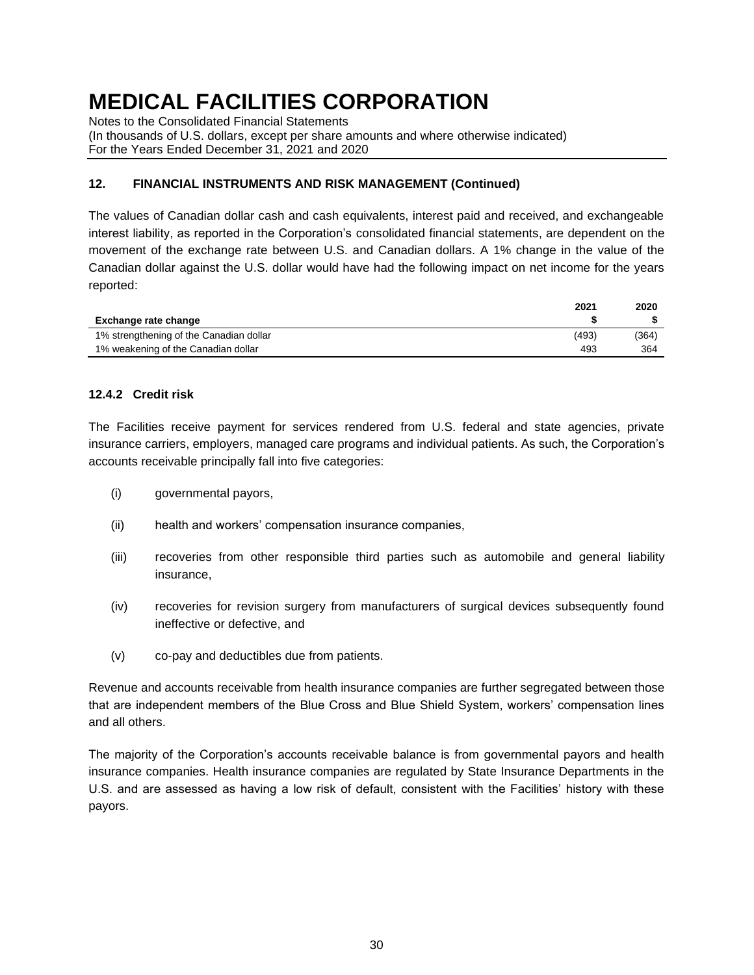Notes to the Consolidated Financial Statements

(In thousands of U.S. dollars, except per share amounts and where otherwise indicated) For the Years Ended December 31, 2021 and 2020

### **12. FINANCIAL INSTRUMENTS AND RISK MANAGEMENT (Continued)**

The values of Canadian dollar cash and cash equivalents, interest paid and received, and exchangeable interest liability, as reported in the Corporation's consolidated financial statements, are dependent on the movement of the exchange rate between U.S. and Canadian dollars. A 1% change in the value of the Canadian dollar against the U.S. dollar would have had the following impact on net income for the years reported:

|                                         | 2021  | 2020  |
|-----------------------------------------|-------|-------|
| Exchange rate change                    |       |       |
| 1% strengthening of the Canadian dollar | (493) | (364) |
| 1% weakening of the Canadian dollar     | 493   | 364   |

#### **12.4.2 Credit risk**

The Facilities receive payment for services rendered from U.S. federal and state agencies, private insurance carriers, employers, managed care programs and individual patients. As such, the Corporation's accounts receivable principally fall into five categories:

- (i) governmental payors,
- (ii) health and workers' compensation insurance companies,
- (iii) recoveries from other responsible third parties such as automobile and general liability insurance,
- (iv) recoveries for revision surgery from manufacturers of surgical devices subsequently found ineffective or defective, and
- (v) co-pay and deductibles due from patients.

Revenue and accounts receivable from health insurance companies are further segregated between those that are independent members of the Blue Cross and Blue Shield System, workers' compensation lines and all others.

The majority of the Corporation's accounts receivable balance is from governmental payors and health insurance companies. Health insurance companies are regulated by State Insurance Departments in the U.S. and are assessed as having a low risk of default, consistent with the Facilities' history with these payors.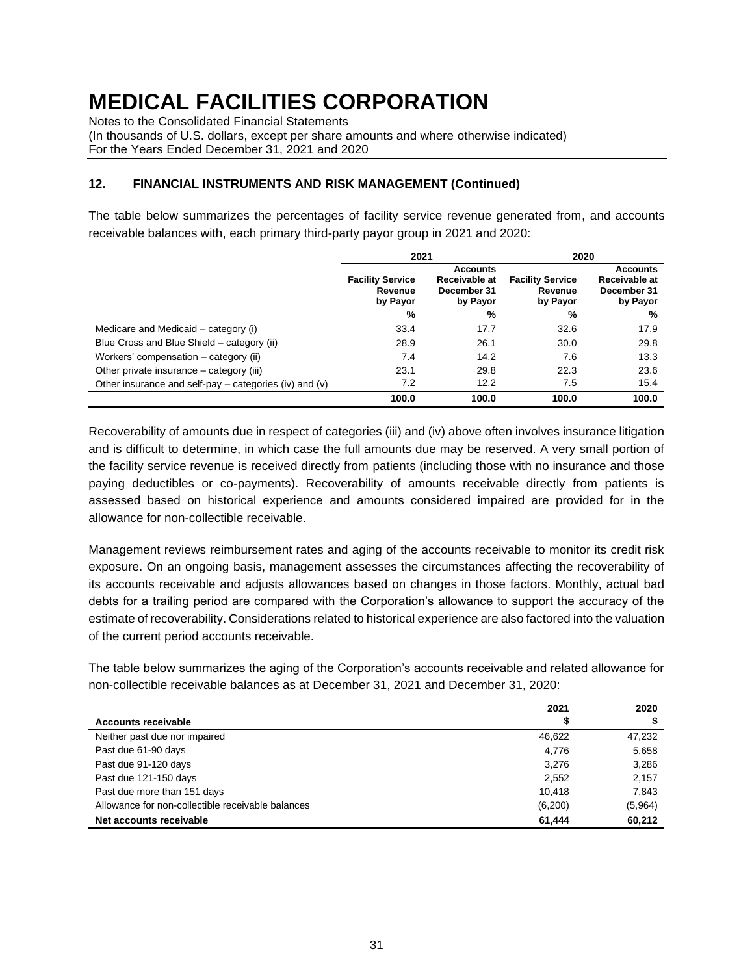Notes to the Consolidated Financial Statements

(In thousands of U.S. dollars, except per share amounts and where otherwise indicated) For the Years Ended December 31, 2021 and 2020

### **12. FINANCIAL INSTRUMENTS AND RISK MANAGEMENT (Continued)**

The table below summarizes the percentages of facility service revenue generated from, and accounts receivable balances with, each primary third-party payor group in 2021 and 2020:

|                                                        | 2021                                           |                                                             | 2020                                           |                                                             |  |
|--------------------------------------------------------|------------------------------------------------|-------------------------------------------------------------|------------------------------------------------|-------------------------------------------------------------|--|
|                                                        | <b>Facility Service</b><br>Revenue<br>by Payor | <b>Accounts</b><br>Receivable at<br>December 31<br>by Payor | <b>Facility Service</b><br>Revenue<br>by Payor | <b>Accounts</b><br>Receivable at<br>December 31<br>by Payor |  |
|                                                        | %                                              | %                                                           | %                                              | %                                                           |  |
| Medicare and Medicaid – category (i)                   | 33.4                                           | 17.7                                                        | 32.6                                           | 17.9                                                        |  |
| Blue Cross and Blue Shield – category (ii)             | 28.9                                           | 26.1                                                        | 30.0                                           | 29.8                                                        |  |
| Workers' compensation – category (ii)                  | 7.4                                            | 14.2                                                        | 7.6                                            | 13.3                                                        |  |
| Other private insurance – category (iii)               | 23.1                                           | 29.8                                                        | 22.3                                           | 23.6                                                        |  |
| Other insurance and self-pay – categories (iv) and (v) | 7.2                                            | 12.2                                                        | 7.5                                            | 15.4                                                        |  |
|                                                        | 100.0                                          | 100.0                                                       | 100.0                                          | 100.0                                                       |  |

Recoverability of amounts due in respect of categories (iii) and (iv) above often involves insurance litigation and is difficult to determine, in which case the full amounts due may be reserved. A very small portion of the facility service revenue is received directly from patients (including those with no insurance and those paying deductibles or co-payments). Recoverability of amounts receivable directly from patients is assessed based on historical experience and amounts considered impaired are provided for in the allowance for non-collectible receivable.

Management reviews reimbursement rates and aging of the accounts receivable to monitor its credit risk exposure. On an ongoing basis, management assesses the circumstances affecting the recoverability of its accounts receivable and adjusts allowances based on changes in those factors. Monthly, actual bad debts for a trailing period are compared with the Corporation's allowance to support the accuracy of the estimate of recoverability. Considerations related to historical experience are also factored into the valuation of the current period accounts receivable.

The table below summarizes the aging of the Corporation's accounts receivable and related allowance for non-collectible receivable balances as at December 31, 2021 and December 31, 2020:

|                                                   | 2021    | 2020    |
|---------------------------------------------------|---------|---------|
| Accounts receivable                               |         |         |
| Neither past due nor impaired                     | 46,622  | 47,232  |
| Past due 61-90 days                               | 4.776   | 5,658   |
| Past due 91-120 days                              | 3.276   | 3,286   |
| Past due 121-150 days                             | 2,552   | 2,157   |
| Past due more than 151 days                       | 10.418  | 7.843   |
| Allowance for non-collectible receivable balances | (6,200) | (5,964) |
| Net accounts receivable                           | 61.444  | 60,212  |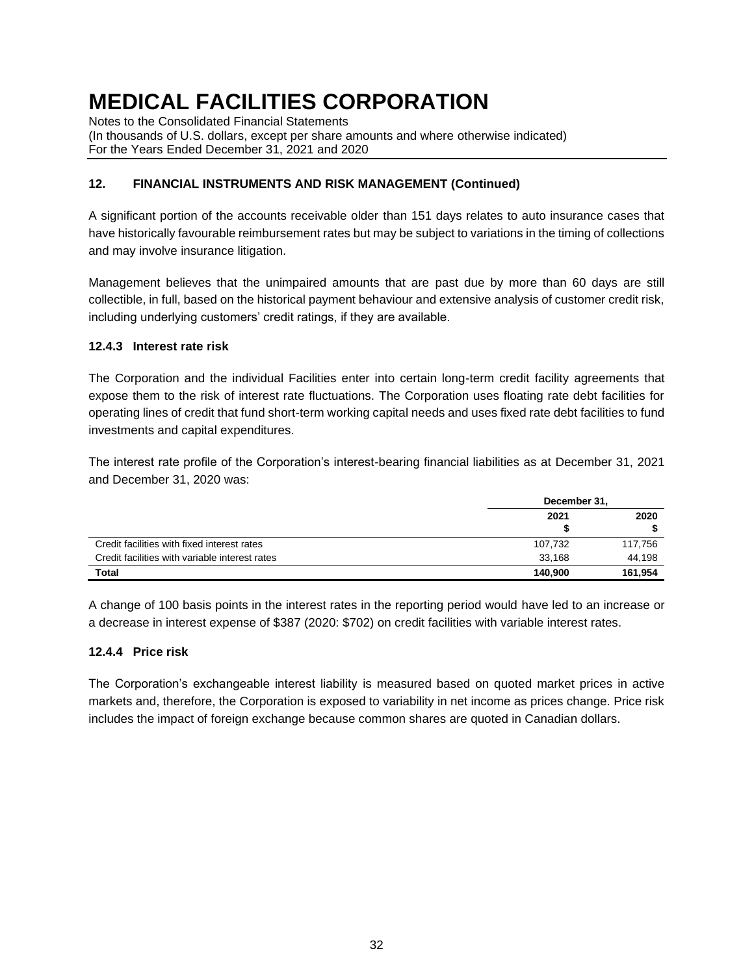Notes to the Consolidated Financial Statements

(In thousands of U.S. dollars, except per share amounts and where otherwise indicated) For the Years Ended December 31, 2021 and 2020

### **12. FINANCIAL INSTRUMENTS AND RISK MANAGEMENT (Continued)**

A significant portion of the accounts receivable older than 151 days relates to auto insurance cases that have historically favourable reimbursement rates but may be subject to variations in the timing of collections and may involve insurance litigation.

Management believes that the unimpaired amounts that are past due by more than 60 days are still collectible, in full, based on the historical payment behaviour and extensive analysis of customer credit risk, including underlying customers' credit ratings, if they are available.

### **12.4.3 Interest rate risk**

The Corporation and the individual Facilities enter into certain long-term credit facility agreements that expose them to the risk of interest rate fluctuations. The Corporation uses floating rate debt facilities for operating lines of credit that fund short-term working capital needs and uses fixed rate debt facilities to fund investments and capital expenditures.

The interest rate profile of the Corporation's interest-bearing financial liabilities as at December 31, 2021 and December 31, 2020 was:

|                                                | December 31, |         |  |
|------------------------------------------------|--------------|---------|--|
|                                                | 2021         | 2020    |  |
|                                                | S            |         |  |
| Credit facilities with fixed interest rates    | 107.732      | 117,756 |  |
| Credit facilities with variable interest rates | 33.168       | 44,198  |  |
| Total                                          | 140.900      | 161,954 |  |

A change of 100 basis points in the interest rates in the reporting period would have led to an increase or a decrease in interest expense of \$387 (2020: \$702) on credit facilities with variable interest rates.

### **12.4.4 Price risk**

The Corporation's exchangeable interest liability is measured based on quoted market prices in active markets and, therefore, the Corporation is exposed to variability in net income as prices change. Price risk includes the impact of foreign exchange because common shares are quoted in Canadian dollars.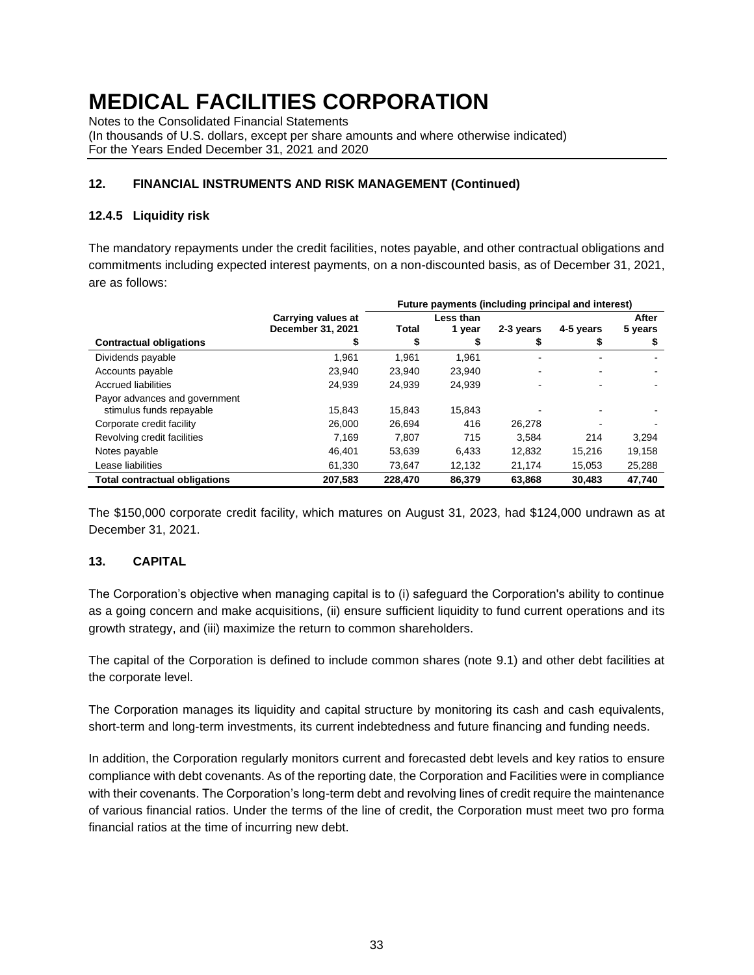Notes to the Consolidated Financial Statements

(In thousands of U.S. dollars, except per share amounts and where otherwise indicated) For the Years Ended December 31, 2021 and 2020

### **12. FINANCIAL INSTRUMENTS AND RISK MANAGEMENT (Continued)**

### **12.4.5 Liquidity risk**

The mandatory repayments under the credit facilities, notes payable, and other contractual obligations and commitments including expected interest payments, on a non-discounted basis, as of December 31, 2021, are as follows:

|                                      |                    | Future payments (including principal and interest) |           |                |                |         |  |
|--------------------------------------|--------------------|----------------------------------------------------|-----------|----------------|----------------|---------|--|
|                                      | Carrying values at |                                                    | Less than |                |                | After   |  |
|                                      | December 31, 2021  | Total                                              | 1 year    | 2-3 years      | 4-5 years      | 5 years |  |
| <b>Contractual obligations</b>       |                    | \$                                                 | S         | \$             |                | \$      |  |
| Dividends payable                    | 1.961              | 1.961                                              | 1.961     | $\blacksquare$ | $\blacksquare$ |         |  |
| Accounts payable                     | 23.940             | 23.940                                             | 23.940    |                | $\blacksquare$ |         |  |
| <b>Accrued liabilities</b>           | 24.939             | 24.939                                             | 24.939    |                |                |         |  |
| Payor advances and government        |                    |                                                    |           |                |                |         |  |
| stimulus funds repayable             | 15.843             | 15.843                                             | 15.843    |                |                |         |  |
| Corporate credit facility            | 26,000             | 26,694                                             | 416       | 26.278         |                |         |  |
| Revolving credit facilities          | 7.169              | 7.807                                              | 715       | 3.584          | 214            | 3,294   |  |
| Notes payable                        | 46.401             | 53.639                                             | 6,433     | 12.832         | 15.216         | 19,158  |  |
| Lease liabilities                    | 61.330             | 73,647                                             | 12,132    | 21,174         | 15,053         | 25,288  |  |
| <b>Total contractual obligations</b> | 207,583            | 228,470                                            | 86,379    | 63,868         | 30,483         | 47,740  |  |

The \$150,000 corporate credit facility, which matures on August 31, 2023, had \$124,000 undrawn as at December 31, 2021.

### **13. CAPITAL**

The Corporation's objective when managing capital is to (i) safeguard the Corporation's ability to continue as a going concern and make acquisitions, (ii) ensure sufficient liquidity to fund current operations and its growth strategy, and (iii) maximize the return to common shareholders.

The capital of the Corporation is defined to include common shares (note 9.1) and other debt facilities at the corporate level.

The Corporation manages its liquidity and capital structure by monitoring its cash and cash equivalents, short-term and long-term investments, its current indebtedness and future financing and funding needs.

In addition, the Corporation regularly monitors current and forecasted debt levels and key ratios to ensure compliance with debt covenants. As of the reporting date, the Corporation and Facilities were in compliance with their covenants. The Corporation's long-term debt and revolving lines of credit require the maintenance of various financial ratios. Under the terms of the line of credit, the Corporation must meet two pro forma financial ratios at the time of incurring new debt.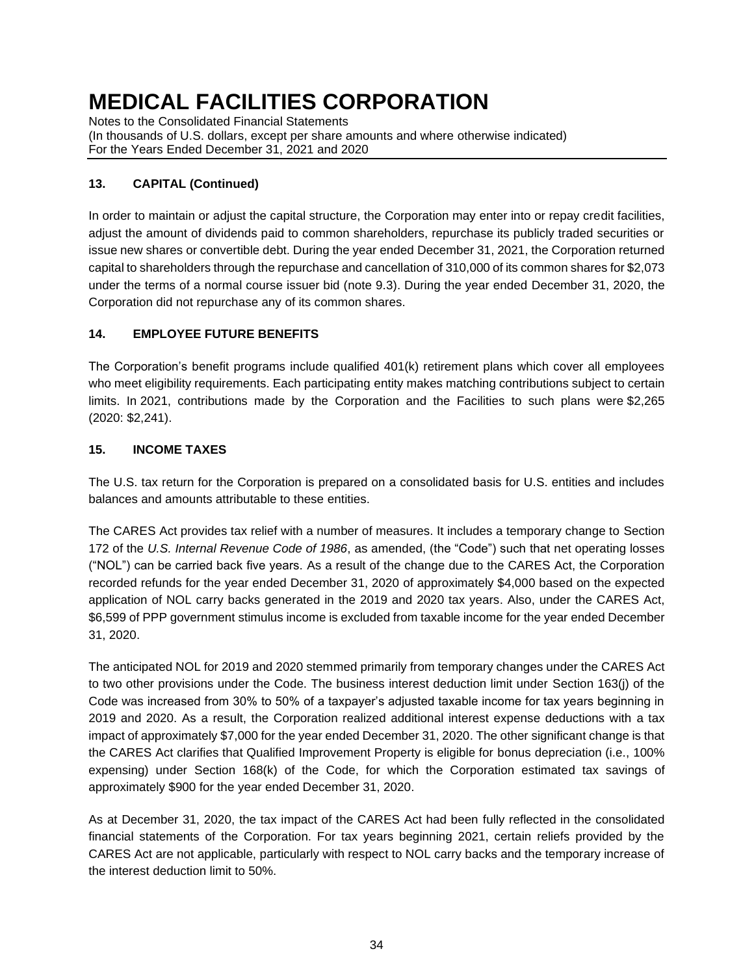Notes to the Consolidated Financial Statements (In thousands of U.S. dollars, except per share amounts and where otherwise indicated) For the Years Ended December 31, 2021 and 2020

# **13. CAPITAL (Continued)**

In order to maintain or adjust the capital structure, the Corporation may enter into or repay credit facilities, adjust the amount of dividends paid to common shareholders, repurchase its publicly traded securities or issue new shares or convertible debt. During the year ended December 31, 2021, the Corporation returned capital to shareholders through the repurchase and cancellation of 310,000 of its common shares for \$2,073 under the terms of a normal course issuer bid (note 9.3). During the year ended December 31, 2020, the Corporation did not repurchase any of its common shares.

# **14. EMPLOYEE FUTURE BENEFITS**

The Corporation's benefit programs include qualified 401(k) retirement plans which cover all employees who meet eligibility requirements. Each participating entity makes matching contributions subject to certain limits. In 2021, contributions made by the Corporation and the Facilities to such plans were \$2,265 (2020: \$2,241).

### **15. INCOME TAXES**

The U.S. tax return for the Corporation is prepared on a consolidated basis for U.S. entities and includes balances and amounts attributable to these entities.

The CARES Act provides tax relief with a number of measures. It includes a temporary change to Section 172 of the *U.S. Internal Revenue Code of 1986*, as amended, (the "Code") such that net operating losses ("NOL") can be carried back five years. As a result of the change due to the CARES Act, the Corporation recorded refunds for the year ended December 31, 2020 of approximately \$4,000 based on the expected application of NOL carry backs generated in the 2019 and 2020 tax years. Also, under the CARES Act, \$6,599 of PPP government stimulus income is excluded from taxable income for the year ended December 31, 2020.

The anticipated NOL for 2019 and 2020 stemmed primarily from temporary changes under the CARES Act to two other provisions under the Code. The business interest deduction limit under Section 163(j) of the Code was increased from 30% to 50% of a taxpayer's adjusted taxable income for tax years beginning in 2019 and 2020. As a result, the Corporation realized additional interest expense deductions with a tax impact of approximately \$7,000 for the year ended December 31, 2020. The other significant change is that the CARES Act clarifies that Qualified Improvement Property is eligible for bonus depreciation (i.e., 100% expensing) under Section 168(k) of the Code, for which the Corporation estimated tax savings of approximately \$900 for the year ended December 31, 2020.

As at December 31, 2020, the tax impact of the CARES Act had been fully reflected in the consolidated financial statements of the Corporation. For tax years beginning 2021, certain reliefs provided by the CARES Act are not applicable, particularly with respect to NOL carry backs and the temporary increase of the interest deduction limit to 50%.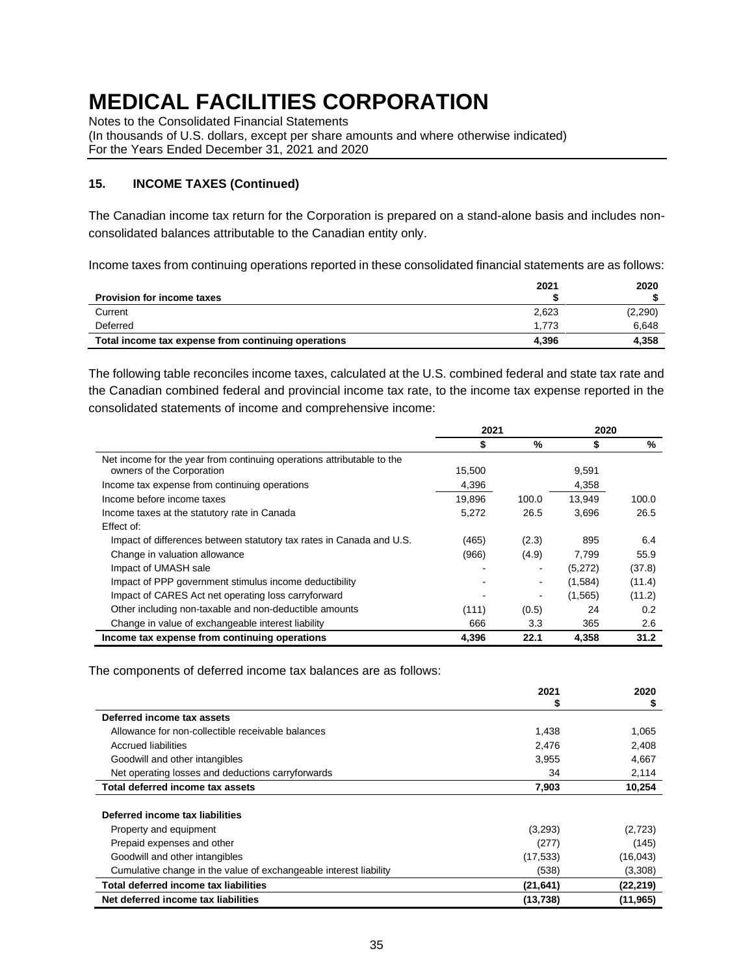Notes to the Consolidated Financial Statements

(In thousands of U.S. dollars, except per share amounts and where otherwise indicated) For the Years Ended December 31, 2021 and 2020

### **15. INCOME TAXES (Continued)**

The Canadian income tax return for the Corporation is prepared on a stand-alone basis and includes nonconsolidated balances attributable to the Canadian entity only.

Income taxes from continuing operations reported in these consolidated financial statements are as follows:

|                                                     | 2021  | 2020    |
|-----------------------------------------------------|-------|---------|
| <b>Provision for income taxes</b>                   |       |         |
| Current                                             | 2.623 | (2,290) |
| Deferred                                            | 1.773 | 6.648   |
| Total income tax expense from continuing operations | 4.396 | 4.358   |

The following table reconciles income taxes, calculated at the U.S. combined federal and state tax rate and the Canadian combined federal and provincial income tax rate, to the income tax expense reported in the consolidated statements of income and comprehensive income:

|                                                                                                     | 2021   |       | 2020    |        |
|-----------------------------------------------------------------------------------------------------|--------|-------|---------|--------|
|                                                                                                     | S      | %     | \$      | %      |
| Net income for the year from continuing operations attributable to the<br>owners of the Corporation | 15,500 |       | 9,591   |        |
| Income tax expense from continuing operations                                                       | 4,396  |       | 4,358   |        |
| Income before income taxes                                                                          | 19.896 | 100.0 | 13.949  | 100.0  |
| Income taxes at the statutory rate in Canada                                                        | 5,272  | 26.5  | 3,696   | 26.5   |
| Effect of:                                                                                          |        |       |         |        |
| Impact of differences between statutory tax rates in Canada and U.S.                                | (465)  | (2.3) | 895     | 6.4    |
| Change in valuation allowance                                                                       | (966)  | (4.9) | 7.799   | 55.9   |
| Impact of UMASH sale                                                                                |        |       | (5,272) | (37.8) |
| Impact of PPP government stimulus income deductibility                                              |        | ٠     | (1,584) | (11.4) |
| Impact of CARES Act net operating loss carryforward                                                 |        |       | (1,565) | (11.2) |
| Other including non-taxable and non-deductible amounts                                              | (111)  | (0.5) | 24      | 0.2    |
| Change in value of exchangeable interest liability                                                  | 666    | 3.3   | 365     | 2.6    |
| Income tax expense from continuing operations                                                       | 4.396  | 22.1  | 4,358   | 31.2   |

The components of deferred income tax balances are as follows:

|                                                                   | 2021      | 2020      |
|-------------------------------------------------------------------|-----------|-----------|
|                                                                   | Ъ         | \$        |
| Deferred income tax assets                                        |           |           |
| Allowance for non-collectible receivable balances                 | 1,438     | 1,065     |
| Accrued liabilities                                               | 2,476     | 2,408     |
| Goodwill and other intangibles                                    | 3,955     | 4.667     |
| Net operating losses and deductions carryforwards                 | 34        | 2,114     |
| Total deferred income tax assets                                  | 7,903     | 10,254    |
| Deferred income tax liabilities                                   |           |           |
| Property and equipment                                            | (3,293)   | (2,723)   |
| Prepaid expenses and other                                        | (277)     | (145)     |
| Goodwill and other intangibles                                    | (17, 533) | (16, 043) |
| Cumulative change in the value of exchangeable interest liability | (538)     | (3,308)   |
| Total deferred income tax liabilities                             | (21, 641) | (22, 219) |
| Net deferred income tax liabilities                               | (13, 738) | (11, 965) |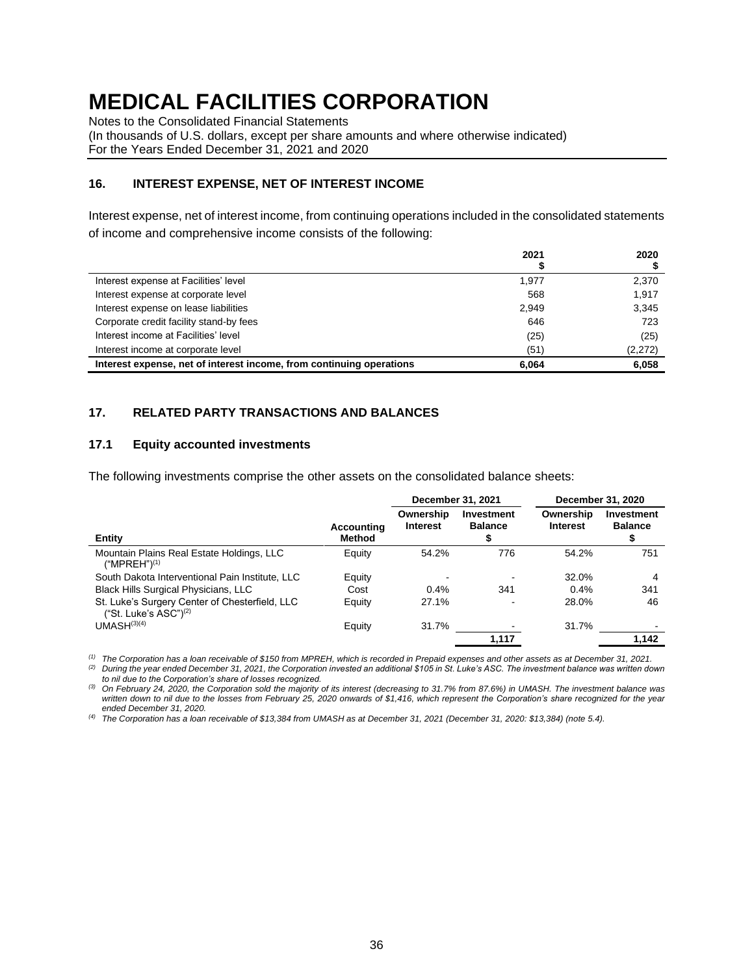Notes to the Consolidated Financial Statements

(In thousands of U.S. dollars, except per share amounts and where otherwise indicated) For the Years Ended December 31, 2021 and 2020

#### **16. INTEREST EXPENSE, NET OF INTEREST INCOME**

Interest expense, net of interest income, from continuing operations included in the consolidated statements of income and comprehensive income consists of the following:

|                                                                      | 2021  | 2020    |
|----------------------------------------------------------------------|-------|---------|
|                                                                      |       |         |
| Interest expense at Facilities' level                                | 1.977 | 2,370   |
| Interest expense at corporate level                                  | 568   | 1.917   |
| Interest expense on lease liabilities                                | 2.949 | 3,345   |
| Corporate credit facility stand-by fees                              | 646   | 723     |
| Interest income at Facilities' level                                 | (25)  | (25)    |
| Interest income at corporate level                                   | (51)  | (2,272) |
| Interest expense, net of interest income, from continuing operations | 6.064 | 6,058   |

#### **17. RELATED PARTY TRANSACTIONS AND BALANCES**

#### **17.1 Equity accounted investments**

The following investments comprise the other assets on the consolidated balance sheets:

|                                                                                        |                             | December 31, 2021            |                              |                              |                              |  | December 31, 2020 |
|----------------------------------------------------------------------------------------|-----------------------------|------------------------------|------------------------------|------------------------------|------------------------------|--|-------------------|
| Entity                                                                                 | Accounting<br><b>Method</b> | Ownership<br><b>Interest</b> | Investment<br><b>Balance</b> | Ownership<br><b>Interest</b> | Investment<br><b>Balance</b> |  |                   |
| Mountain Plains Real Estate Holdings, LLC<br>("MPREH") <sup>(1)</sup>                  | Equity                      | 54.2%                        | 776                          | 54.2%                        | 751                          |  |                   |
| South Dakota Interventional Pain Institute, LLC                                        | Equity                      |                              |                              | 32.0%                        | 4                            |  |                   |
| <b>Black Hills Surgical Physicians, LLC</b>                                            | Cost                        | 0.4%                         | 341                          | 0.4%                         | 341                          |  |                   |
| St. Luke's Surgery Center of Chesterfield, LLC<br>("St. Luke's $ASC$ ") <sup>(2)</sup> | Equity                      | 27.1%                        |                              | 28.0%                        | 46                           |  |                   |
| UMASH <sup>(3)(4)</sup>                                                                | Equity                      | 31.7%                        |                              | 31.7%                        |                              |  |                   |
|                                                                                        |                             |                              | 1,117                        |                              | 1,142                        |  |                   |

*(1) The Corporation has a loan receivable of \$150 from MPREH, which is recorded in Prepaid expenses and other assets as at December 31, 2021.*

*(2) During the year ended December 31, 2021, the Corporation invested an additional \$105 in St. Luke's ASC. The investment balance was written down to nil due to the Corporation's share of losses recognized.*

*(3) On February 24, 2020, the Corporation sold the majority of its interest (decreasing to 31.7% from 87.6%) in UMASH. The investment balance was written down to nil due to the losses from February 25, 2020 onwards of \$1,416, which represent the Corporation's share recognized for the year ended December 31, 2020.*

*(4) The Corporation has a loan receivable of \$13,384 from UMASH as at December 31, 2021 (December 31, 2020: \$13,384) (note 5.4).*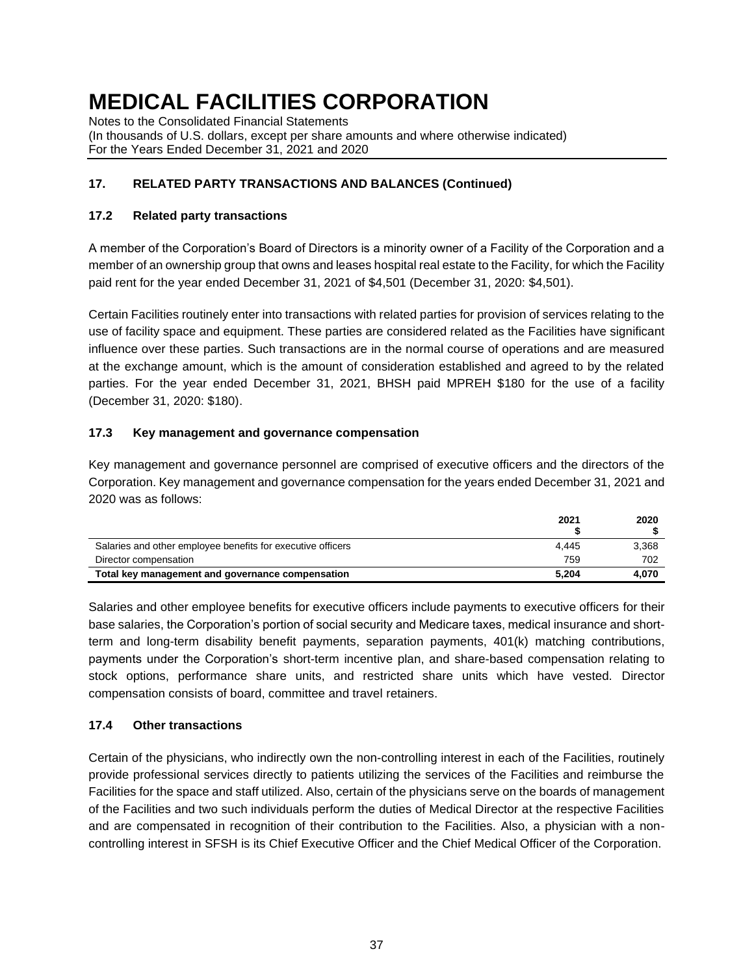Notes to the Consolidated Financial Statements (In thousands of U.S. dollars, except per share amounts and where otherwise indicated) For the Years Ended December 31, 2021 and 2020

# **17. RELATED PARTY TRANSACTIONS AND BALANCES (Continued)**

### **17.2 Related party transactions**

A member of the Corporation's Board of Directors is a minority owner of a Facility of the Corporation and a member of an ownership group that owns and leases hospital real estate to the Facility, for which the Facility paid rent for the year ended December 31, 2021 of \$4,501 (December 31, 2020: \$4,501).

Certain Facilities routinely enter into transactions with related parties for provision of services relating to the use of facility space and equipment. These parties are considered related as the Facilities have significant influence over these parties. Such transactions are in the normal course of operations and are measured at the exchange amount, which is the amount of consideration established and agreed to by the related parties. For the year ended December 31, 2021, BHSH paid MPREH \$180 for the use of a facility (December 31, 2020: \$180).

### **17.3 Key management and governance compensation**

Key management and governance personnel are comprised of executive officers and the directors of the Corporation. Key management and governance compensation for the years ended December 31, 2021 and 2020 was as follows:

|                                                             | 2021  | 2020  |
|-------------------------------------------------------------|-------|-------|
| Salaries and other employee benefits for executive officers | 4.445 | 3,368 |
| Director compensation                                       | 759   | 702   |
| Total key management and governance compensation            | 5.204 | 4.070 |

Salaries and other employee benefits for executive officers include payments to executive officers for their base salaries, the Corporation's portion of social security and Medicare taxes, medical insurance and shortterm and long-term disability benefit payments, separation payments, 401(k) matching contributions, payments under the Corporation's short-term incentive plan, and share-based compensation relating to stock options, performance share units, and restricted share units which have vested. Director compensation consists of board, committee and travel retainers.

# **17.4 Other transactions**

Certain of the physicians, who indirectly own the non-controlling interest in each of the Facilities, routinely provide professional services directly to patients utilizing the services of the Facilities and reimburse the Facilities for the space and staff utilized. Also, certain of the physicians serve on the boards of management of the Facilities and two such individuals perform the duties of Medical Director at the respective Facilities and are compensated in recognition of their contribution to the Facilities. Also, a physician with a noncontrolling interest in SFSH is its Chief Executive Officer and the Chief Medical Officer of the Corporation.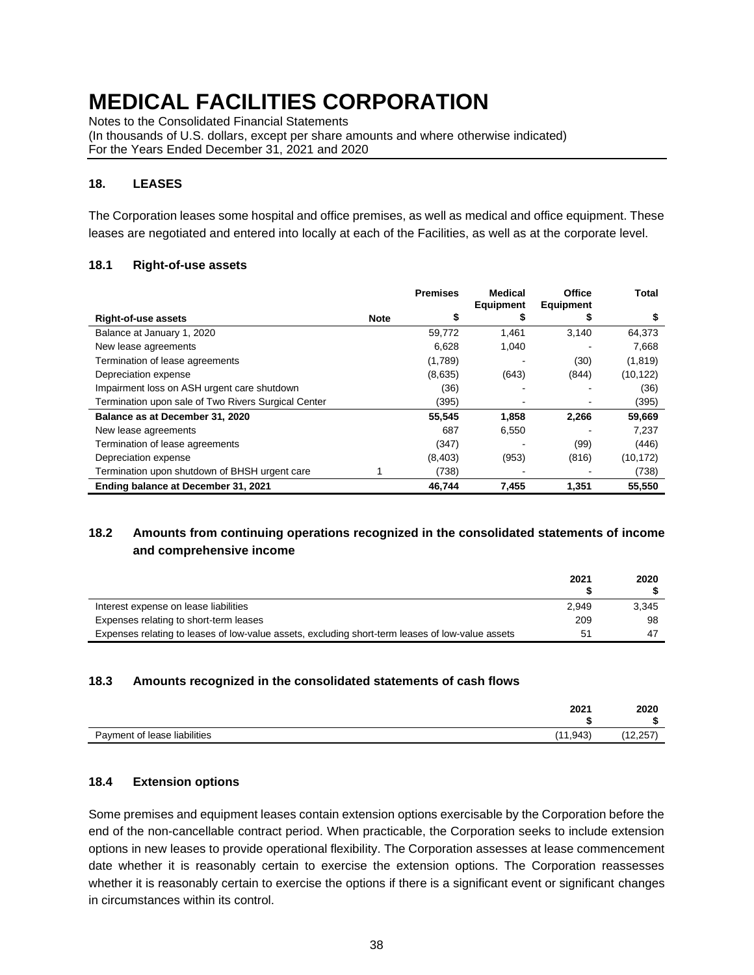Notes to the Consolidated Financial Statements

(In thousands of U.S. dollars, except per share amounts and where otherwise indicated) For the Years Ended December 31, 2021 and 2020

### **18. LEASES**

The Corporation leases some hospital and office premises, as well as medical and office equipment. These leases are negotiated and entered into locally at each of the Facilities, as well as at the corporate level.

#### **18.1 Right-of-use assets**

|                                                     |             | <b>Premises</b> | <b>Medical</b><br><b>Equipment</b> | Office<br><b>Equipment</b> | Total     |
|-----------------------------------------------------|-------------|-----------------|------------------------------------|----------------------------|-----------|
| <b>Right-of-use assets</b>                          | <b>Note</b> | \$              | s                                  |                            | \$        |
| Balance at January 1, 2020                          |             | 59,772          | 1,461                              | 3.140                      | 64,373    |
| New lease agreements                                |             | 6.628           | 1,040                              |                            | 7,668     |
| Termination of lease agreements                     |             | (1,789)         |                                    | (30)                       | (1,819)   |
| Depreciation expense                                |             | (8,635)         | (643)                              | (844)                      | (10, 122) |
| Impairment loss on ASH urgent care shutdown         |             | (36)            |                                    |                            | (36)      |
| Termination upon sale of Two Rivers Surgical Center |             | (395)           |                                    |                            | (395)     |
| Balance as at December 31, 2020                     |             | 55,545          | 1,858                              | 2.266                      | 59,669    |
| New lease agreements                                |             | 687             | 6,550                              |                            | 7,237     |
| Termination of lease agreements                     |             | (347)           |                                    | (99)                       | (446)     |
| Depreciation expense                                |             | (8,403)         | (953)                              | (816)                      | (10, 172) |
| Termination upon shutdown of BHSH urgent care       |             | (738)           |                                    |                            | (738)     |
| Ending balance at December 31, 2021                 |             | 46,744          | 7,455                              | 1,351                      | 55.550    |

# **18.2 Amounts from continuing operations recognized in the consolidated statements of income and comprehensive income**

|                                                                                                  | 2021  | 2020  |
|--------------------------------------------------------------------------------------------------|-------|-------|
| Interest expense on lease liabilities                                                            | 2.949 | 3.345 |
| Expenses relating to short-term leases                                                           | 209   | 98    |
| Expenses relating to leases of low-value assets, excluding short-term leases of low-value assets | 51    | -47   |

#### **18.3 Amounts recognized in the consolidated statements of cash flows**

| 2021                                      | 2020   |
|-------------------------------------------|--------|
| (11, 943)<br>Payment of lease liabilities | 12,257 |

#### **18.4 Extension options**

Some premises and equipment leases contain extension options exercisable by the Corporation before the end of the non-cancellable contract period. When practicable, the Corporation seeks to include extension options in new leases to provide operational flexibility. The Corporation assesses at lease commencement date whether it is reasonably certain to exercise the extension options. The Corporation reassesses whether it is reasonably certain to exercise the options if there is a significant event or significant changes in circumstances within its control.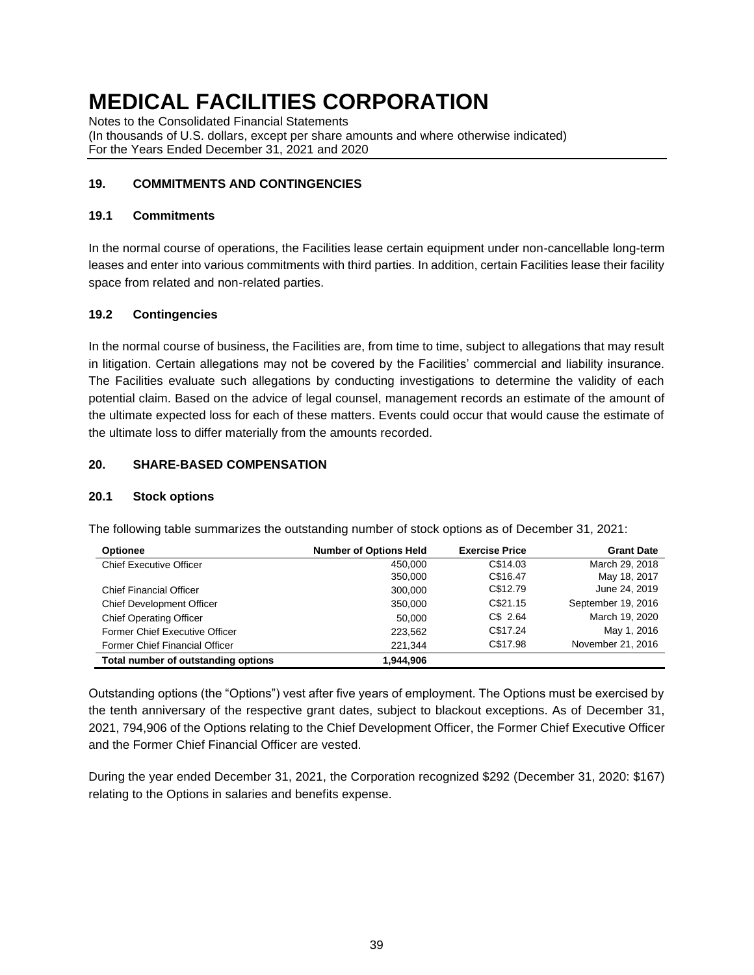Notes to the Consolidated Financial Statements (In thousands of U.S. dollars, except per share amounts and where otherwise indicated) For the Years Ended December 31, 2021 and 2020

### **19. COMMITMENTS AND CONTINGENCIES**

#### **19.1 Commitments**

In the normal course of operations, the Facilities lease certain equipment under non-cancellable long-term leases and enter into various commitments with third parties. In addition, certain Facilities lease their facility space from related and non-related parties.

### **19.2 Contingencies**

In the normal course of business, the Facilities are, from time to time, subject to allegations that may result in litigation. Certain allegations may not be covered by the Facilities' commercial and liability insurance. The Facilities evaluate such allegations by conducting investigations to determine the validity of each potential claim. Based on the advice of legal counsel, management records an estimate of the amount of the ultimate expected loss for each of these matters. Events could occur that would cause the estimate of the ultimate loss to differ materially from the amounts recorded.

### **20. SHARE-BASED COMPENSATION**

#### **20.1 Stock options**

The following table summarizes the outstanding number of stock options as of December 31, 2021:

| Optionee                            | <b>Number of Options Held</b> | <b>Exercise Price</b> | <b>Grant Date</b>  |
|-------------------------------------|-------------------------------|-----------------------|--------------------|
| <b>Chief Executive Officer</b>      | 450.000                       | C\$14.03              | March 29, 2018     |
|                                     | 350,000                       | C\$16.47              | May 18, 2017       |
| <b>Chief Financial Officer</b>      | 300,000                       | C\$12.79              | June 24, 2019      |
| <b>Chief Development Officer</b>    | 350,000                       | C\$21.15              | September 19, 2016 |
| <b>Chief Operating Officer</b>      | 50,000                        | C\$ 2.64              | March 19, 2020     |
| Former Chief Executive Officer      | 223.562                       | C\$17.24              | May 1, 2016        |
| Former Chief Financial Officer      | 221.344                       | C\$17.98              | November 21, 2016  |
| Total number of outstanding options | 1.944.906                     |                       |                    |

Outstanding options (the "Options") vest after five years of employment. The Options must be exercised by the tenth anniversary of the respective grant dates, subject to blackout exceptions. As of December 31, 2021, 794,906 of the Options relating to the Chief Development Officer, the Former Chief Executive Officer and the Former Chief Financial Officer are vested.

During the year ended December 31, 2021, the Corporation recognized \$292 (December 31, 2020: \$167) relating to the Options in salaries and benefits expense.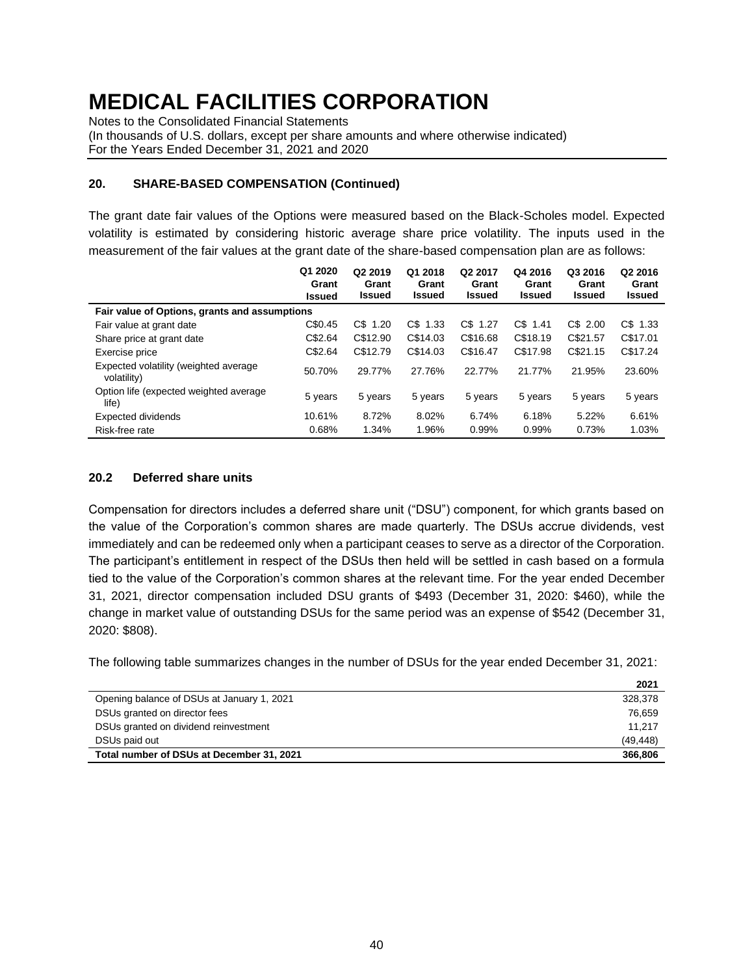Notes to the Consolidated Financial Statements

(In thousands of U.S. dollars, except per share amounts and where otherwise indicated) For the Years Ended December 31, 2021 and 2020

#### **20. SHARE-BASED COMPENSATION (Continued)**

The grant date fair values of the Options were measured based on the Black-Scholes model. Expected volatility is estimated by considering historic average share price volatility. The inputs used in the measurement of the fair values at the grant date of the share-based compensation plan are as follows:

|                                                      | Q1 2020<br>Grant<br><b>Issued</b> | Q <sub>2</sub> 2019<br>Grant<br><b>Issued</b> | Q1 2018<br>Grant<br><b>Issued</b> | Q2 2017<br>Grant<br><b>Issued</b> | Q4 2016<br>Grant<br><b>Issued</b> | Q3 2016<br>Grant<br><b>Issued</b> | Q2 2016<br>Grant<br><b>Issued</b> |
|------------------------------------------------------|-----------------------------------|-----------------------------------------------|-----------------------------------|-----------------------------------|-----------------------------------|-----------------------------------|-----------------------------------|
| Fair value of Options, grants and assumptions        |                                   |                                               |                                   |                                   |                                   |                                   |                                   |
| Fair value at grant date                             | C\$0.45                           | $CS$ 1.20                                     | C\$ 1.33                          | C\$ 1.27                          | $CS$ 1.41                         | C\$ 2.00                          | C\$ 1.33                          |
| Share price at grant date                            | C\$2.64                           | C\$12.90                                      | C\$14.03                          | C\$16.68                          | C\$18.19                          | C\$21.57                          | C\$17.01                          |
| Exercise price                                       | C\$2.64                           | C\$12.79                                      | C\$14.03                          | C\$16.47                          | C\$17.98                          | C\$21.15                          | C\$17.24                          |
| Expected volatility (weighted average<br>volatility) | 50.70%                            | 29.77%                                        | 27.76%                            | 22.77%                            | 21.77%                            | 21.95%                            | 23.60%                            |
| Option life (expected weighted average<br>life)      | 5 years                           | 5 years                                       | 5 years                           | 5 years                           | 5 years                           | 5 years                           | 5 years                           |
| <b>Expected dividends</b>                            | 10.61%                            | 8.72%                                         | 8.02%                             | 6.74%                             | 6.18%                             | 5.22%                             | 6.61%                             |
| Risk-free rate                                       | 0.68%                             | 1.34%                                         | 1.96%                             | 0.99%                             | 0.99%                             | 0.73%                             | 1.03%                             |

### **20.2 Deferred share units**

Compensation for directors includes a deferred share unit ("DSU") component, for which grants based on the value of the Corporation's common shares are made quarterly. The DSUs accrue dividends, vest immediately and can be redeemed only when a participant ceases to serve as a director of the Corporation. The participant's entitlement in respect of the DSUs then held will be settled in cash based on a formula tied to the value of the Corporation's common shares at the relevant time. For the year ended December 31, 2021, director compensation included DSU grants of \$493 (December 31, 2020: \$460), while the change in market value of outstanding DSUs for the same period was an expense of \$542 (December 31, 2020: \$808).

The following table summarizes changes in the number of DSUs for the year ended December 31, 2021:

|                                            | 2021      |
|--------------------------------------------|-----------|
| Opening balance of DSUs at January 1, 2021 | 328,378   |
| DSUs granted on director fees              | 76.659    |
| DSUs granted on dividend reinvestment      | 11.217    |
| DSUs paid out                              | (49, 448) |
| Total number of DSUs at December 31, 2021  | 366,806   |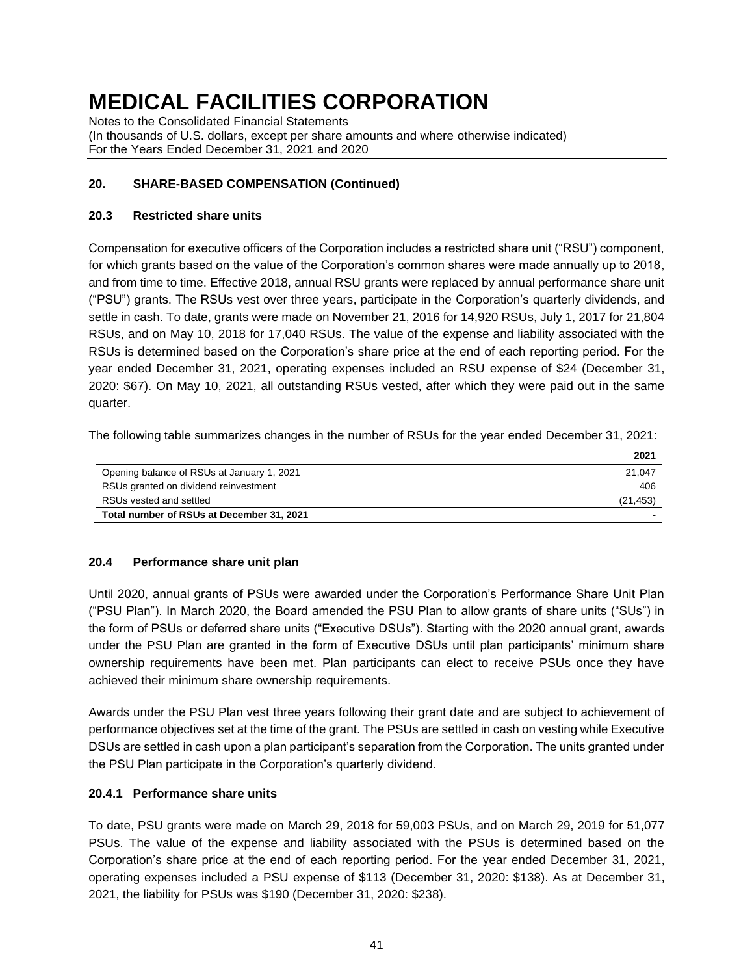Notes to the Consolidated Financial Statements (In thousands of U.S. dollars, except per share amounts and where otherwise indicated) For the Years Ended December 31, 2021 and 2020

### **20. SHARE-BASED COMPENSATION (Continued)**

### **20.3 Restricted share units**

Compensation for executive officers of the Corporation includes a restricted share unit ("RSU") component, for which grants based on the value of the Corporation's common shares were made annually up to 2018, and from time to time. Effective 2018, annual RSU grants were replaced by annual performance share unit ("PSU") grants. The RSUs vest over three years, participate in the Corporation's quarterly dividends, and settle in cash. To date, grants were made on November 21, 2016 for 14,920 RSUs, July 1, 2017 for 21,804 RSUs, and on May 10, 2018 for 17,040 RSUs. The value of the expense and liability associated with the RSUs is determined based on the Corporation's share price at the end of each reporting period. For the year ended December 31, 2021, operating expenses included an RSU expense of \$24 (December 31, 2020: \$67). On May 10, 2021, all outstanding RSUs vested, after which they were paid out in the same quarter.

The following table summarizes changes in the number of RSUs for the year ended December 31, 2021:

|                                            | 2021      |
|--------------------------------------------|-----------|
| Opening balance of RSUs at January 1, 2021 | 21.047    |
| RSUs granted on dividend reinvestment      | 406       |
| RSUs vested and settled                    | (21, 453) |
| Total number of RSUs at December 31, 2021  |           |

### **20.4 Performance share unit plan**

Until 2020, annual grants of PSUs were awarded under the Corporation's Performance Share Unit Plan ("PSU Plan"). In March 2020, the Board amended the PSU Plan to allow grants of share units ("SUs") in the form of PSUs or deferred share units ("Executive DSUs"). Starting with the 2020 annual grant, awards under the PSU Plan are granted in the form of Executive DSUs until plan participants' minimum share ownership requirements have been met. Plan participants can elect to receive PSUs once they have achieved their minimum share ownership requirements.

Awards under the PSU Plan vest three years following their grant date and are subject to achievement of performance objectives set at the time of the grant. The PSUs are settled in cash on vesting while Executive DSUs are settled in cash upon a plan participant's separation from the Corporation. The units granted under the PSU Plan participate in the Corporation's quarterly dividend.

### **20.4.1 Performance share units**

To date, PSU grants were made on March 29, 2018 for 59,003 PSUs, and on March 29, 2019 for 51,077 PSUs. The value of the expense and liability associated with the PSUs is determined based on the Corporation's share price at the end of each reporting period. For the year ended December 31, 2021, operating expenses included a PSU expense of \$113 (December 31, 2020: \$138). As at December 31, 2021, the liability for PSUs was \$190 (December 31, 2020: \$238).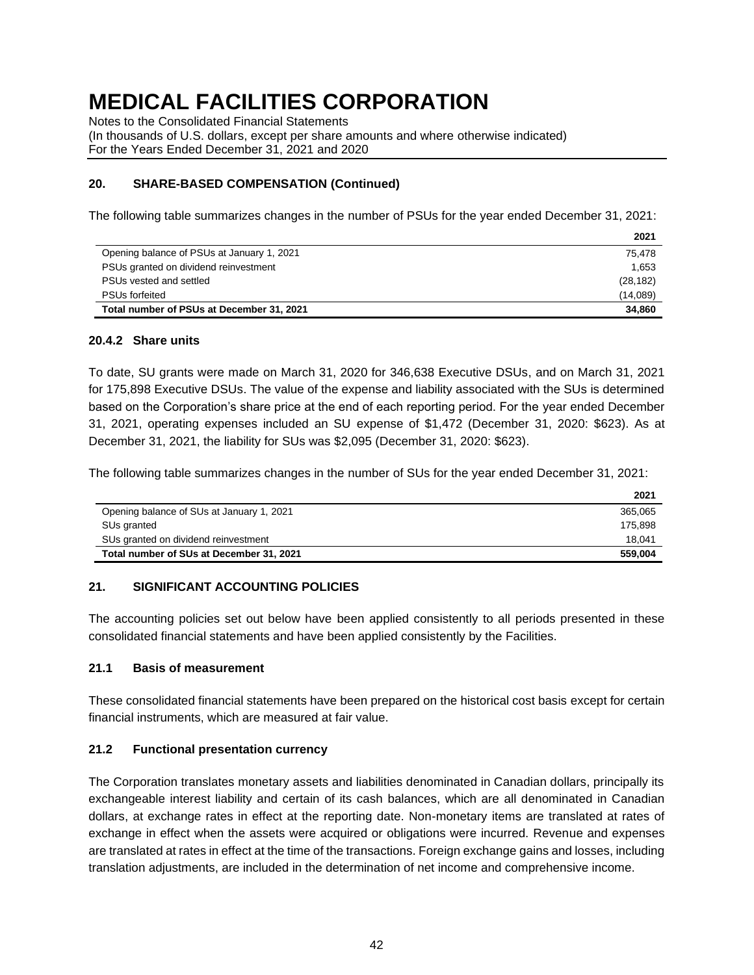Notes to the Consolidated Financial Statements

(In thousands of U.S. dollars, except per share amounts and where otherwise indicated) For the Years Ended December 31, 2021 and 2020

#### **20. SHARE-BASED COMPENSATION (Continued)**

The following table summarizes changes in the number of PSUs for the year ended December 31, 2021:

|                                            | 2021      |
|--------------------------------------------|-----------|
| Opening balance of PSUs at January 1, 2021 | 75.478    |
| PSUs granted on dividend reinvestment      | 1.653     |
| PSUs vested and settled                    | (28, 182) |
| <b>PSUs forfeited</b>                      | (14,089)  |
| Total number of PSUs at December 31, 2021  | 34.860    |

#### **20.4.2 Share units**

To date, SU grants were made on March 31, 2020 for 346,638 Executive DSUs, and on March 31, 2021 for 175,898 Executive DSUs. The value of the expense and liability associated with the SUs is determined based on the Corporation's share price at the end of each reporting period. For the year ended December 31, 2021, operating expenses included an SU expense of \$1,472 (December 31, 2020: \$623). As at December 31, 2021, the liability for SUs was \$2,095 (December 31, 2020: \$623).

The following table summarizes changes in the number of SUs for the year ended December 31, 2021:

|                                           | 2021    |
|-------------------------------------------|---------|
| Opening balance of SUs at January 1, 2021 | 365.065 |
| SUs granted                               | 175.898 |
| SUs granted on dividend reinvestment      | 18.041  |
| Total number of SUs at December 31, 2021  | 559.004 |

#### **21. SIGNIFICANT ACCOUNTING POLICIES**

The accounting policies set out below have been applied consistently to all periods presented in these consolidated financial statements and have been applied consistently by the Facilities.

#### **21.1 Basis of measurement**

These consolidated financial statements have been prepared on the historical cost basis except for certain financial instruments, which are measured at fair value.

#### **21.2 Functional presentation currency**

The Corporation translates monetary assets and liabilities denominated in Canadian dollars, principally its exchangeable interest liability and certain of its cash balances, which are all denominated in Canadian dollars, at exchange rates in effect at the reporting date. Non-monetary items are translated at rates of exchange in effect when the assets were acquired or obligations were incurred. Revenue and expenses are translated at rates in effect at the time of the transactions. Foreign exchange gains and losses, including translation adjustments, are included in the determination of net income and comprehensive income.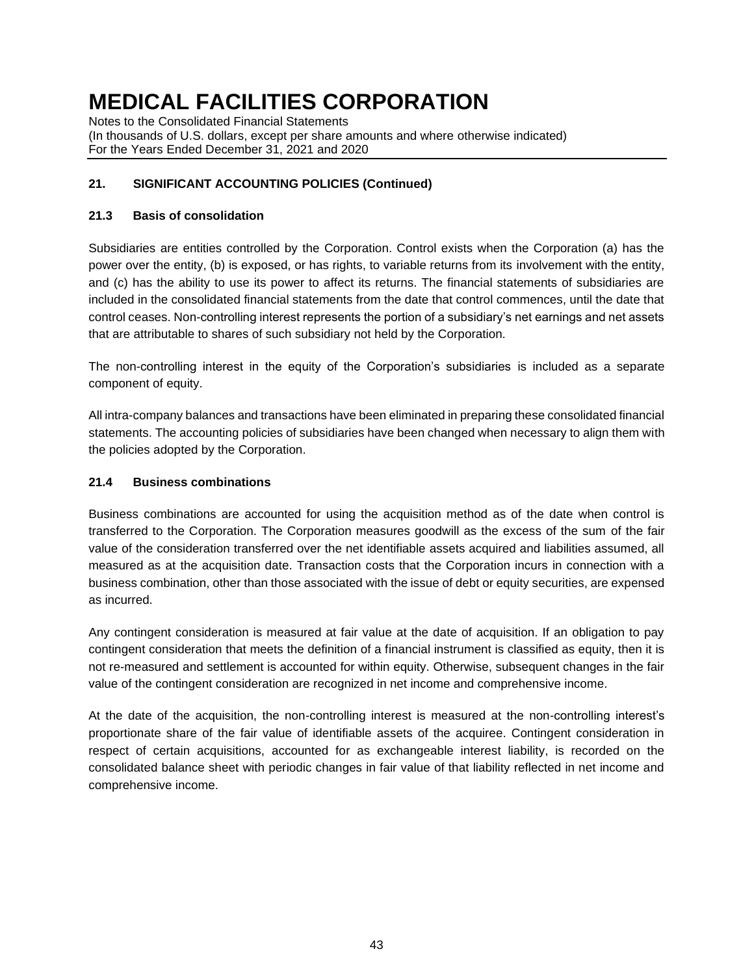Notes to the Consolidated Financial Statements (In thousands of U.S. dollars, except per share amounts and where otherwise indicated) For the Years Ended December 31, 2021 and 2020

# **21. SIGNIFICANT ACCOUNTING POLICIES (Continued)**

### **21.3 Basis of consolidation**

Subsidiaries are entities controlled by the Corporation. Control exists when the Corporation (a) has the power over the entity, (b) is exposed, or has rights, to variable returns from its involvement with the entity, and (c) has the ability to use its power to affect its returns. The financial statements of subsidiaries are included in the consolidated financial statements from the date that control commences, until the date that control ceases. Non-controlling interest represents the portion of a subsidiary's net earnings and net assets that are attributable to shares of such subsidiary not held by the Corporation.

The non-controlling interest in the equity of the Corporation's subsidiaries is included as a separate component of equity.

All intra-company balances and transactions have been eliminated in preparing these consolidated financial statements. The accounting policies of subsidiaries have been changed when necessary to align them with the policies adopted by the Corporation.

### **21.4 Business combinations**

Business combinations are accounted for using the acquisition method as of the date when control is transferred to the Corporation. The Corporation measures goodwill as the excess of the sum of the fair value of the consideration transferred over the net identifiable assets acquired and liabilities assumed, all measured as at the acquisition date. Transaction costs that the Corporation incurs in connection with a business combination, other than those associated with the issue of debt or equity securities, are expensed as incurred.

Any contingent consideration is measured at fair value at the date of acquisition. If an obligation to pay contingent consideration that meets the definition of a financial instrument is classified as equity, then it is not re-measured and settlement is accounted for within equity. Otherwise, subsequent changes in the fair value of the contingent consideration are recognized in net income and comprehensive income.

At the date of the acquisition, the non-controlling interest is measured at the non-controlling interest's proportionate share of the fair value of identifiable assets of the acquiree. Contingent consideration in respect of certain acquisitions, accounted for as exchangeable interest liability, is recorded on the consolidated balance sheet with periodic changes in fair value of that liability reflected in net income and comprehensive income.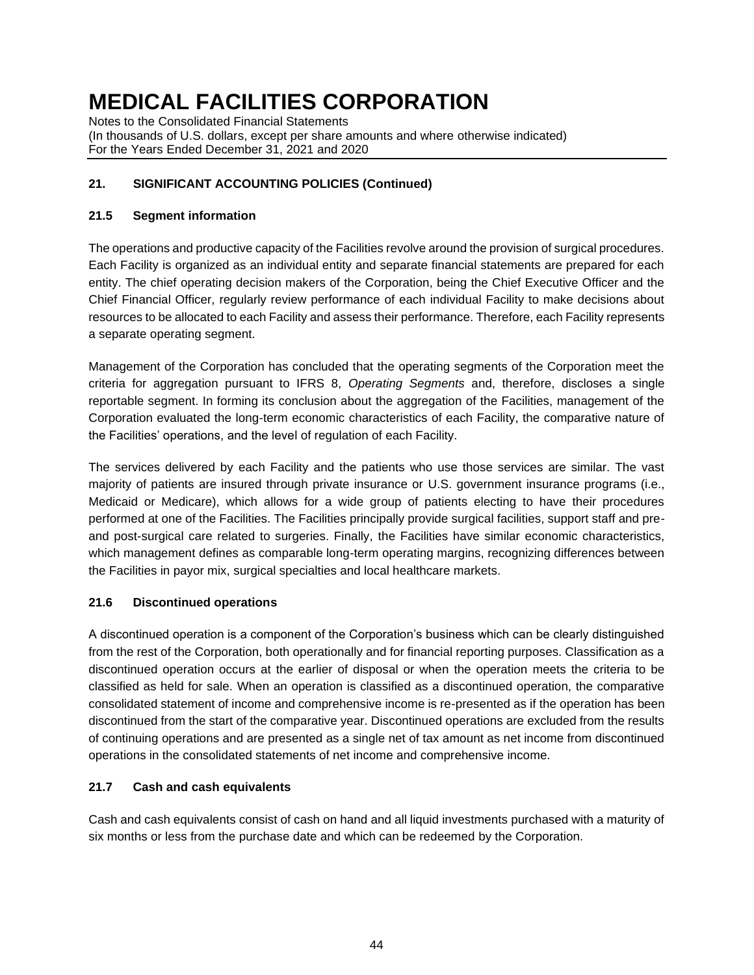Notes to the Consolidated Financial Statements (In thousands of U.S. dollars, except per share amounts and where otherwise indicated) For the Years Ended December 31, 2021 and 2020

# **21. SIGNIFICANT ACCOUNTING POLICIES (Continued)**

### **21.5 Segment information**

The operations and productive capacity of the Facilities revolve around the provision of surgical procedures. Each Facility is organized as an individual entity and separate financial statements are prepared for each entity. The chief operating decision makers of the Corporation, being the Chief Executive Officer and the Chief Financial Officer, regularly review performance of each individual Facility to make decisions about resources to be allocated to each Facility and assess their performance. Therefore, each Facility represents a separate operating segment.

Management of the Corporation has concluded that the operating segments of the Corporation meet the criteria for aggregation pursuant to IFRS 8, *Operating Segments* and, therefore, discloses a single reportable segment. In forming its conclusion about the aggregation of the Facilities, management of the Corporation evaluated the long-term economic characteristics of each Facility, the comparative nature of the Facilities' operations, and the level of regulation of each Facility.

The services delivered by each Facility and the patients who use those services are similar. The vast majority of patients are insured through private insurance or U.S. government insurance programs (i.e., Medicaid or Medicare), which allows for a wide group of patients electing to have their procedures performed at one of the Facilities. The Facilities principally provide surgical facilities, support staff and preand post-surgical care related to surgeries. Finally, the Facilities have similar economic characteristics, which management defines as comparable long-term operating margins, recognizing differences between the Facilities in payor mix, surgical specialties and local healthcare markets.

### **21.6 Discontinued operations**

A discontinued operation is a component of the Corporation's business which can be clearly distinguished from the rest of the Corporation, both operationally and for financial reporting purposes. Classification as a discontinued operation occurs at the earlier of disposal or when the operation meets the criteria to be classified as held for sale. When an operation is classified as a discontinued operation, the comparative consolidated statement of income and comprehensive income is re-presented as if the operation has been discontinued from the start of the comparative year. Discontinued operations are excluded from the results of continuing operations and are presented as a single net of tax amount as net income from discontinued operations in the consolidated statements of net income and comprehensive income.

### **21.7 Cash and cash equivalents**

Cash and cash equivalents consist of cash on hand and all liquid investments purchased with a maturity of six months or less from the purchase date and which can be redeemed by the Corporation.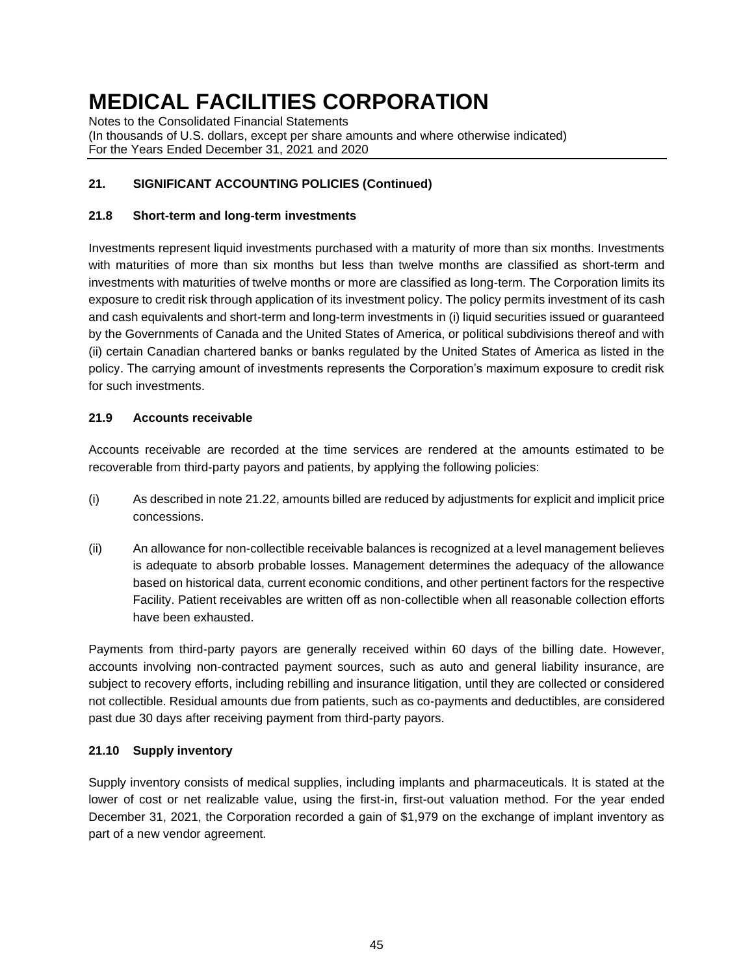Notes to the Consolidated Financial Statements (In thousands of U.S. dollars, except per share amounts and where otherwise indicated) For the Years Ended December 31, 2021 and 2020

# **21. SIGNIFICANT ACCOUNTING POLICIES (Continued)**

### **21.8 Short-term and long-term investments**

Investments represent liquid investments purchased with a maturity of more than six months. Investments with maturities of more than six months but less than twelve months are classified as short-term and investments with maturities of twelve months or more are classified as long-term. The Corporation limits its exposure to credit risk through application of its investment policy. The policy permits investment of its cash and cash equivalents and short-term and long-term investments in (i) liquid securities issued or guaranteed by the Governments of Canada and the United States of America, or political subdivisions thereof and with (ii) certain Canadian chartered banks or banks regulated by the United States of America as listed in the policy. The carrying amount of investments represents the Corporation's maximum exposure to credit risk for such investments.

### **21.9 Accounts receivable**

Accounts receivable are recorded at the time services are rendered at the amounts estimated to be recoverable from third-party payors and patients, by applying the following policies:

- (i) As described in note 21.22, amounts billed are reduced by adjustments for explicit and implicit price concessions.
- (ii) An allowance for non-collectible receivable balances is recognized at a level management believes is adequate to absorb probable losses. Management determines the adequacy of the allowance based on historical data, current economic conditions, and other pertinent factors for the respective Facility. Patient receivables are written off as non-collectible when all reasonable collection efforts have been exhausted.

Payments from third-party payors are generally received within 60 days of the billing date. However, accounts involving non-contracted payment sources, such as auto and general liability insurance, are subject to recovery efforts, including rebilling and insurance litigation, until they are collected or considered not collectible. Residual amounts due from patients, such as co-payments and deductibles, are considered past due 30 days after receiving payment from third-party payors.

#### **21.10 Supply inventory**

Supply inventory consists of medical supplies, including implants and pharmaceuticals. It is stated at the lower of cost or net realizable value, using the first-in, first-out valuation method. For the year ended December 31, 2021, the Corporation recorded a gain of \$1,979 on the exchange of implant inventory as part of a new vendor agreement.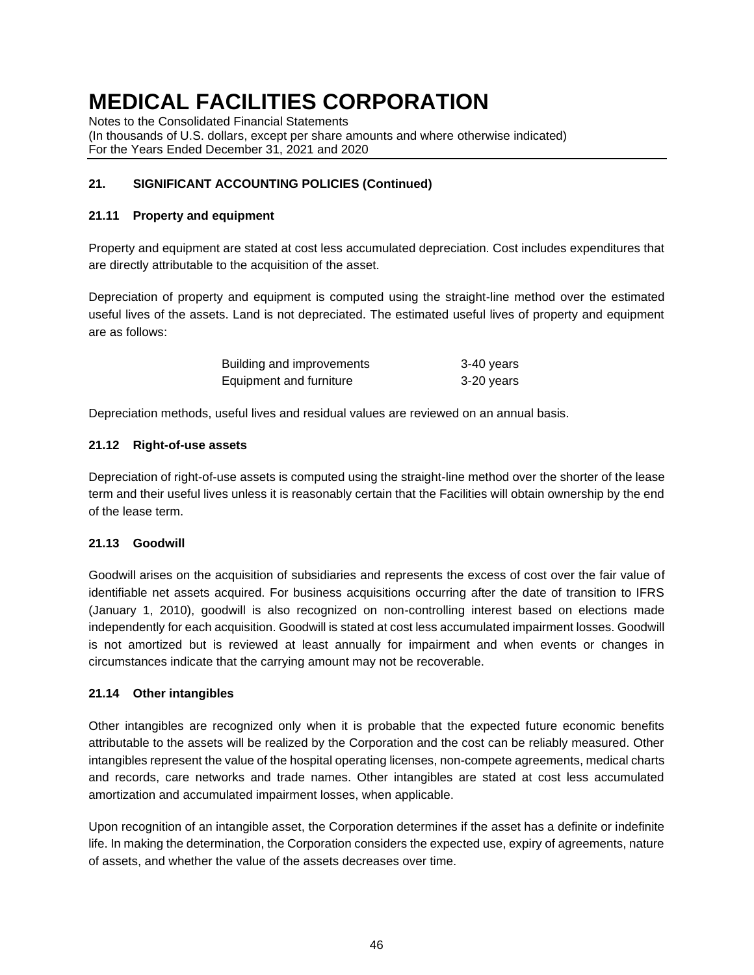Notes to the Consolidated Financial Statements

(In thousands of U.S. dollars, except per share amounts and where otherwise indicated) For the Years Ended December 31, 2021 and 2020

### **21. SIGNIFICANT ACCOUNTING POLICIES (Continued)**

#### **21.11 Property and equipment**

Property and equipment are stated at cost less accumulated depreciation. Cost includes expenditures that are directly attributable to the acquisition of the asset.

Depreciation of property and equipment is computed using the straight-line method over the estimated useful lives of the assets. Land is not depreciated. The estimated useful lives of property and equipment are as follows:

| Building and improvements | 3-40 years |
|---------------------------|------------|
| Equipment and furniture   | 3-20 years |

Depreciation methods, useful lives and residual values are reviewed on an annual basis.

### **21.12 Right-of-use assets**

Depreciation of right-of-use assets is computed using the straight-line method over the shorter of the lease term and their useful lives unless it is reasonably certain that the Facilities will obtain ownership by the end of the lease term.

#### **21.13 Goodwill**

Goodwill arises on the acquisition of subsidiaries and represents the excess of cost over the fair value of identifiable net assets acquired. For business acquisitions occurring after the date of transition to IFRS (January 1, 2010), goodwill is also recognized on non-controlling interest based on elections made independently for each acquisition. Goodwill is stated at cost less accumulated impairment losses. Goodwill is not amortized but is reviewed at least annually for impairment and when events or changes in circumstances indicate that the carrying amount may not be recoverable.

#### **21.14 Other intangibles**

Other intangibles are recognized only when it is probable that the expected future economic benefits attributable to the assets will be realized by the Corporation and the cost can be reliably measured. Other intangibles represent the value of the hospital operating licenses, non-compete agreements, medical charts and records, care networks and trade names. Other intangibles are stated at cost less accumulated amortization and accumulated impairment losses, when applicable.

Upon recognition of an intangible asset, the Corporation determines if the asset has a definite or indefinite life. In making the determination, the Corporation considers the expected use, expiry of agreements, nature of assets, and whether the value of the assets decreases over time.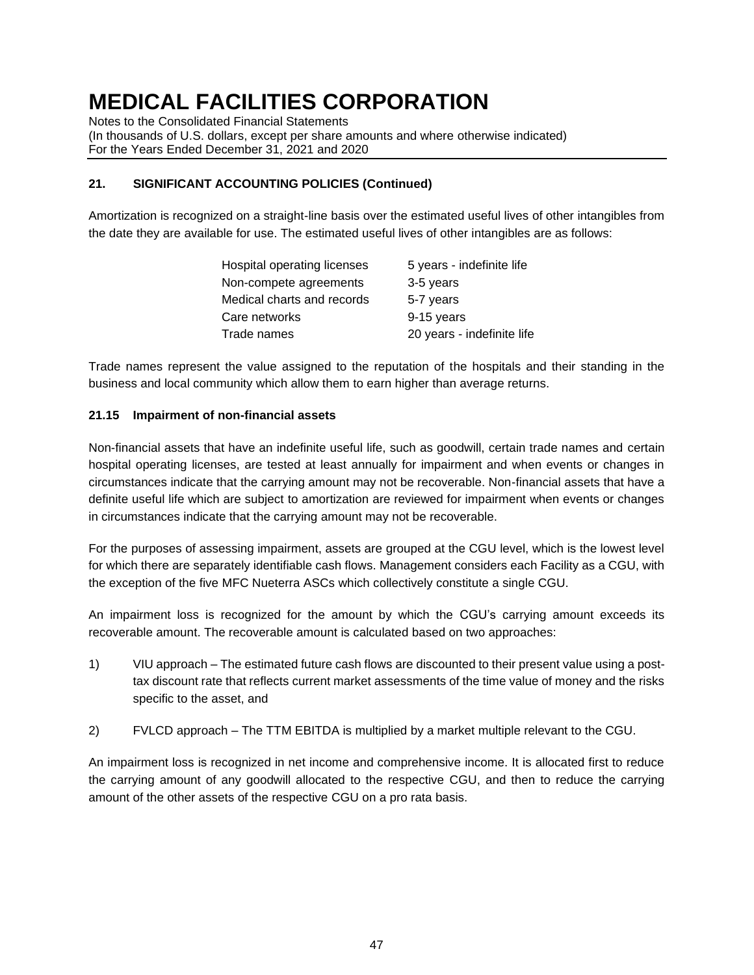Notes to the Consolidated Financial Statements

(In thousands of U.S. dollars, except per share amounts and where otherwise indicated) For the Years Ended December 31, 2021 and 2020

# **21. SIGNIFICANT ACCOUNTING POLICIES (Continued)**

Amortization is recognized on a straight-line basis over the estimated useful lives of other intangibles from the date they are available for use. The estimated useful lives of other intangibles are as follows:

| Hospital operating licenses | 5 years - indefinite life  |
|-----------------------------|----------------------------|
| Non-compete agreements      | 3-5 years                  |
| Medical charts and records  | 5-7 years                  |
| Care networks               | 9-15 years                 |
| Trade names                 | 20 years - indefinite life |

Trade names represent the value assigned to the reputation of the hospitals and their standing in the business and local community which allow them to earn higher than average returns.

### **21.15 Impairment of non-financial assets**

Non-financial assets that have an indefinite useful life, such as goodwill, certain trade names and certain hospital operating licenses, are tested at least annually for impairment and when events or changes in circumstances indicate that the carrying amount may not be recoverable. Non-financial assets that have a definite useful life which are subject to amortization are reviewed for impairment when events or changes in circumstances indicate that the carrying amount may not be recoverable.

For the purposes of assessing impairment, assets are grouped at the CGU level, which is the lowest level for which there are separately identifiable cash flows. Management considers each Facility as a CGU, with the exception of the five MFC Nueterra ASCs which collectively constitute a single CGU.

An impairment loss is recognized for the amount by which the CGU's carrying amount exceeds its recoverable amount. The recoverable amount is calculated based on two approaches:

- 1) VIU approach The estimated future cash flows are discounted to their present value using a posttax discount rate that reflects current market assessments of the time value of money and the risks specific to the asset, and
- 2) FVLCD approach The TTM EBITDA is multiplied by a market multiple relevant to the CGU.

An impairment loss is recognized in net income and comprehensive income. It is allocated first to reduce the carrying amount of any goodwill allocated to the respective CGU, and then to reduce the carrying amount of the other assets of the respective CGU on a pro rata basis.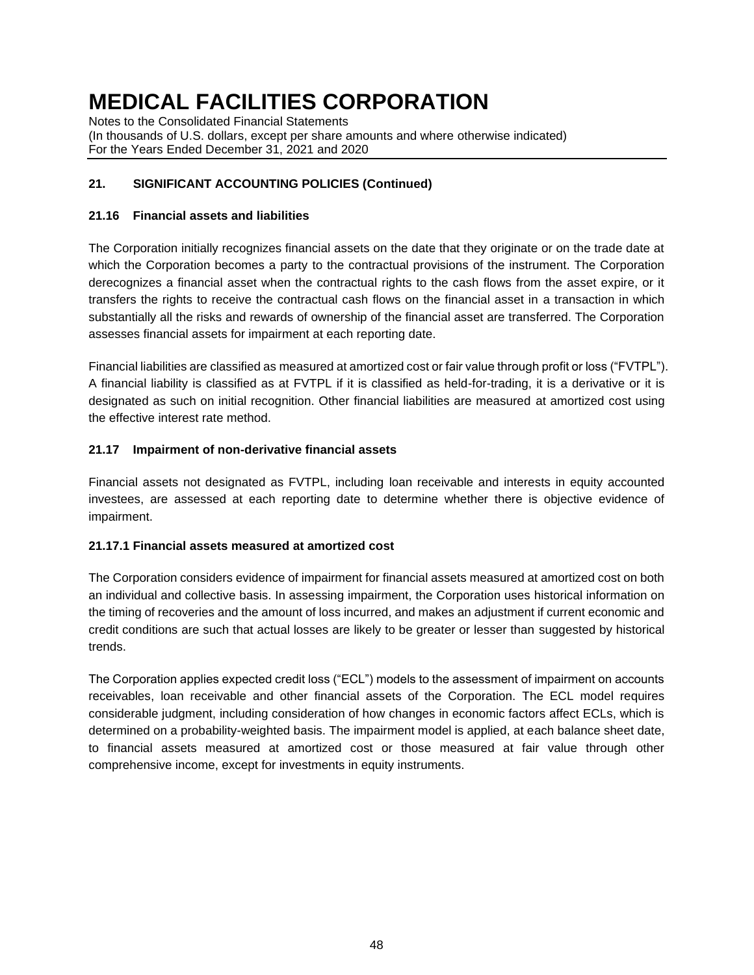Notes to the Consolidated Financial Statements (In thousands of U.S. dollars, except per share amounts and where otherwise indicated) For the Years Ended December 31, 2021 and 2020

# **21. SIGNIFICANT ACCOUNTING POLICIES (Continued)**

### **21.16 Financial assets and liabilities**

The Corporation initially recognizes financial assets on the date that they originate or on the trade date at which the Corporation becomes a party to the contractual provisions of the instrument. The Corporation derecognizes a financial asset when the contractual rights to the cash flows from the asset expire, or it transfers the rights to receive the contractual cash flows on the financial asset in a transaction in which substantially all the risks and rewards of ownership of the financial asset are transferred. The Corporation assesses financial assets for impairment at each reporting date.

Financial liabilities are classified as measured at amortized cost or fair value through profit or loss ("FVTPL"). A financial liability is classified as at FVTPL if it is classified as held-for-trading, it is a derivative or it is designated as such on initial recognition. Other financial liabilities are measured at amortized cost using the effective interest rate method.

### **21.17 Impairment of non-derivative financial assets**

Financial assets not designated as FVTPL, including loan receivable and interests in equity accounted investees, are assessed at each reporting date to determine whether there is objective evidence of impairment.

### **21.17.1 Financial assets measured at amortized cost**

The Corporation considers evidence of impairment for financial assets measured at amortized cost on both an individual and collective basis. In assessing impairment, the Corporation uses historical information on the timing of recoveries and the amount of loss incurred, and makes an adjustment if current economic and credit conditions are such that actual losses are likely to be greater or lesser than suggested by historical trends.

The Corporation applies expected credit loss ("ECL") models to the assessment of impairment on accounts receivables, loan receivable and other financial assets of the Corporation. The ECL model requires considerable judgment, including consideration of how changes in economic factors affect ECLs, which is determined on a probability-weighted basis. The impairment model is applied, at each balance sheet date, to financial assets measured at amortized cost or those measured at fair value through other comprehensive income, except for investments in equity instruments.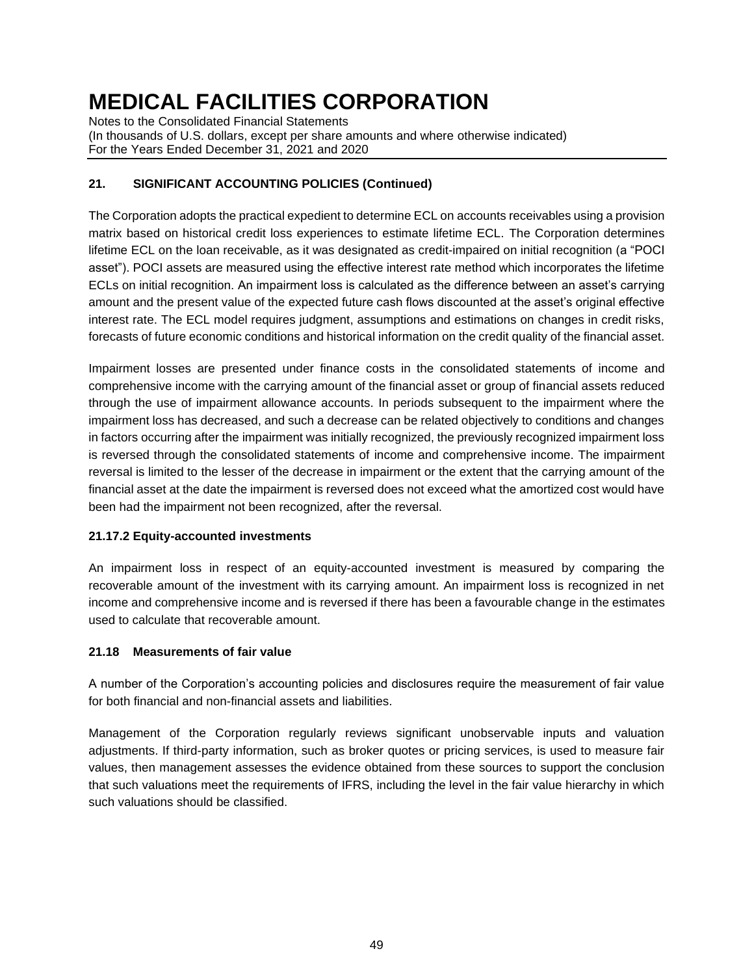Notes to the Consolidated Financial Statements (In thousands of U.S. dollars, except per share amounts and where otherwise indicated) For the Years Ended December 31, 2021 and 2020

# **21. SIGNIFICANT ACCOUNTING POLICIES (Continued)**

The Corporation adopts the practical expedient to determine ECL on accounts receivables using a provision matrix based on historical credit loss experiences to estimate lifetime ECL. The Corporation determines lifetime ECL on the loan receivable, as it was designated as credit-impaired on initial recognition (a "POCI asset"). POCI assets are measured using the effective interest rate method which incorporates the lifetime ECLs on initial recognition. An impairment loss is calculated as the difference between an asset's carrying amount and the present value of the expected future cash flows discounted at the asset's original effective interest rate. The ECL model requires judgment, assumptions and estimations on changes in credit risks, forecasts of future economic conditions and historical information on the credit quality of the financial asset.

Impairment losses are presented under finance costs in the consolidated statements of income and comprehensive income with the carrying amount of the financial asset or group of financial assets reduced through the use of impairment allowance accounts. In periods subsequent to the impairment where the impairment loss has decreased, and such a decrease can be related objectively to conditions and changes in factors occurring after the impairment was initially recognized, the previously recognized impairment loss is reversed through the consolidated statements of income and comprehensive income. The impairment reversal is limited to the lesser of the decrease in impairment or the extent that the carrying amount of the financial asset at the date the impairment is reversed does not exceed what the amortized cost would have been had the impairment not been recognized, after the reversal.

### **21.17.2 Equity-accounted investments**

An impairment loss in respect of an equity-accounted investment is measured by comparing the recoverable amount of the investment with its carrying amount. An impairment loss is recognized in net income and comprehensive income and is reversed if there has been a favourable change in the estimates used to calculate that recoverable amount.

### **21.18 Measurements of fair value**

A number of the Corporation's accounting policies and disclosures require the measurement of fair value for both financial and non-financial assets and liabilities.

Management of the Corporation regularly reviews significant unobservable inputs and valuation adjustments. If third-party information, such as broker quotes or pricing services, is used to measure fair values, then management assesses the evidence obtained from these sources to support the conclusion that such valuations meet the requirements of IFRS, including the level in the fair value hierarchy in which such valuations should be classified.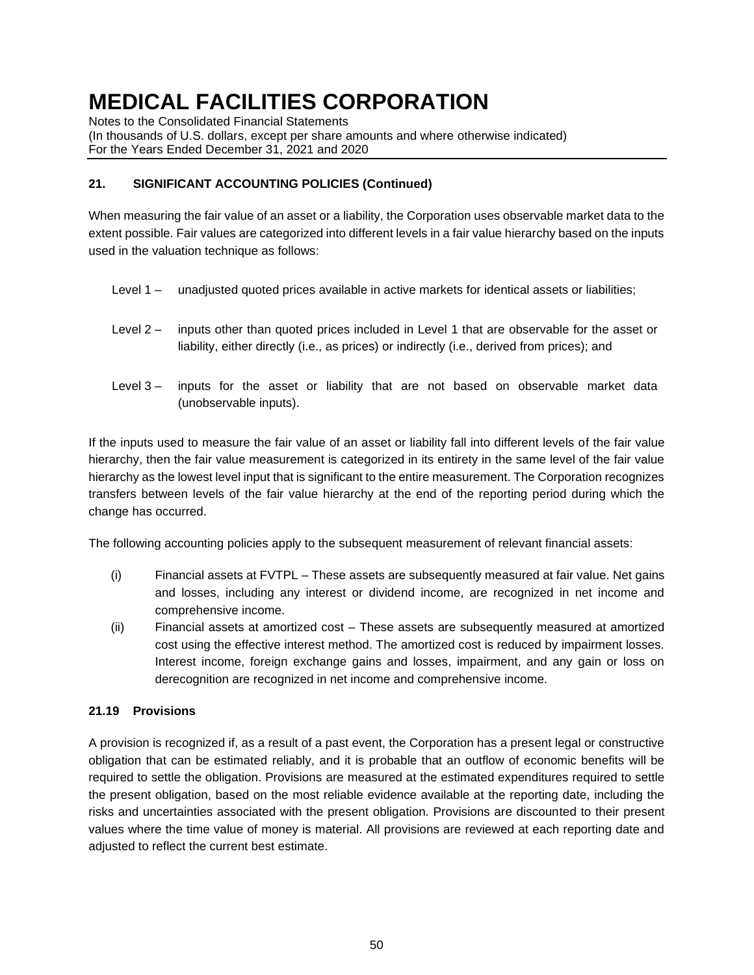Notes to the Consolidated Financial Statements

(In thousands of U.S. dollars, except per share amounts and where otherwise indicated) For the Years Ended December 31, 2021 and 2020

### **21. SIGNIFICANT ACCOUNTING POLICIES (Continued)**

When measuring the fair value of an asset or a liability, the Corporation uses observable market data to the extent possible. Fair values are categorized into different levels in a fair value hierarchy based on the inputs used in the valuation technique as follows:

- Level 1 unadjusted quoted prices available in active markets for identical assets or liabilities;
- Level 2 inputs other than quoted prices included in Level 1 that are observable for the asset or liability, either directly (i.e., as prices) or indirectly (i.e., derived from prices); and
- Level 3 inputs for the asset or liability that are not based on observable market data (unobservable inputs).

If the inputs used to measure the fair value of an asset or liability fall into different levels of the fair value hierarchy, then the fair value measurement is categorized in its entirety in the same level of the fair value hierarchy as the lowest level input that is significant to the entire measurement. The Corporation recognizes transfers between levels of the fair value hierarchy at the end of the reporting period during which the change has occurred.

The following accounting policies apply to the subsequent measurement of relevant financial assets:

- (i) Financial assets at FVTPL These assets are subsequently measured at fair value. Net gains and losses, including any interest or dividend income, are recognized in net income and comprehensive income.
- (ii) Financial assets at amortized cost These assets are subsequently measured at amortized cost using the effective interest method. The amortized cost is reduced by impairment losses. Interest income, foreign exchange gains and losses, impairment, and any gain or loss on derecognition are recognized in net income and comprehensive income.

### **21.19 Provisions**

A provision is recognized if, as a result of a past event, the Corporation has a present legal or constructive obligation that can be estimated reliably, and it is probable that an outflow of economic benefits will be required to settle the obligation. Provisions are measured at the estimated expenditures required to settle the present obligation, based on the most reliable evidence available at the reporting date, including the risks and uncertainties associated with the present obligation. Provisions are discounted to their present values where the time value of money is material. All provisions are reviewed at each reporting date and adjusted to reflect the current best estimate.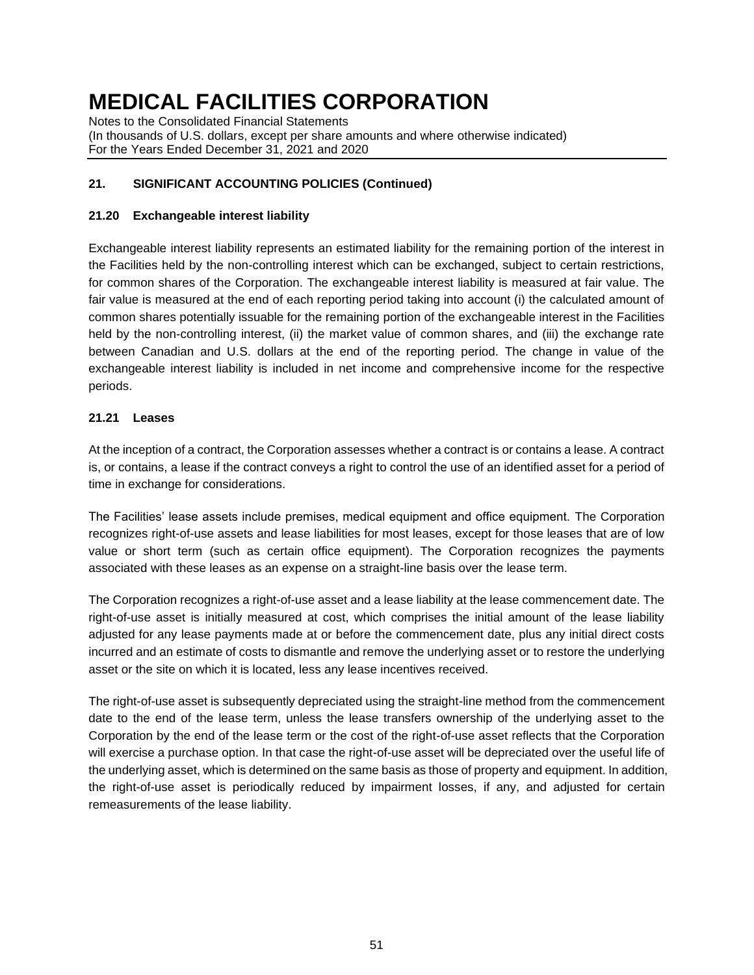Notes to the Consolidated Financial Statements (In thousands of U.S. dollars, except per share amounts and where otherwise indicated) For the Years Ended December 31, 2021 and 2020

# **21. SIGNIFICANT ACCOUNTING POLICIES (Continued)**

### **21.20 Exchangeable interest liability**

Exchangeable interest liability represents an estimated liability for the remaining portion of the interest in the Facilities held by the non-controlling interest which can be exchanged, subject to certain restrictions, for common shares of the Corporation. The exchangeable interest liability is measured at fair value. The fair value is measured at the end of each reporting period taking into account (i) the calculated amount of common shares potentially issuable for the remaining portion of the exchangeable interest in the Facilities held by the non-controlling interest, (ii) the market value of common shares, and (iii) the exchange rate between Canadian and U.S. dollars at the end of the reporting period. The change in value of the exchangeable interest liability is included in net income and comprehensive income for the respective periods.

### **21.21 Leases**

At the inception of a contract, the Corporation assesses whether a contract is or contains a lease. A contract is, or contains, a lease if the contract conveys a right to control the use of an identified asset for a period of time in exchange for considerations.

The Facilities' lease assets include premises, medical equipment and office equipment. The Corporation recognizes right-of-use assets and lease liabilities for most leases, except for those leases that are of low value or short term (such as certain office equipment). The Corporation recognizes the payments associated with these leases as an expense on a straight-line basis over the lease term.

The Corporation recognizes a right-of-use asset and a lease liability at the lease commencement date. The right-of-use asset is initially measured at cost, which comprises the initial amount of the lease liability adjusted for any lease payments made at or before the commencement date, plus any initial direct costs incurred and an estimate of costs to dismantle and remove the underlying asset or to restore the underlying asset or the site on which it is located, less any lease incentives received.

The right-of-use asset is subsequently depreciated using the straight-line method from the commencement date to the end of the lease term, unless the lease transfers ownership of the underlying asset to the Corporation by the end of the lease term or the cost of the right-of-use asset reflects that the Corporation will exercise a purchase option. In that case the right-of-use asset will be depreciated over the useful life of the underlying asset, which is determined on the same basis as those of property and equipment. In addition, the right-of-use asset is periodically reduced by impairment losses, if any, and adjusted for certain remeasurements of the lease liability.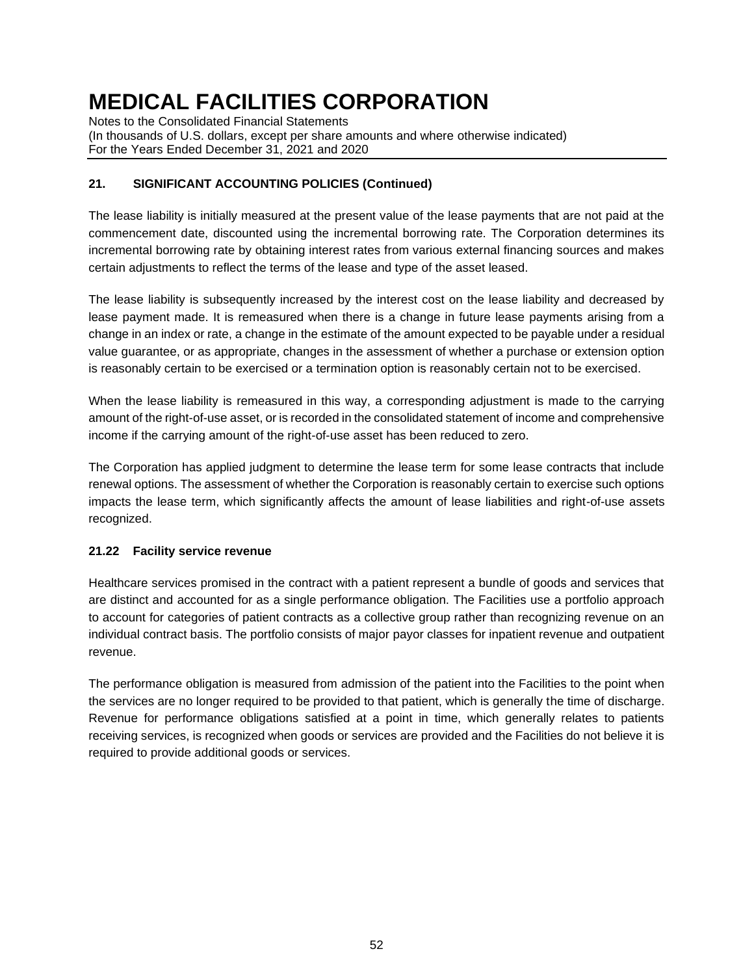Notes to the Consolidated Financial Statements (In thousands of U.S. dollars, except per share amounts and where otherwise indicated) For the Years Ended December 31, 2021 and 2020

# **21. SIGNIFICANT ACCOUNTING POLICIES (Continued)**

The lease liability is initially measured at the present value of the lease payments that are not paid at the commencement date, discounted using the incremental borrowing rate. The Corporation determines its incremental borrowing rate by obtaining interest rates from various external financing sources and makes certain adjustments to reflect the terms of the lease and type of the asset leased.

The lease liability is subsequently increased by the interest cost on the lease liability and decreased by lease payment made. It is remeasured when there is a change in future lease payments arising from a change in an index or rate, a change in the estimate of the amount expected to be payable under a residual value guarantee, or as appropriate, changes in the assessment of whether a purchase or extension option is reasonably certain to be exercised or a termination option is reasonably certain not to be exercised.

When the lease liability is remeasured in this way, a corresponding adjustment is made to the carrying amount of the right-of-use asset, or is recorded in the consolidated statement of income and comprehensive income if the carrying amount of the right-of-use asset has been reduced to zero.

The Corporation has applied judgment to determine the lease term for some lease contracts that include renewal options. The assessment of whether the Corporation is reasonably certain to exercise such options impacts the lease term, which significantly affects the amount of lease liabilities and right-of-use assets recognized.

### **21.22 Facility service revenue**

Healthcare services promised in the contract with a patient represent a bundle of goods and services that are distinct and accounted for as a single performance obligation. The Facilities use a portfolio approach to account for categories of patient contracts as a collective group rather than recognizing revenue on an individual contract basis. The portfolio consists of major payor classes for inpatient revenue and outpatient revenue.

The performance obligation is measured from admission of the patient into the Facilities to the point when the services are no longer required to be provided to that patient, which is generally the time of discharge. Revenue for performance obligations satisfied at a point in time, which generally relates to patients receiving services, is recognized when goods or services are provided and the Facilities do not believe it is required to provide additional goods or services.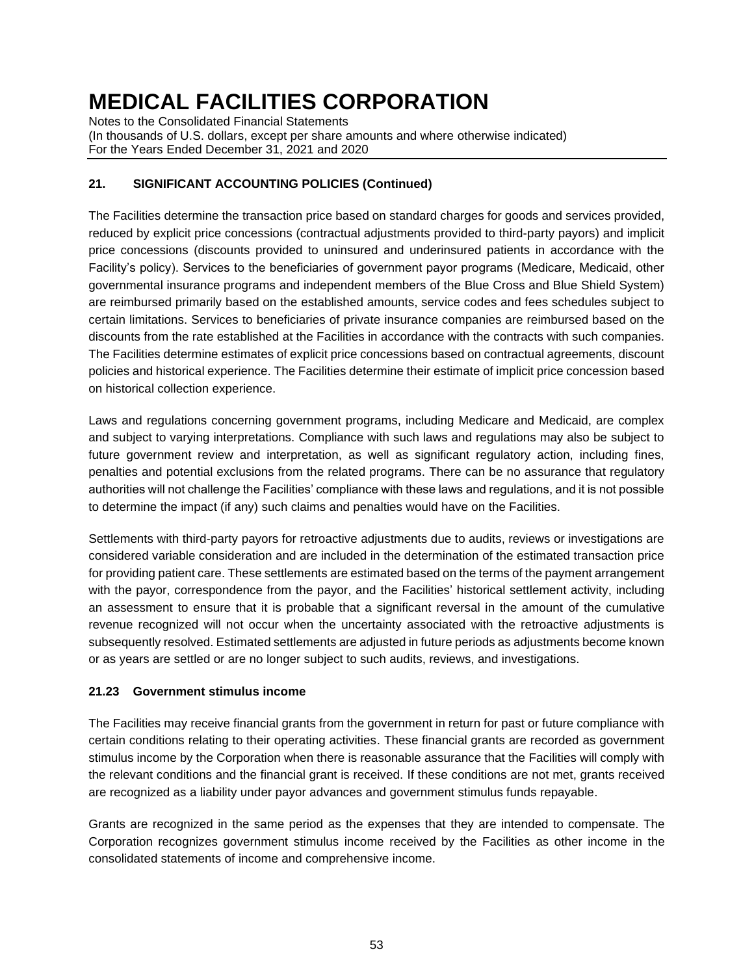Notes to the Consolidated Financial Statements (In thousands of U.S. dollars, except per share amounts and where otherwise indicated) For the Years Ended December 31, 2021 and 2020

# **21. SIGNIFICANT ACCOUNTING POLICIES (Continued)**

The Facilities determine the transaction price based on standard charges for goods and services provided, reduced by explicit price concessions (contractual adjustments provided to third-party payors) and implicit price concessions (discounts provided to uninsured and underinsured patients in accordance with the Facility's policy). Services to the beneficiaries of government payor programs (Medicare, Medicaid, other governmental insurance programs and independent members of the Blue Cross and Blue Shield System) are reimbursed primarily based on the established amounts, service codes and fees schedules subject to certain limitations. Services to beneficiaries of private insurance companies are reimbursed based on the discounts from the rate established at the Facilities in accordance with the contracts with such companies. The Facilities determine estimates of explicit price concessions based on contractual agreements, discount policies and historical experience. The Facilities determine their estimate of implicit price concession based on historical collection experience.

Laws and regulations concerning government programs, including Medicare and Medicaid, are complex and subject to varying interpretations. Compliance with such laws and regulations may also be subject to future government review and interpretation, as well as significant regulatory action, including fines, penalties and potential exclusions from the related programs. There can be no assurance that regulatory authorities will not challenge the Facilities' compliance with these laws and regulations, and it is not possible to determine the impact (if any) such claims and penalties would have on the Facilities.

Settlements with third-party payors for retroactive adjustments due to audits, reviews or investigations are considered variable consideration and are included in the determination of the estimated transaction price for providing patient care. These settlements are estimated based on the terms of the payment arrangement with the payor, correspondence from the payor, and the Facilities' historical settlement activity, including an assessment to ensure that it is probable that a significant reversal in the amount of the cumulative revenue recognized will not occur when the uncertainty associated with the retroactive adjustments is subsequently resolved. Estimated settlements are adjusted in future periods as adjustments become known or as years are settled or are no longer subject to such audits, reviews, and investigations.

### **21.23 Government stimulus income**

The Facilities may receive financial grants from the government in return for past or future compliance with certain conditions relating to their operating activities. These financial grants are recorded as government stimulus income by the Corporation when there is reasonable assurance that the Facilities will comply with the relevant conditions and the financial grant is received. If these conditions are not met, grants received are recognized as a liability under payor advances and government stimulus funds repayable.

Grants are recognized in the same period as the expenses that they are intended to compensate. The Corporation recognizes government stimulus income received by the Facilities as other income in the consolidated statements of income and comprehensive income.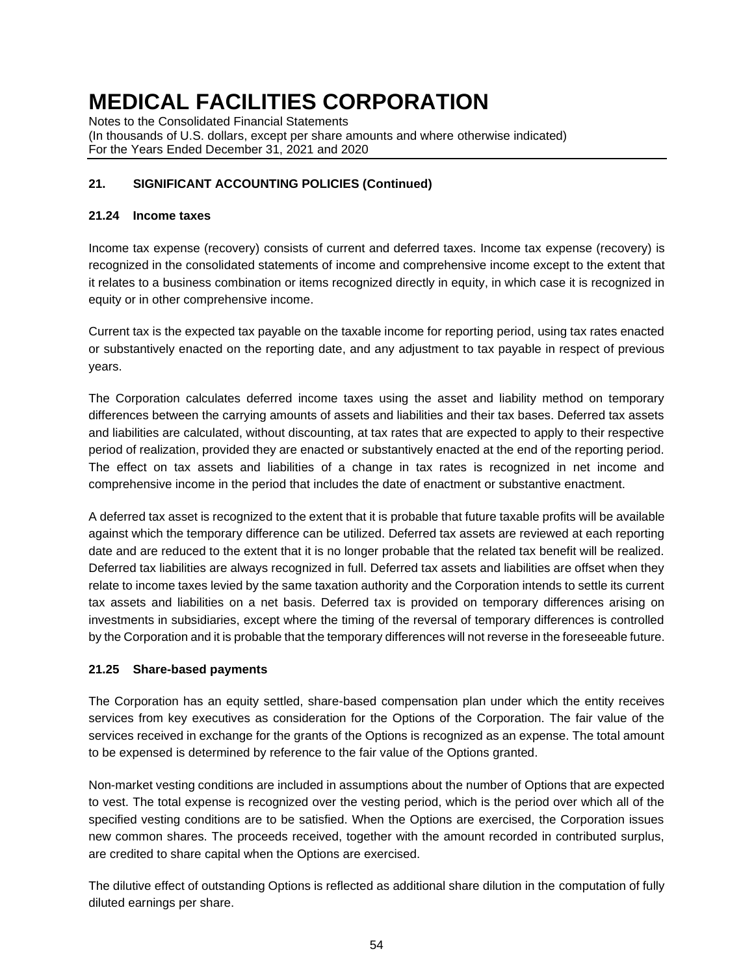Notes to the Consolidated Financial Statements (In thousands of U.S. dollars, except per share amounts and where otherwise indicated) For the Years Ended December 31, 2021 and 2020

### **21. SIGNIFICANT ACCOUNTING POLICIES (Continued)**

### **21.24 Income taxes**

Income tax expense (recovery) consists of current and deferred taxes. Income tax expense (recovery) is recognized in the consolidated statements of income and comprehensive income except to the extent that it relates to a business combination or items recognized directly in equity, in which case it is recognized in equity or in other comprehensive income.

Current tax is the expected tax payable on the taxable income for reporting period, using tax rates enacted or substantively enacted on the reporting date, and any adjustment to tax payable in respect of previous years.

The Corporation calculates deferred income taxes using the asset and liability method on temporary differences between the carrying amounts of assets and liabilities and their tax bases. Deferred tax assets and liabilities are calculated, without discounting, at tax rates that are expected to apply to their respective period of realization, provided they are enacted or substantively enacted at the end of the reporting period. The effect on tax assets and liabilities of a change in tax rates is recognized in net income and comprehensive income in the period that includes the date of enactment or substantive enactment.

A deferred tax asset is recognized to the extent that it is probable that future taxable profits will be available against which the temporary difference can be utilized. Deferred tax assets are reviewed at each reporting date and are reduced to the extent that it is no longer probable that the related tax benefit will be realized. Deferred tax liabilities are always recognized in full. Deferred tax assets and liabilities are offset when they relate to income taxes levied by the same taxation authority and the Corporation intends to settle its current tax assets and liabilities on a net basis. Deferred tax is provided on temporary differences arising on investments in subsidiaries, except where the timing of the reversal of temporary differences is controlled by the Corporation and it is probable that the temporary differences will not reverse in the foreseeable future.

### **21.25 Share-based payments**

The Corporation has an equity settled, share-based compensation plan under which the entity receives services from key executives as consideration for the Options of the Corporation. The fair value of the services received in exchange for the grants of the Options is recognized as an expense. The total amount to be expensed is determined by reference to the fair value of the Options granted.

Non-market vesting conditions are included in assumptions about the number of Options that are expected to vest. The total expense is recognized over the vesting period, which is the period over which all of the specified vesting conditions are to be satisfied. When the Options are exercised, the Corporation issues new common shares. The proceeds received, together with the amount recorded in contributed surplus, are credited to share capital when the Options are exercised.

The dilutive effect of outstanding Options is reflected as additional share dilution in the computation of fully diluted earnings per share.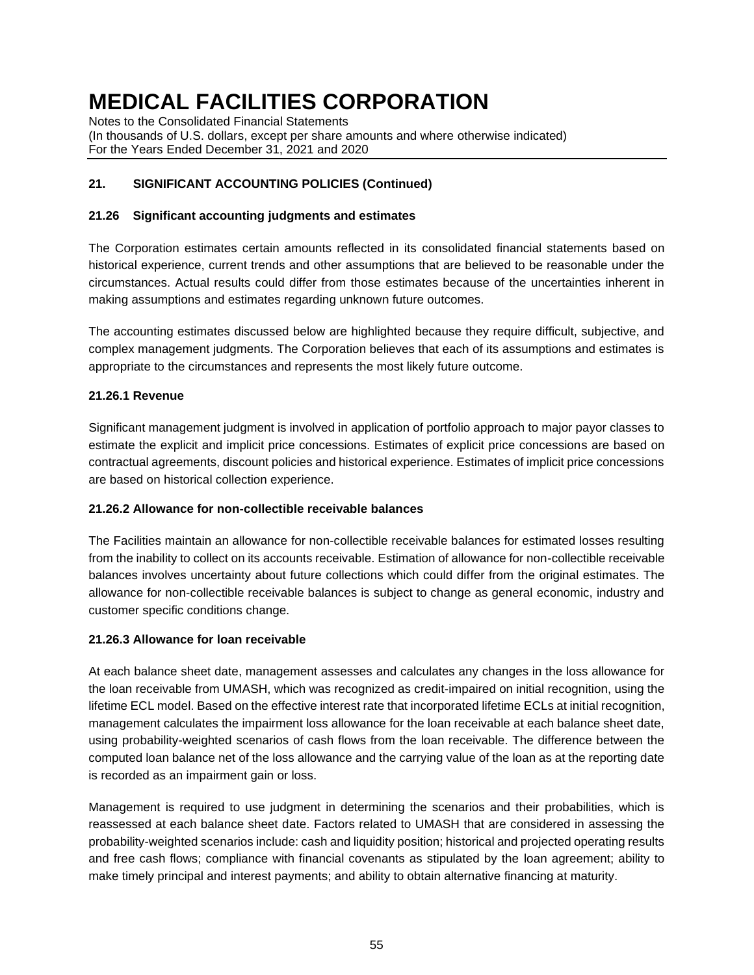Notes to the Consolidated Financial Statements (In thousands of U.S. dollars, except per share amounts and where otherwise indicated) For the Years Ended December 31, 2021 and 2020

# **21. SIGNIFICANT ACCOUNTING POLICIES (Continued)**

### **21.26 Significant accounting judgments and estimates**

The Corporation estimates certain amounts reflected in its consolidated financial statements based on historical experience, current trends and other assumptions that are believed to be reasonable under the circumstances. Actual results could differ from those estimates because of the uncertainties inherent in making assumptions and estimates regarding unknown future outcomes.

The accounting estimates discussed below are highlighted because they require difficult, subjective, and complex management judgments. The Corporation believes that each of its assumptions and estimates is appropriate to the circumstances and represents the most likely future outcome.

### **21.26.1 Revenue**

Significant management judgment is involved in application of portfolio approach to major payor classes to estimate the explicit and implicit price concessions. Estimates of explicit price concessions are based on contractual agreements, discount policies and historical experience. Estimates of implicit price concessions are based on historical collection experience.

#### **21.26.2 Allowance for non-collectible receivable balances**

The Facilities maintain an allowance for non-collectible receivable balances for estimated losses resulting from the inability to collect on its accounts receivable. Estimation of allowance for non-collectible receivable balances involves uncertainty about future collections which could differ from the original estimates. The allowance for non-collectible receivable balances is subject to change as general economic, industry and customer specific conditions change.

#### **21.26.3 Allowance for loan receivable**

At each balance sheet date, management assesses and calculates any changes in the loss allowance for the loan receivable from UMASH, which was recognized as credit-impaired on initial recognition, using the lifetime ECL model. Based on the effective interest rate that incorporated lifetime ECLs at initial recognition, management calculates the impairment loss allowance for the loan receivable at each balance sheet date, using probability-weighted scenarios of cash flows from the loan receivable. The difference between the computed loan balance net of the loss allowance and the carrying value of the loan as at the reporting date is recorded as an impairment gain or loss.

Management is required to use judgment in determining the scenarios and their probabilities, which is reassessed at each balance sheet date. Factors related to UMASH that are considered in assessing the probability-weighted scenarios include: cash and liquidity position; historical and projected operating results and free cash flows; compliance with financial covenants as stipulated by the loan agreement; ability to make timely principal and interest payments; and ability to obtain alternative financing at maturity.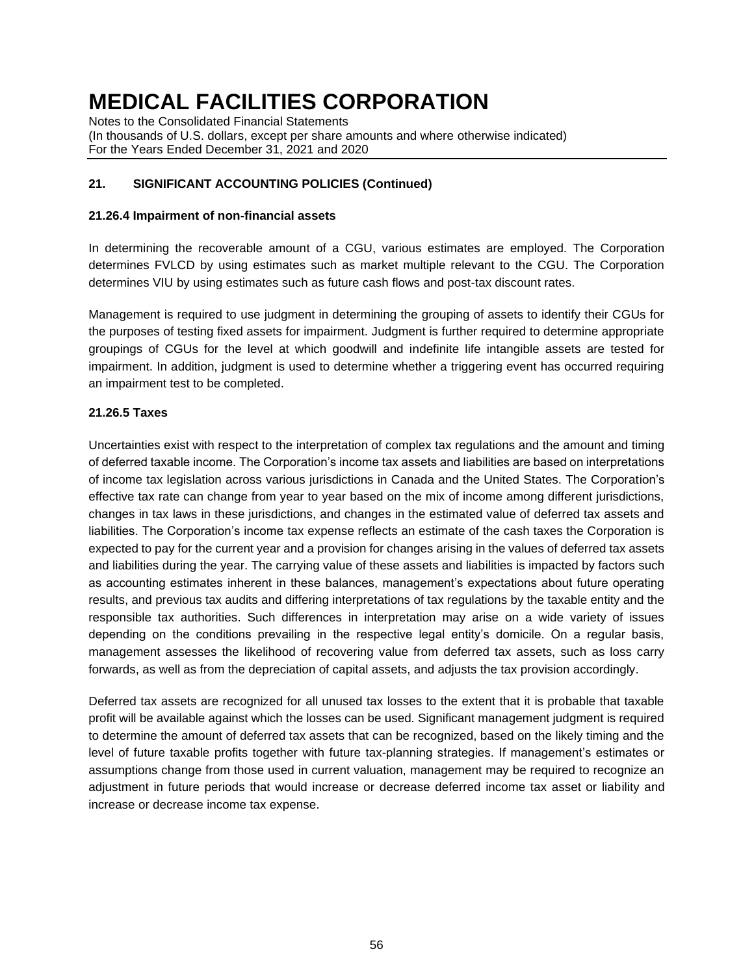Notes to the Consolidated Financial Statements (In thousands of U.S. dollars, except per share amounts and where otherwise indicated) For the Years Ended December 31, 2021 and 2020

### **21. SIGNIFICANT ACCOUNTING POLICIES (Continued)**

#### **21.26.4 Impairment of non-financial assets**

In determining the recoverable amount of a CGU, various estimates are employed. The Corporation determines FVLCD by using estimates such as market multiple relevant to the CGU. The Corporation determines VIU by using estimates such as future cash flows and post-tax discount rates.

Management is required to use judgment in determining the grouping of assets to identify their CGUs for the purposes of testing fixed assets for impairment. Judgment is further required to determine appropriate groupings of CGUs for the level at which goodwill and indefinite life intangible assets are tested for impairment. In addition, judgment is used to determine whether a triggering event has occurred requiring an impairment test to be completed.

#### **21.26.5 Taxes**

Uncertainties exist with respect to the interpretation of complex tax regulations and the amount and timing of deferred taxable income. The Corporation's income tax assets and liabilities are based on interpretations of income tax legislation across various jurisdictions in Canada and the United States. The Corporation's effective tax rate can change from year to year based on the mix of income among different jurisdictions, changes in tax laws in these jurisdictions, and changes in the estimated value of deferred tax assets and liabilities. The Corporation's income tax expense reflects an estimate of the cash taxes the Corporation is expected to pay for the current year and a provision for changes arising in the values of deferred tax assets and liabilities during the year. The carrying value of these assets and liabilities is impacted by factors such as accounting estimates inherent in these balances, management's expectations about future operating results, and previous tax audits and differing interpretations of tax regulations by the taxable entity and the responsible tax authorities. Such differences in interpretation may arise on a wide variety of issues depending on the conditions prevailing in the respective legal entity's domicile. On a regular basis, management assesses the likelihood of recovering value from deferred tax assets, such as loss carry forwards, as well as from the depreciation of capital assets, and adjusts the tax provision accordingly.

Deferred tax assets are recognized for all unused tax losses to the extent that it is probable that taxable profit will be available against which the losses can be used. Significant management judgment is required to determine the amount of deferred tax assets that can be recognized, based on the likely timing and the level of future taxable profits together with future tax-planning strategies. If management's estimates or assumptions change from those used in current valuation, management may be required to recognize an adjustment in future periods that would increase or decrease deferred income tax asset or liability and increase or decrease income tax expense.